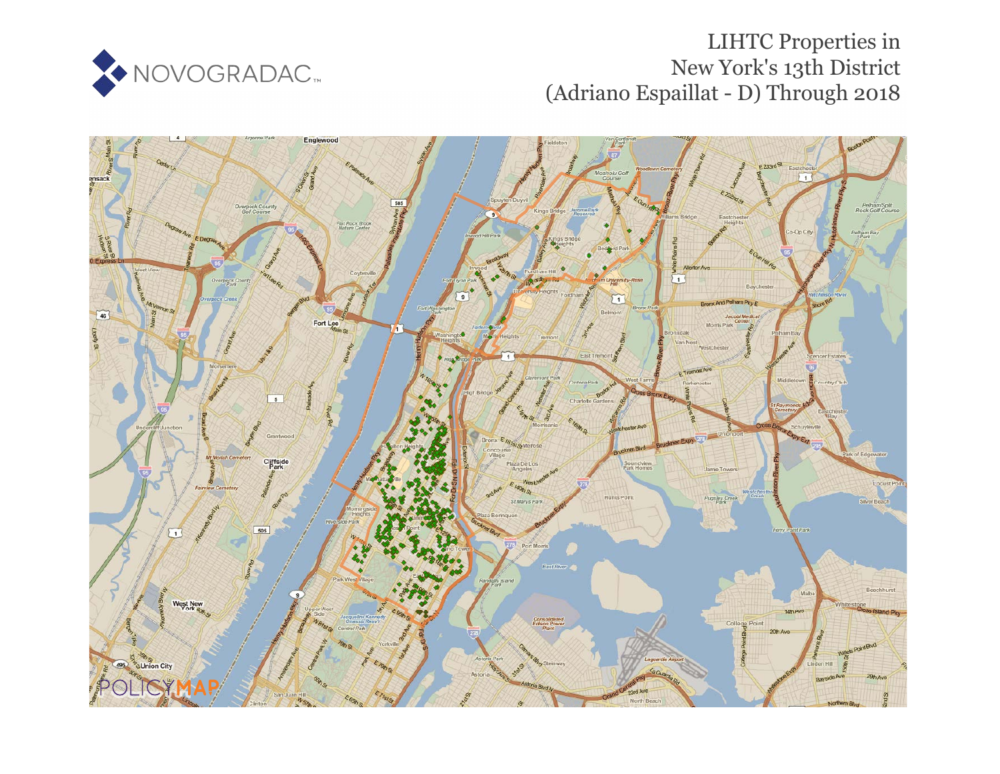

# LIHTC Properties in New York's 13th District (Adriano Espaillat - D) Through 2018

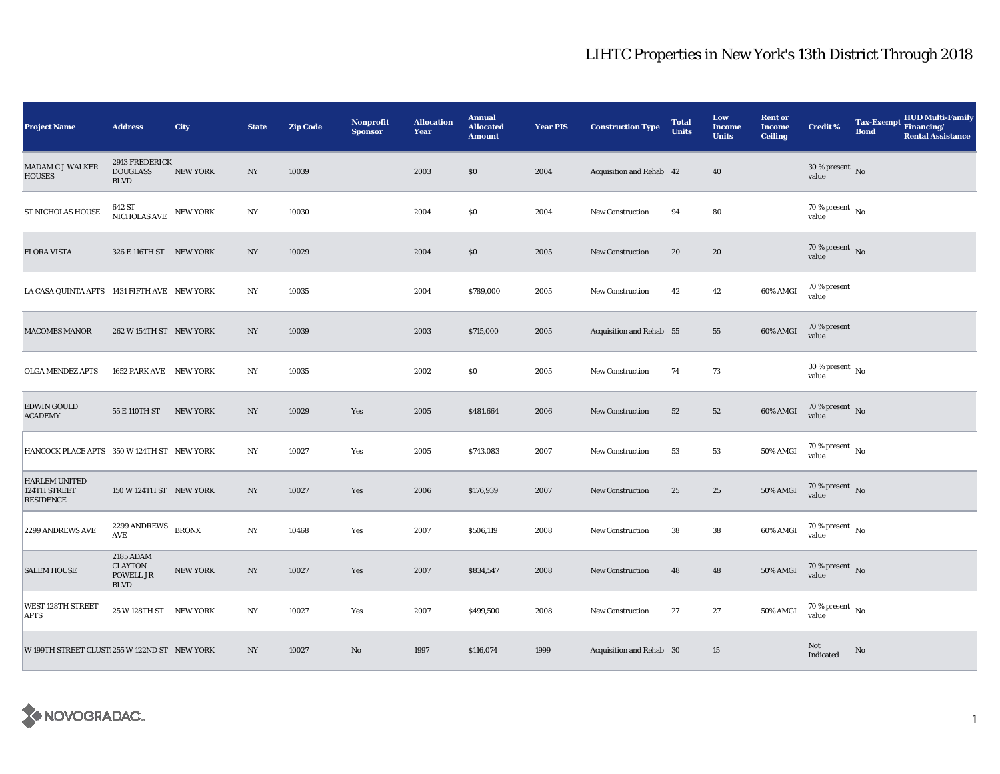| <b>Project Name</b>                               | <b>Address</b>                                          | City            | <b>State</b>     | <b>Zip Code</b> | <b>Nonprofit</b><br><b>Sponsor</b> | <b>Allocation</b><br>Year | <b>Annual</b><br><b>Allocated</b><br><b>Amount</b> | <b>Year PIS</b> | <b>Construction Type</b> | <b>Total</b><br><b>Units</b> | Low<br><b>Income</b><br><b>Units</b> | <b>Rent or</b><br><b>Income</b><br><b>Ceiling</b> | <b>Credit %</b>                        | <b>Tax-Exempt</b><br><b>Bond</b> | <b>HUD Multi-Family</b><br>Financing/<br><b>Rental Assistance</b> |
|---------------------------------------------------|---------------------------------------------------------|-----------------|------------------|-----------------|------------------------------------|---------------------------|----------------------------------------------------|-----------------|--------------------------|------------------------------|--------------------------------------|---------------------------------------------------|----------------------------------------|----------------------------------|-------------------------------------------------------------------|
| MADAM C J WALKER<br><b>HOUSES</b>                 | 2913 FREDERICK<br><b>DOUGLASS</b><br><b>BLVD</b>        | <b>NEW YORK</b> | $_{\mathrm{NY}}$ | 10039           |                                    | 2003                      | \$0                                                | 2004            | Acquisition and Rehab 42 |                              | 40                                   |                                                   | $30\,\%$ present $\,$ No value         |                                  |                                                                   |
| ST NICHOLAS HOUSE                                 | $642\;{\rm ST}$ NEW YORK NICHOLAS AVE $\;$ NEW YORK     |                 | N <sub>Y</sub>   | 10030           |                                    | 2004                      | \$0                                                | 2004            | New Construction         | 94                           | 80                                   |                                                   | $70\,\%$ present $\,$ No $\,$<br>value |                                  |                                                                   |
| <b>FLORA VISTA</b>                                | 326 E 116TH ST NEW YORK                                 |                 | $_{\mathrm{NY}}$ | 10029           |                                    | 2004                      | \$0                                                | 2005            | New Construction         | 20                           | 20                                   |                                                   | $70\,\%$ present $\,$ No value         |                                  |                                                                   |
| LA CASA QUINTA APTS 1431 FIFTH AVE NEW YORK       |                                                         |                 | N <sub>Y</sub>   | 10035           |                                    | 2004                      | \$789,000                                          | 2005            | New Construction         | 42                           | 42                                   | 60% AMGI                                          | 70 % present<br>value                  |                                  |                                                                   |
| <b>MACOMBS MANOR</b>                              | 262 W 154TH ST NEW YORK                                 |                 | $_{\mathrm{NY}}$ | 10039           |                                    | 2003                      | \$715,000                                          | 2005            | Acquisition and Rehab 55 |                              | 55                                   | 60% AMGI                                          | 70 % present<br>value                  |                                  |                                                                   |
| <b>OLGA MENDEZ APTS</b>                           | 1652 PARK AVE NEW YORK                                  |                 | $_{\mathrm{NY}}$ | 10035           |                                    | 2002                      | \$0                                                | 2005            | <b>New Construction</b>  | 74                           | 73                                   |                                                   | $30$ % present $\,$ No $\,$<br>value   |                                  |                                                                   |
| EDWIN GOULD<br><b>ACADEMY</b>                     | 55 E 110TH ST NEW YORK                                  |                 | NY               | 10029           | Yes                                | 2005                      | \$481,664                                          | 2006            | <b>New Construction</b>  | 52                           | 52                                   | 60% AMGI                                          | $70\,\%$ present $\,$ No value         |                                  |                                                                   |
| HANCOCK PLACE APTS 350 W 124TH ST NEW YORK        |                                                         |                 | NY               | 10027           | Yes                                | 2005                      | \$743,083                                          | 2007            | New Construction         | 53                           | 53                                   | <b>50% AMGI</b>                                   | $70\,\%$ present $\,$ No $\,$<br>value |                                  |                                                                   |
| <b>HARLEM UNITED</b><br>124TH STREET<br>RESIDENCE | 150 W 124TH ST NEW YORK                                 |                 | $_{\mathrm{NY}}$ | 10027           | Yes                                | 2006                      | \$176,939                                          | 2007            | New Construction         | 25                           | 25                                   | 50% AMGI                                          | 70 % present $\hbox{~No}$<br>value     |                                  |                                                                   |
| 2299 ANDREWS AVE                                  | 2299 ANDREWS BRONX<br>$\operatorname{\mathbf{AVE}}$     |                 | $_{\mathrm{NY}}$ | 10468           | Yes                                | 2007                      | \$506,119                                          | 2008            | New Construction         | 38                           | 38                                   | 60% AMGI                                          | $70$ % present $\,$ No $\,$<br>value   |                                  |                                                                   |
| <b>SALEM HOUSE</b>                                | 2185 ADAM<br><b>CLAYTON</b><br>POWELL JR<br><b>BLVD</b> | <b>NEW YORK</b> | NY               | 10027           | Yes                                | 2007                      | \$834,547                                          | 2008            | <b>New Construction</b>  | 48                           | 48                                   | <b>50% AMGI</b>                                   | 70 % present $\,$ No $\,$<br>value     |                                  |                                                                   |
| WEST 128TH STREET<br>APTS                         | 25 W 128TH ST NEW YORK                                  |                 | $_{\mathrm{NY}}$ | 10027           | Yes                                | 2007                      | \$499,500                                          | 2008            | <b>New Construction</b>  | $\bf 27$                     | $\bf 27$                             | 50% AMGI                                          | $70$ % present $\,$ No $\,$<br>value   |                                  |                                                                   |
| W 199TH STREET CLUST 255 W 122ND ST NEW YORK      |                                                         |                 | NY.              | 10027           | No                                 | 1997                      | \$116,074                                          | 1999            | Acquisition and Rehab 30 |                              | 15                                   |                                                   | Not<br>Indicated                       | No                               |                                                                   |

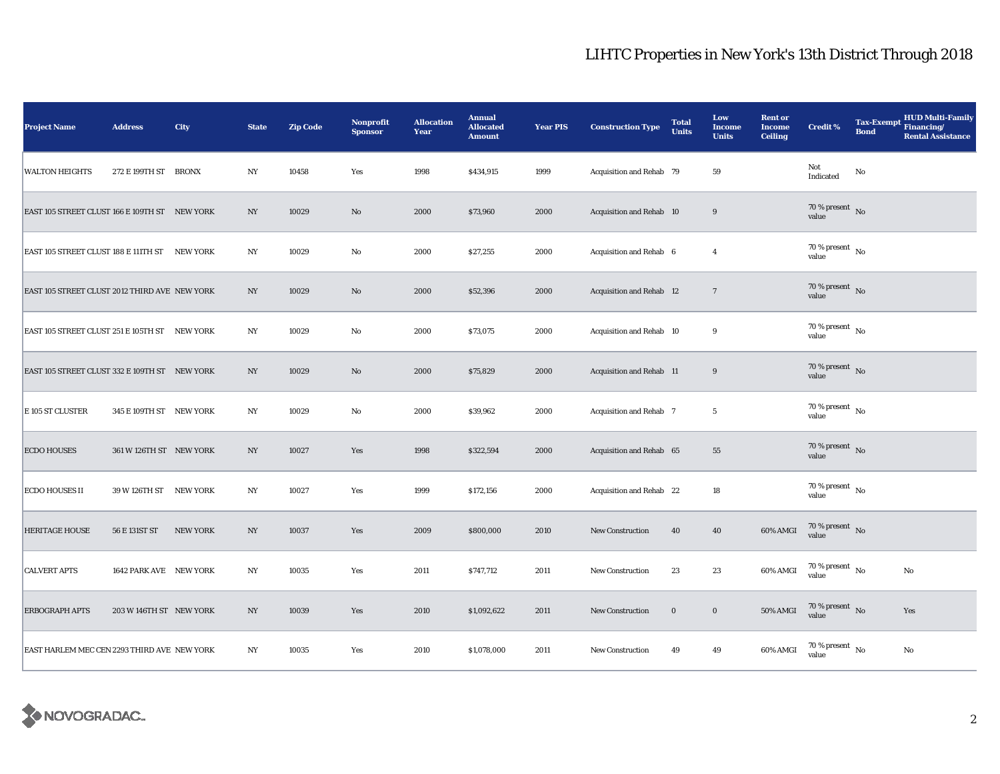| <b>Project Name</b>                           | <b>Address</b>          | City            | <b>State</b>     | <b>Zip Code</b> | Nonprofit<br><b>Sponsor</b> | <b>Allocation</b><br>Year | <b>Annual</b><br><b>Allocated</b><br><b>Amount</b> | <b>Year PIS</b> | <b>Construction Type</b> | <b>Total</b><br><b>Units</b> | Low<br><b>Income</b><br><b>Units</b> | <b>Rent or</b><br><b>Income</b><br><b>Ceiling</b> | <b>Credit %</b>                      | <b>Tax-Exempt</b><br><b>Bond</b> | <b>HUD Multi-Family</b><br>Financing/<br><b>Rental Assistance</b> |
|-----------------------------------------------|-------------------------|-----------------|------------------|-----------------|-----------------------------|---------------------------|----------------------------------------------------|-----------------|--------------------------|------------------------------|--------------------------------------|---------------------------------------------------|--------------------------------------|----------------------------------|-------------------------------------------------------------------|
| <b>WALTON HEIGHTS</b>                         | 272 E 199TH ST BRONX    |                 | $_{\mathrm{NY}}$ | 10458           | Yes                         | 1998                      | \$434,915                                          | 1999            | Acquisition and Rehab 79 |                              | 59                                   |                                                   | Not<br>Indicated                     | No                               |                                                                   |
| EAST 105 STREET CLUST 166 E 109TH ST NEW YORK |                         |                 | NY               | 10029           | $\rm No$                    | 2000                      | \$73,960                                           | 2000            | Acquisition and Rehab 10 |                              | $\boldsymbol{9}$                     |                                                   | 70 % present No<br>value             |                                  |                                                                   |
| EAST 105 STREET CLUST 188 E 111TH ST NEW YORK |                         |                 | NY               | 10029           | $\rm No$                    | 2000                      | \$27,255                                           | 2000            | Acquisition and Rehab 6  |                              | $\overline{4}$                       |                                                   | $70$ % present $\,$ No $\,$<br>value |                                  |                                                                   |
| EAST 105 STREET CLUST 2012 THIRD AVE NEW YORK |                         |                 | NY               | 10029           | No                          | 2000                      | \$52,396                                           | 2000            | Acquisition and Rehab 12 |                              | $\overline{7}$                       |                                                   | 70 % present $\hbox{~No}$<br>value   |                                  |                                                                   |
| EAST 105 STREET CLUST 251 E 105TH ST NEW YORK |                         |                 | $_{\mathrm{NY}}$ | 10029           | $\rm No$                    | 2000                      | \$73,075                                           | 2000            | Acquisition and Rehab 10 |                              | 9                                    |                                                   | 70 % present $\hbox{~No}$<br>value   |                                  |                                                                   |
| EAST 105 STREET CLUST 332 E 109TH ST NEW YORK |                         |                 | NY               | 10029           | No                          | 2000                      | \$75,829                                           | 2000            | Acquisition and Rehab 11 |                              | $\boldsymbol{9}$                     |                                                   | 70 % present No<br>value             |                                  |                                                                   |
| E 105 ST CLUSTER                              | 345 E 109TH ST NEW YORK |                 | $_{\mathrm{NY}}$ | 10029           | $\rm No$                    | 2000                      | \$39,962                                           | 2000            | Acquisition and Rehab 7  |                              | $5\phantom{.0}$                      |                                                   | 70 % present $\hbox{~No}$<br>value   |                                  |                                                                   |
| <b>ECDO HOUSES</b>                            | 361 W 126TH ST NEW YORK |                 | NY               | 10027           | Yes                         | 1998                      | \$322,594                                          | 2000            | Acquisition and Rehab 65 |                              | 55                                   |                                                   | 70 % present $\hbox{~No}$<br>value   |                                  |                                                                   |
| <b>ECDO HOUSES II</b>                         | 39 W 126TH ST NEW YORK  |                 | NY               | 10027           | Yes                         | 1999                      | \$172,156                                          | 2000            | Acquisition and Rehab 22 |                              | 18                                   |                                                   | $70$ % present $\,$ No $\,$<br>value |                                  |                                                                   |
| <b>HERITAGE HOUSE</b>                         | 56 E 131ST ST           | <b>NEW YORK</b> | NY               | 10037           | Yes                         | 2009                      | \$800,000                                          | 2010            | New Construction         | 40                           | 40                                   | 60% AMGI                                          | 70 % present $\hbox{~No}$<br>value   |                                  |                                                                   |
| <b>CALVERT APTS</b>                           | 1642 PARK AVE NEW YORK  |                 | NY               | 10035           | Yes                         | 2011                      | \$747,712                                          | 2011            | <b>New Construction</b>  | 23                           | 23                                   | 60% AMGI                                          | 70 % present $\hbox{~No}$<br>value   |                                  | No                                                                |
| <b>ERBOGRAPH APTS</b>                         | 203 W 146TH ST NEW YORK |                 | NY               | 10039           | Yes                         | 2010                      | \$1,092,622                                        | 2011            | New Construction         | $\bf{0}$                     | $\mathbf 0$                          | 50% AMGI                                          | 70 % present $\hbox{~No}$<br>value   |                                  | Yes                                                               |
| EAST HARLEM MEC CEN 2293 THIRD AVE NEW YORK   |                         |                 | NY               | 10035           | Yes                         | 2010                      | \$1,078,000                                        | 2011            | New Construction         | 49                           | 49                                   | 60% AMGI                                          | $70$ % present $\,$ No $\,$<br>value |                                  | No                                                                |

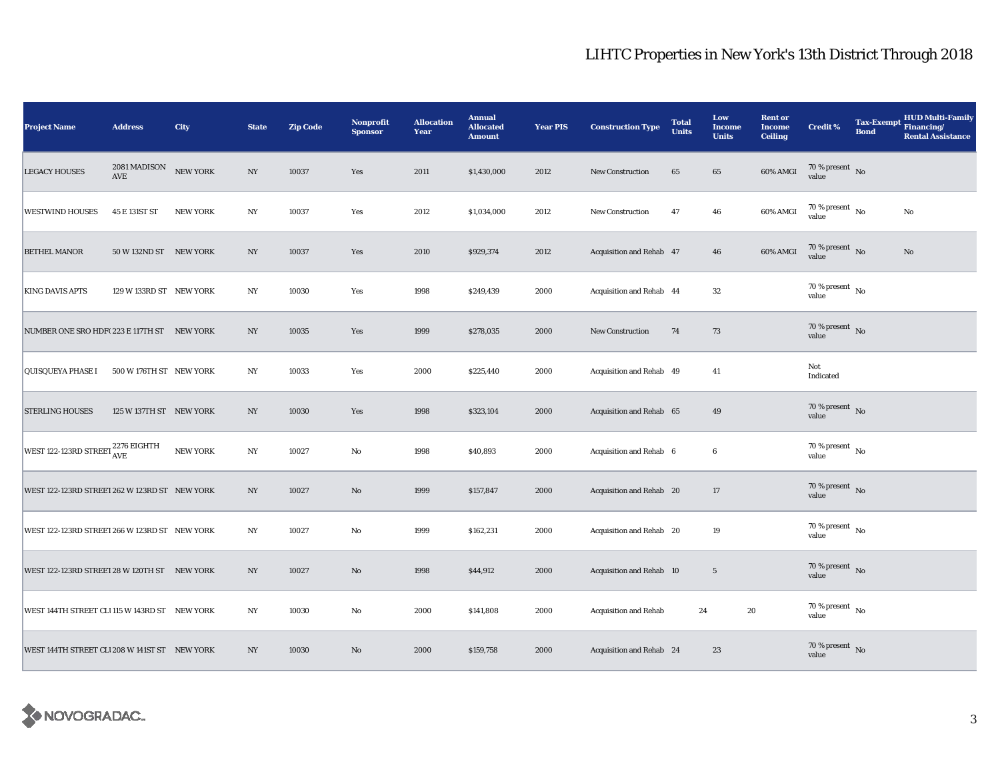| <b>Project Name</b>                                                                                                  | <b>Address</b>                       | City            | <b>State</b>     | <b>Zip Code</b> | <b>Nonprofit</b><br><b>Sponsor</b> | <b>Allocation</b><br>Year | <b>Annual</b><br><b>Allocated</b><br><b>Amount</b> | <b>Year PIS</b> | <b>Construction Type</b>     | <b>Total</b><br><b>Units</b> | Low<br><b>Income</b><br><b>Units</b> | <b>Rent or</b><br><b>Income</b><br><b>Ceiling</b> | <b>Credit %</b>                      | <b>Bond</b> | <b>HUD Multi-Family</b><br>Tax-Exempt Financing/<br><b>Rental Assistance</b> |
|----------------------------------------------------------------------------------------------------------------------|--------------------------------------|-----------------|------------------|-----------------|------------------------------------|---------------------------|----------------------------------------------------|-----------------|------------------------------|------------------------------|--------------------------------------|---------------------------------------------------|--------------------------------------|-------------|------------------------------------------------------------------------------|
| <b>LEGACY HOUSES</b>                                                                                                 | 2081 MADISON<br>$\operatorname{AVE}$ | <b>NEW YORK</b> | NY               | 10037           | Yes                                | 2011                      | \$1,430,000                                        | 2012            | <b>New Construction</b>      | 65                           | 65                                   | 60% AMGI                                          | $70\,\%$ present $\,$ No value       |             |                                                                              |
| <b>WESTWIND HOUSES</b>                                                                                               | 45 E 131ST ST                        | <b>NEW YORK</b> | $_{\mathrm{NY}}$ | 10037           | Yes                                | 2012                      | \$1,034,000                                        | 2012            | New Construction             | 47                           | ${\bf 46}$                           | 60% AMGI                                          | $70$ % present $\,$ No $\,$<br>value |             | $\rm No$                                                                     |
| <b>BETHEL MANOR</b>                                                                                                  | 50 W 132ND ST NEW YORK               |                 | NY               | 10037           | Yes                                | 2010                      | \$929,374                                          | 2012            | Acquisition and Rehab 47     |                              | 46                                   | 60% AMGI                                          | $70\,\%$ present $\,$ No value       |             | $\mathbf{No}$                                                                |
| <b>KING DAVIS APTS</b>                                                                                               | 129 W 133RD ST NEW YORK              |                 | NY               | 10030           | Yes                                | 1998                      | \$249,439                                          | 2000            | Acquisition and Rehab 44     |                              | 32                                   |                                                   | 70 % present $\hbox{~No}$<br>value   |             |                                                                              |
| NUMBER ONE SRO HDF(223 E 117TH ST NEW YORK                                                                           |                                      |                 | $_{\mathrm{NY}}$ | 10035           | Yes                                | 1999                      | \$278,035                                          | 2000            | New Construction             | 74                           | 73                                   |                                                   | 70 % present $\,$ No $\,$<br>value   |             |                                                                              |
| QUISQUEYA PHASE I                                                                                                    | 500 W 176TH ST NEW YORK              |                 | NY               | 10033           | Yes                                | 2000                      | \$225,440                                          | 2000            | Acquisition and Rehab 49     |                              | 41                                   |                                                   | Not<br>Indicated                     |             |                                                                              |
| <b>STERLING HOUSES</b>                                                                                               | 125 W 137TH ST NEW YORK              |                 | $_{\mathrm{NY}}$ | 10030           | Yes                                | 1998                      | \$323,104                                          | 2000            | Acquisition and Rehab 65     |                              | 49                                   |                                                   | $70\,\%$ present $${\rm No}$$ value  |             |                                                                              |
| $\begin{array}{ l } \hline \text{WEST 122-123RD STREE1}\xspace{2276\text{ EIGHTH}} \\ \hline \text{AVE} \end{array}$ |                                      | NEW YORK        | $_{\mathrm{NY}}$ | 10027           | No                                 | 1998                      | \$40,893                                           | 2000            | Acquisition and Rehab 6      |                              | 6                                    |                                                   | $70\,\%$ present $\,$ No value       |             |                                                                              |
| WEST 122-123RD STREET 262 W 123RD ST NEW YORK                                                                        |                                      |                 | NY               | 10027           | $\rm No$                           | 1999                      | \$157,847                                          | 2000            | Acquisition and Rehab 20     |                              | 17                                   |                                                   | 70 % present $\hbox{~No}$<br>value   |             |                                                                              |
| WEST 122-123RD STREET 266 W 123RD ST NEW YORK                                                                        |                                      |                 | $_{\mathrm{NY}}$ | 10027           | No                                 | 1999                      | \$162,231                                          | 2000            | Acquisition and Rehab 20     |                              | 19                                   |                                                   | 70 % present $\hbox{~No}$<br>value   |             |                                                                              |
| WEST 122-123RD STREET 28 W 120TH ST NEW YORK                                                                         |                                      |                 | NY               | 10027           | $\rm No$                           | 1998                      | \$44,912                                           | 2000            | Acquisition and Rehab 10     |                              | $5\phantom{.0}$                      |                                                   | 70 % present $\,$ No $\,$<br>value   |             |                                                                              |
| WEST 144TH STREET CLI 115 W 143RD ST NEW YORK                                                                        |                                      |                 | $_{\mathrm{NY}}$ | 10030           | No                                 | 2000                      | \$141,808                                          | 2000            | <b>Acquisition and Rehab</b> | 24                           | 20                                   |                                                   | 70 % present $\hbox{~No}$<br>value   |             |                                                                              |
| WEST 144TH STREET CLI 208 W 141ST ST NEW YORK                                                                        |                                      |                 | NY               | 10030           | No                                 | 2000                      | \$159,758                                          | 2000            | Acquisition and Rehab 24     |                              | 23                                   |                                                   | $70\,\%$ present $\,$ No value       |             |                                                                              |

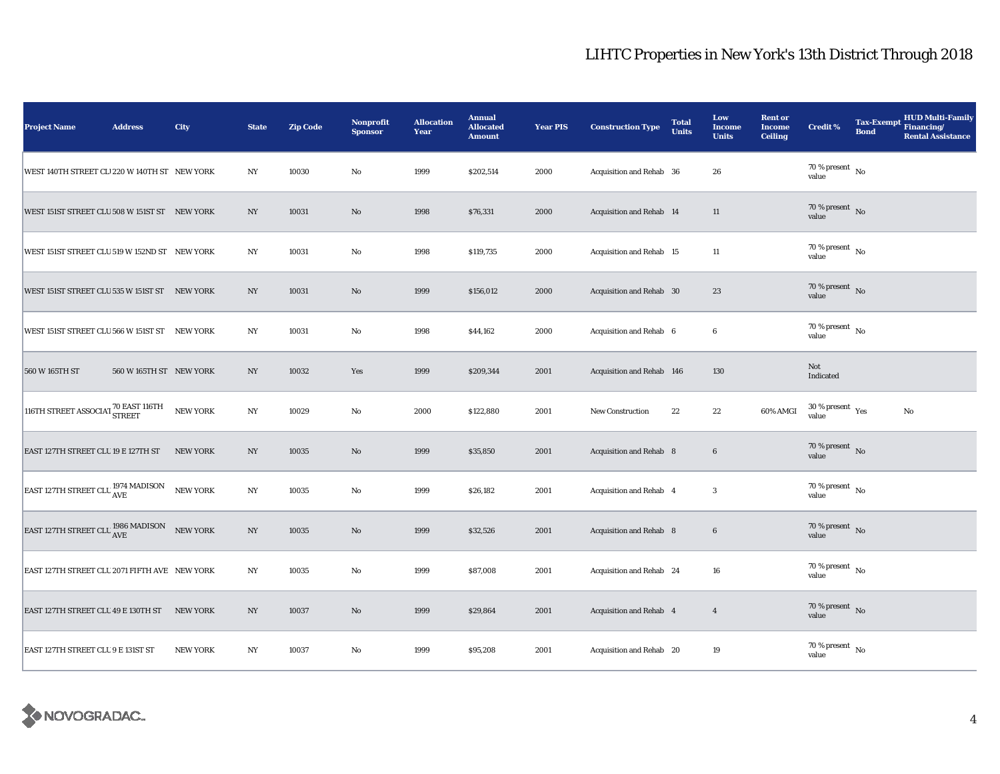| <b>Project Name</b>                                                                            | <b>Address</b>          | City            | <b>State</b>     | <b>Zip Code</b> | <b>Nonprofit</b><br><b>Sponsor</b> | <b>Allocation</b><br>Year | <b>Annual</b><br><b>Allocated</b><br><b>Amount</b> | <b>Year PIS</b> | <b>Construction Type</b>  | <b>Total</b><br><b>Units</b> | Low<br><b>Income</b><br><b>Units</b> | <b>Rent or</b><br><b>Income</b><br><b>Ceiling</b> | <b>Credit %</b>                      | <b>Bond</b> | <b>HUD Multi-Family</b><br>Tax-Exempt Financing/<br><b>Rental Assistance</b> |
|------------------------------------------------------------------------------------------------|-------------------------|-----------------|------------------|-----------------|------------------------------------|---------------------------|----------------------------------------------------|-----------------|---------------------------|------------------------------|--------------------------------------|---------------------------------------------------|--------------------------------------|-------------|------------------------------------------------------------------------------|
| WEST 140TH STREET CL1220 W 140TH ST NEW YORK                                                   |                         |                 | NY               | 10030           | No                                 | 1999                      | \$202,514                                          | 2000            | Acquisition and Rehab 36  |                              | 26                                   |                                                   | 70 % present $\hbox{~No}$<br>value   |             |                                                                              |
| WEST 151ST STREET CLU 508 W 151ST ST NEW YORK                                                  |                         |                 | $_{\mathrm{NY}}$ | 10031           | $\rm No$                           | 1998                      | \$76,331                                           | 2000            | Acquisition and Rehab 14  |                              | 11                                   |                                                   | 70 % present $\,$ No $\,$<br>value   |             |                                                                              |
| WEST 151ST STREET CLU 519 W 152ND ST NEW YORK                                                  |                         |                 | NY               | 10031           | No                                 | 1998                      | \$119,735                                          | 2000            | Acquisition and Rehab 15  |                              | $11\,$                               |                                                   | $70$ % present $\,$ No $\,$<br>value |             |                                                                              |
| WEST 151ST STREET CLU 535 W 151ST ST NEW YORK                                                  |                         |                 | NY               | 10031           | $\mathbf{N}\mathbf{o}$             | 1999                      | \$156,012                                          | 2000            | Acquisition and Rehab 30  |                              | 23                                   |                                                   | 70 % present $\hbox{~No}$<br>value   |             |                                                                              |
| WEST 151ST STREET CLU 566 W 151ST ST NEW YORK                                                  |                         |                 | NY               | 10031           | $\rm No$                           | 1998                      | \$44,162                                           | 2000            | Acquisition and Rehab 6   |                              | 6                                    |                                                   | $70$ % present $\,$ No $\,$<br>value |             |                                                                              |
| 560 W 165TH ST                                                                                 | 560 W 165TH ST NEW YORK |                 | $_{\mathrm{NY}}$ | 10032           | Yes                                | 1999                      | \$209,344                                          | 2001            | Acquisition and Rehab 146 |                              | 130                                  |                                                   | Not<br>Indicated                     |             |                                                                              |
| 116TH STREET ASSOCIAT <sup>70</sup> EAST 116TH                                                 |                         | <b>NEW YORK</b> | NY               | 10029           | $\rm No$                           | 2000                      | \$122,880                                          | 2001            | <b>New Construction</b>   | 22                           | 22                                   | 60% AMGI                                          | $30\,\%$ present $\,$ Yes value      |             | No                                                                           |
| EAST 127TH STREET CLU 19 E 127TH ST                                                            |                         | <b>NEW YORK</b> | $_{\mathrm{NY}}$ | 10035           | $\mathbf{N}\mathbf{o}$             | 1999                      | \$35,850                                           | 2001            | Acquisition and Rehab 8   |                              | $\bf 6$                              |                                                   | 70 % present $\bar{N}$ o<br>value    |             |                                                                              |
| EAST 127TH STREET CLU $^{1974\,}_{\rm AVE}$ MADISON                                            |                         | <b>NEW YORK</b> | $_{\mathrm{NY}}$ | 10035           | No                                 | 1999                      | \$26,182                                           | 2001            | Acquisition and Rehab 4   |                              | 3                                    |                                                   | 70 % present $\,$ No $\,$<br>value   |             |                                                                              |
| $\boxed{\text{EAST 127TH STREF CLL}}^{\text{1986 MADISON}}_{\text{AVE}} \quad \text{NEW YORK}$ |                         |                 | $_{\mathrm{NY}}$ | 10035           | $\mathbf{N}\mathbf{o}$             | 1999                      | \$32,526                                           | 2001            | Acquisition and Rehab 8   |                              | $\bf 6$                              |                                                   | 70 % present $\hbox{~No}$<br>value   |             |                                                                              |
| EAST 127TH STREET CLU 2071 FIFTH AVE NEW YORK                                                  |                         |                 | NY               | 10035           | $\rm No$                           | 1999                      | \$87,008                                           | 2001            | Acquisition and Rehab 24  |                              | 16                                   |                                                   | 70 % present $\hbox{~No}$<br>value   |             |                                                                              |
| EAST 127TH STREET CLU 49 E 130TH ST                                                            |                         | <b>NEW YORK</b> | $_{\mathrm{NY}}$ | 10037           | $\rm No$                           | 1999                      | \$29,864                                           | 2001            | Acquisition and Rehab 4   |                              | $\overline{4}$                       |                                                   | 70 % present $\,$ No $\,$<br>value   |             |                                                                              |
| EAST 127TH STREET CLU 9 E 131ST ST                                                             |                         | <b>NEW YORK</b> | $_{\mathrm{NY}}$ | 10037           | $\mathbf{No}$                      | 1999                      | \$95,208                                           | 2001            | Acquisition and Rehab 20  |                              | 19                                   |                                                   | $70$ % present $\,$ No $\,$<br>value |             |                                                                              |

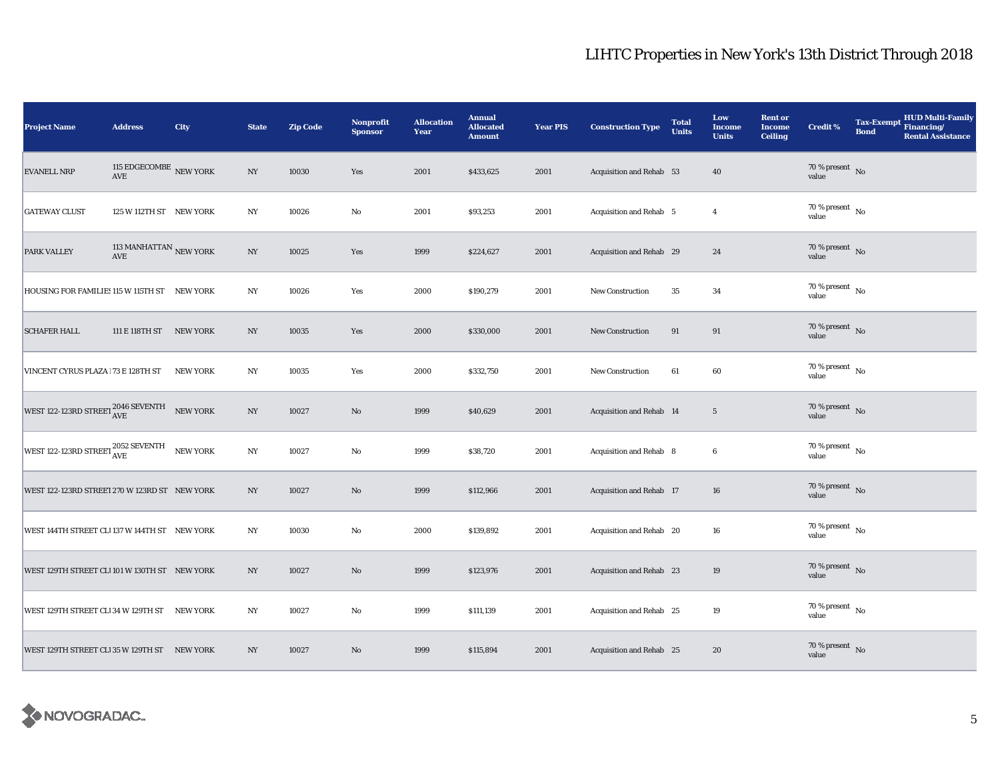| <b>Project Name</b>                                                                                             | <b>Address</b>                                           | City            | <b>State</b>     | <b>Zip Code</b> | <b>Nonprofit</b><br><b>Sponsor</b> | <b>Allocation</b><br>Year | <b>Annual</b><br><b>Allocated</b><br><b>Amount</b> | <b>Year PIS</b> | <b>Construction Type</b> | <b>Total</b><br><b>Units</b> | Low<br><b>Income</b><br><b>Units</b> | <b>Rent or</b><br><b>Income</b><br><b>Ceiling</b> | <b>Credit %</b>                      | <b>Bond</b> | <b>HUD Multi-Family</b><br>Tax-Exempt Financing/<br><b>Rental Assistance</b> |
|-----------------------------------------------------------------------------------------------------------------|----------------------------------------------------------|-----------------|------------------|-----------------|------------------------------------|---------------------------|----------------------------------------------------|-----------------|--------------------------|------------------------------|--------------------------------------|---------------------------------------------------|--------------------------------------|-------------|------------------------------------------------------------------------------|
| <b>EVANELL NRP</b>                                                                                              | 115 $\rm EDGECOMBE$ NEW YORK AVE                         |                 | $_{\mathrm{NY}}$ | 10030           | Yes                                | 2001                      | \$433,625                                          | 2001            | Acquisition and Rehab 53 |                              | 40                                   |                                                   | $70\,\%$ present $${\rm No}$$ value  |             |                                                                              |
| <b>GATEWAY CLUST</b>                                                                                            | 125 W 112TH ST NEW YORK                                  |                 | NY               | 10026           | $\rm No$                           | 2001                      | \$93,253                                           | 2001            | Acquisition and Rehab 5  |                              | $\overline{4}$                       |                                                   | $70$ % present $\,$ No $\,$<br>value |             |                                                                              |
| <b>PARK VALLEY</b>                                                                                              | 113 MANHATTAN $_{\rm NEW\,YORK}$<br>$\operatorname{AVE}$ |                 | NY               | 10025           | Yes                                | 1999                      | \$224,627                                          | 2001            | Acquisition and Rehab 29 |                              | 24                                   |                                                   | 70 % present $\hbox{~No}$<br>value   |             |                                                                              |
| HOUSING FOR FAMILIES 115 W 115TH ST NEW YORK                                                                    |                                                          |                 | NY               | 10026           | Yes                                | 2000                      | \$190,279                                          | 2001            | <b>New Construction</b>  | 35                           | 34                                   |                                                   | 70 % present $\hbox{~No}$<br>value   |             |                                                                              |
| <b>SCHAFER HALL</b>                                                                                             | 111 E 118TH ST NEW YORK                                  |                 | $_{\mathrm{NY}}$ | 10035           | Yes                                | 2000                      | \$330,000                                          | 2001            | New Construction         | 91                           | 91                                   |                                                   | 70 % present $\,$ No $\,$<br>value   |             |                                                                              |
| VINCENT CYRUS PLAZA 173 E 128TH ST                                                                              |                                                          | <b>NEW YORK</b> | NY               | 10035           | Yes                                | 2000                      | \$332,750                                          | 2001            | <b>New Construction</b>  | 61                           | 60                                   |                                                   | $70$ % present $\,$ No $\,$<br>value |             |                                                                              |
| WEST 122-123RD STREET $_{\rm AVE}^{2046 \rm \, SEVENTH}$ NEW YORK                                               |                                                          |                 | $_{\mathrm{NY}}$ | 10027           | $\rm No$                           | 1999                      | \$40,629                                           | 2001            | Acquisition and Rehab 14 |                              | $5\phantom{.0}$                      |                                                   | $70\,\%$ present $\,$ No value       |             |                                                                              |
| $\begin{array}{ l } \hline \text{WEST 122-123RD STREE1} \textbf{2052 SEVENTH} \\ \hline \text{AVE} \end{array}$ |                                                          | NEW YORK        | $_{\mathrm{NY}}$ | 10027           | No                                 | 1999                      | \$38,720                                           | 2001            | Acquisition and Rehab 8  |                              | $\boldsymbol{6}$                     |                                                   | $70\,\%$ present $\,$ No value       |             |                                                                              |
| WEST 122-123RD STREET 270 W 123RD ST NEW YORK                                                                   |                                                          |                 | NY               | 10027           | $\rm No$                           | 1999                      | \$112,966                                          | 2001            | Acquisition and Rehab 17 |                              | 16                                   |                                                   | 70 % present $\bar{N}$<br>value      |             |                                                                              |
| WEST 144TH STREET CLI 137 W 144TH ST NEW YORK                                                                   |                                                          |                 | NY               | 10030           | $\rm No$                           | 2000                      | \$139,892                                          | 2001            | Acquisition and Rehab 20 |                              | 16                                   |                                                   | 70 % present $\hbox{~No}$<br>value   |             |                                                                              |
| WEST 129TH STREET CLI 101 W 130TH ST NEW YORK                                                                   |                                                          |                 | NY               | 10027           | No                                 | 1999                      | \$123,976                                          | 2001            | Acquisition and Rehab 23 |                              | 19                                   |                                                   | 70 % present $\,$ No $\,$<br>value   |             |                                                                              |
| WEST 129TH STREET CLI 34 W 129TH ST NEW YORK                                                                    |                                                          |                 | $_{\mathrm{NY}}$ | 10027           | No                                 | 1999                      | \$111,139                                          | 2001            | Acquisition and Rehab 25 |                              | 19                                   |                                                   | 70 % present $\hbox{~No}$<br>value   |             |                                                                              |
| WEST 129TH STREET CLI 35 W 129TH ST NEW YORK                                                                    |                                                          |                 | $_{\mathrm{NY}}$ | 10027           | $\rm No$                           | 1999                      | \$115,894                                          | 2001            | Acquisition and Rehab 25 |                              | 20                                   |                                                   | $70\,\%$ present $\,$ No value       |             |                                                                              |

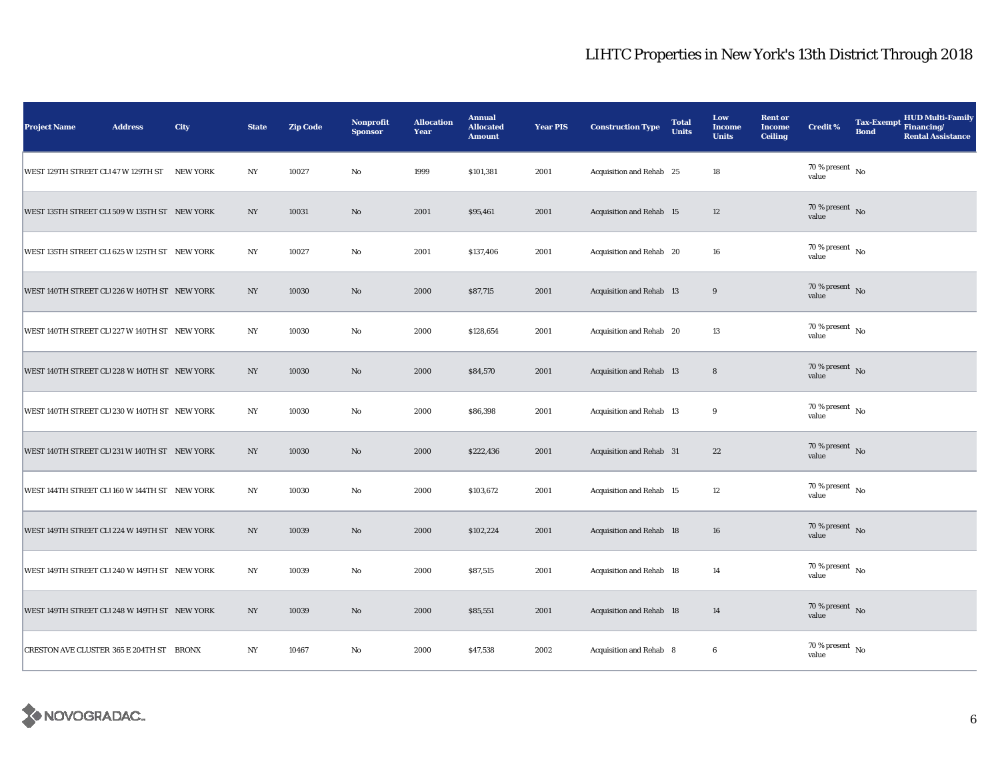| <b>Project Name</b>                           | <b>Address</b> | City | <b>State</b>     | <b>Zip Code</b> | <b>Nonprofit</b><br><b>Sponsor</b> | <b>Allocation</b><br>Year | <b>Annual</b><br><b>Allocated</b><br><b>Amount</b> | <b>Year PIS</b> | <b>Construction Type</b>        | <b>Total</b><br><b>Units</b> | Low<br><b>Income</b><br><b>Units</b> | <b>Rent or</b><br><b>Income</b><br><b>Ceiling</b> | <b>Credit %</b>                      | <b>Bond</b> | <b>HUD Multi-Family</b><br>Tax-Exempt Financing/<br><b>Rental Assistance</b> |
|-----------------------------------------------|----------------|------|------------------|-----------------|------------------------------------|---------------------------|----------------------------------------------------|-----------------|---------------------------------|------------------------------|--------------------------------------|---------------------------------------------------|--------------------------------------|-------------|------------------------------------------------------------------------------|
| WEST 129TH STREET CLI 47 W 129TH ST NEW YORK  |                |      | NY               | 10027           | No                                 | 1999                      | \$101,381                                          | 2001            | Acquisition and Rehab 25        |                              | 18                                   |                                                   | 70 % present $\hbox{~No}$<br>value   |             |                                                                              |
| WEST 135TH STREET CLI 509 W 135TH ST NEW YORK |                |      | $_{\mathrm{NY}}$ | 10031           | No                                 | 2001                      | \$95,461                                           | 2001            | Acquisition and Rehab 15        |                              | 12                                   |                                                   | $70\%$ present No<br>value           |             |                                                                              |
| WEST 135TH STREET CLI 625 W 125TH ST NEW YORK |                |      | $_{\mathrm{NY}}$ | 10027           | No                                 | 2001                      | \$137,406                                          | 2001            | Acquisition and Rehab 20        |                              | 16                                   |                                                   | $70$ % present $\,$ No $\,$<br>value |             |                                                                              |
| WEST 140TH STREET CL1226 W 140TH ST NEW YORK  |                |      | NY               | 10030           | No                                 | 2000                      | \$87,715                                           | 2001            | <b>Acquisition and Rehab 13</b> |                              | 9                                    |                                                   | 70 % present $\,$ No $\,$<br>value   |             |                                                                              |
| WEST 140TH STREET CL1227 W 140TH ST NEW YORK  |                |      | $_{\mathrm{NY}}$ | 10030           | No                                 | 2000                      | \$128,654                                          | 2001            | Acquisition and Rehab 20        |                              | 13                                   |                                                   | $70$ % present $\,$ No $\,$<br>value |             |                                                                              |
| WEST 140TH STREET CL1228 W 140TH ST NEW YORK  |                |      | $_{\mathrm{NY}}$ | 10030           | No                                 | 2000                      | \$84,570                                           | 2001            | Acquisition and Rehab 13        |                              | $\bf8$                               |                                                   | $70\%$ present No<br>value           |             |                                                                              |
| WEST 140TH STREET CL1230 W 140TH ST NEW YORK  |                |      | $_{\mathrm{NY}}$ | 10030           | No                                 | 2000                      | \$86,398                                           | 2001            | Acquisition and Rehab 13        |                              | 9                                    |                                                   | 70 % present $\hbox{~No}$<br>value   |             |                                                                              |
| WEST 140TH STREET CL1231 W 140TH ST NEW YORK  |                |      | $_{\mathrm{NY}}$ | 10030           | $\mathbf{N}\mathbf{o}$             | 2000                      | \$222,436                                          | 2001            | Acquisition and Rehab 31        |                              | 22                                   |                                                   | 70 % present $\bar{N}$ o<br>value    |             |                                                                              |
| WEST 144TH STREET CLI 160 W 144TH ST NEW YORK |                |      | $_{\mathrm{NY}}$ | 10030           | No                                 | 2000                      | \$103,672                                          | 2001            | Acquisition and Rehab 15        |                              | 12                                   |                                                   | 70 % present $\,$ No $\,$<br>value   |             |                                                                              |
| WEST 149TH STREET CL1224 W 149TH ST NEW YORK  |                |      | NY               | 10039           | $\mathbf{N}\mathbf{o}$             | 2000                      | \$102,224                                          | 2001            | <b>Acquisition and Rehab 18</b> |                              | 16                                   |                                                   | $70\%$ present No<br>value           |             |                                                                              |
| WEST 149TH STREET CLI 240 W 149TH ST NEW YORK |                |      | NY               | 10039           | No                                 | 2000                      | \$87,515                                           | 2001            | Acquisition and Rehab 18        |                              | 14                                   |                                                   | 70 % present $\hbox{~No}$<br>value   |             |                                                                              |
| WEST 149TH STREET CL1248 W 149TH ST NEW YORK  |                |      | $_{\mathrm{NY}}$ | 10039           | $\mathbf{N}\mathbf{o}$             | 2000                      | \$85,551                                           | 2001            | <b>Acquisition and Rehab 18</b> |                              | 14                                   |                                                   | 70 % present $\hbox{~No}$<br>value   |             |                                                                              |
| CRESTON AVE CLUSTER 365 E 204TH ST BRONX      |                |      | NY               | 10467           | No                                 | 2000                      | \$47,538                                           | 2002            | Acquisition and Rehab 8         |                              | 6                                    |                                                   | $70$ % present $\,$ No $\,$<br>value |             |                                                                              |

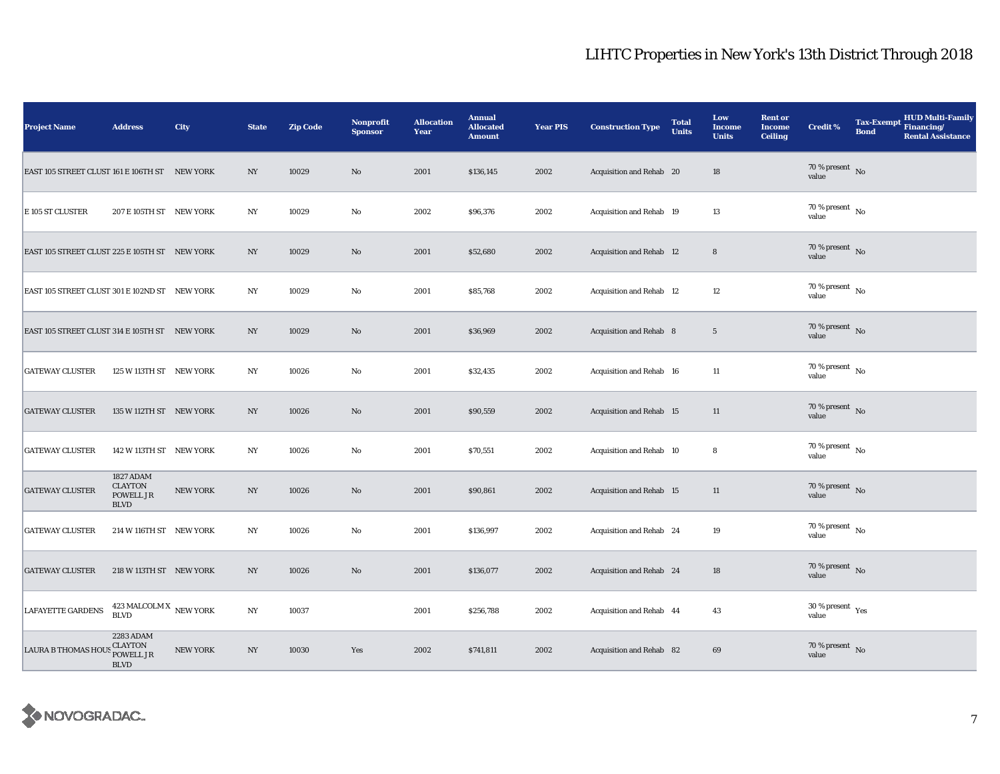| <b>Project Name</b>                           | <b>Address</b>                                          | City            | <b>State</b>     | <b>Zip Code</b> | Nonprofit<br><b>Sponsor</b> | <b>Allocation</b><br>Year | <b>Annual</b><br><b>Allocated</b><br><b>Amount</b> | <b>Year PIS</b> | <b>Construction Type</b>        | <b>Total</b><br><b>Units</b> | Low<br><b>Income</b><br><b>Units</b> | <b>Rent or</b><br><b>Income</b><br><b>Ceiling</b> | <b>Credit %</b>                        | <b>Bond</b> | HUD Multi-Family<br>Tax-Exempt Financing/<br><b>Rental Assistance</b> |
|-----------------------------------------------|---------------------------------------------------------|-----------------|------------------|-----------------|-----------------------------|---------------------------|----------------------------------------------------|-----------------|---------------------------------|------------------------------|--------------------------------------|---------------------------------------------------|----------------------------------------|-------------|-----------------------------------------------------------------------|
| EAST 105 STREET CLUST 161 E 106TH ST NEW YORK |                                                         |                 | NY               | 10029           | $\mathbf{N}\mathbf{o}$      | 2001                      | \$136,145                                          | 2002            | Acquisition and Rehab 20        |                              | 18                                   |                                                   | 70 % present $\hbox{~No}$<br>value     |             |                                                                       |
| <b>E 105 ST CLUSTER</b>                       | 207 E 105TH ST NEW YORK                                 |                 | NY               | 10029           | No                          | 2002                      | \$96,376                                           | 2002            | Acquisition and Rehab 19        |                              | 13                                   |                                                   | $70$ % present $\,$ No $\,$<br>value   |             |                                                                       |
| EAST 105 STREET CLUST 225 E 105TH ST NEW YORK |                                                         |                 | $_{\mathrm{NY}}$ | 10029           | No                          | 2001                      | \$52,680                                           | 2002            | <b>Acquisition and Rehab 12</b> |                              | ${\bf 8}$                            |                                                   | 70 % present $\hbox{~No}$<br>value     |             |                                                                       |
| EAST 105 STREET CLUST 301 E 102ND ST NEW YORK |                                                         |                 | NY               | 10029           | $\rm No$                    | 2001                      | \$85,768                                           | 2002            | Acquisition and Rehab 12        |                              | 12                                   |                                                   | 70 % present $\hbox{~No}$<br>value     |             |                                                                       |
| EAST 105 STREET CLUST 314 E 105TH ST NEW YORK |                                                         |                 | NY               | 10029           | No                          | 2001                      | \$36,969                                           | 2002            | Acquisition and Rehab 8         |                              | $5\phantom{.0}$                      |                                                   | 70 % present $\hbox{~No}$<br>value     |             |                                                                       |
| <b>GATEWAY CLUSTER</b>                        | 125 W 113TH ST NEW YORK                                 |                 | NY               | 10026           | No                          | 2001                      | \$32,435                                           | 2002            | Acquisition and Rehab 16        |                              | 11                                   |                                                   | $70$ % present $\,$ No $\,$<br>value   |             |                                                                       |
| <b>GATEWAY CLUSTER</b>                        | 135 W 112TH ST NEW YORK                                 |                 | NY               | 10026           | No                          | 2001                      | \$90,559                                           | 2002            | Acquisition and Rehab 15        |                              | 11                                   |                                                   | 70 % present $\overline{N}$<br>value   |             |                                                                       |
| <b>GATEWAY CLUSTER</b>                        | 142 W 113TH ST NEW YORK                                 |                 | NY               | 10026           | No                          | 2001                      | \$70,551                                           | 2002            | Acquisition and Rehab 10        |                              | 8                                    |                                                   | 70 % present $\hbox{~No}$<br>value     |             |                                                                       |
| <b>GATEWAY CLUSTER</b>                        | 1827 ADAM<br><b>CLAYTON</b><br>POWELL JR<br><b>BLVD</b> | <b>NEW YORK</b> | $_{\mathrm{NY}}$ | 10026           | No                          | 2001                      | \$90,861                                           | 2002            | Acquisition and Rehab 15        |                              | 11                                   |                                                   | $70$ % present $$\rm{No}$$ value       |             |                                                                       |
| <b>GATEWAY CLUSTER</b>                        | 214 W 116TH ST NEW YORK                                 |                 | NY               | 10026           | $\rm No$                    | 2001                      | \$136,997                                          | 2002            | Acquisition and Rehab 24        |                              | 19                                   |                                                   | $70$ % present $\,$ No $\,$<br>value   |             |                                                                       |
| <b>GATEWAY CLUSTER</b>                        | 218 W 113TH ST NEW YORK                                 |                 | NY               | 10026           | No                          | 2001                      | \$136,077                                          | 2002            | Acquisition and Rehab 24        |                              | 18                                   |                                                   | $70$ % present $$\rm{No}$$ value       |             |                                                                       |
| <b>LAFAYETTE GARDENS</b>                      | $423$ MALCOLM X $$\,{\rm NEW\,YORK}$$ BLVD              |                 | NY               | 10037           |                             | 2001                      | \$256,788                                          | 2002            | Acquisition and Rehab 44        |                              | 43                                   |                                                   | $30$ % present $\,$ $\rm Yes$<br>value |             |                                                                       |
| <b>LAURA B THOMAS HOU</b>                     | 2283 ADAM<br>CLAYTON<br>POWELL JR<br><b>BLVD</b>        | <b>NEW YORK</b> | NY               | 10030           | Yes                         | 2002                      | \$741,811                                          | 2002            | Acquisition and Rehab 82        |                              | 69                                   |                                                   | $70\,\%$ present $\,$ No value         |             |                                                                       |

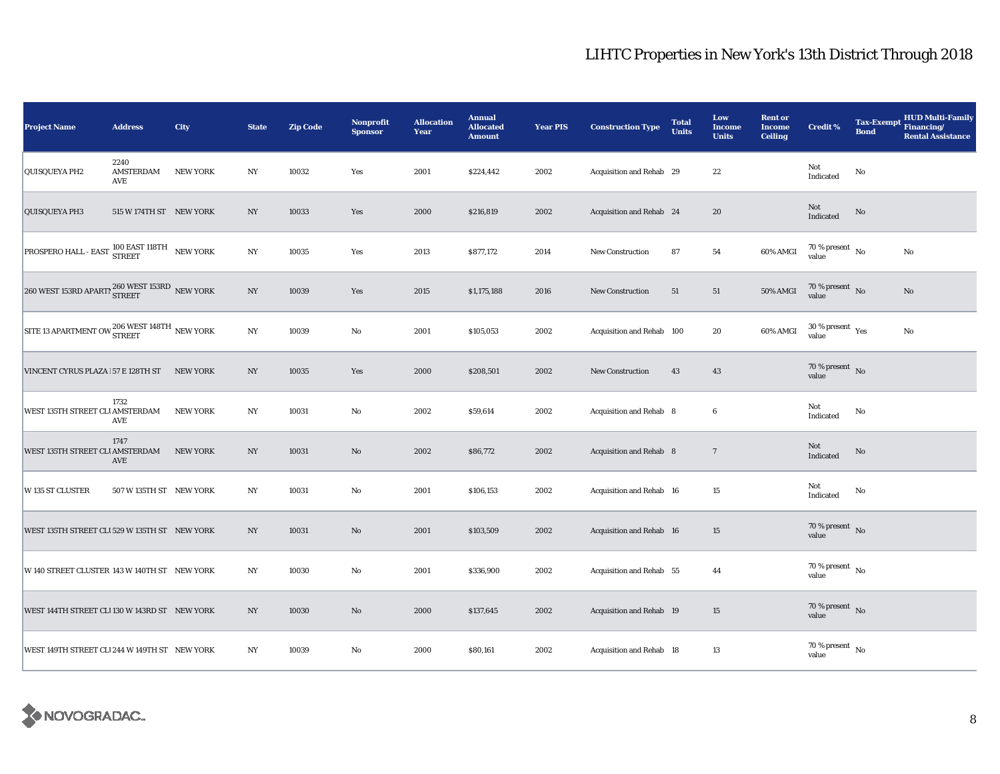| <b>Project Name</b>                                                                   | <b>Address</b>           | City            | <b>State</b>     | <b>Zip Code</b> | <b>Nonprofit</b><br><b>Sponsor</b> | <b>Allocation</b><br>Year | <b>Annual</b><br><b>Allocated</b><br><b>Amount</b> | <b>Year PIS</b> | <b>Construction Type</b>  | <b>Total</b><br><b>Units</b> | Low<br><b>Income</b><br><b>Units</b> | <b>Rent or</b><br><b>Income</b><br><b>Ceiling</b> | <b>Credit %</b>                              | <b>Bond</b> | <b>HUD Multi-Family</b><br>Tax-Exempt Financing/<br><b>Rental Assistance</b> |
|---------------------------------------------------------------------------------------|--------------------------|-----------------|------------------|-----------------|------------------------------------|---------------------------|----------------------------------------------------|-----------------|---------------------------|------------------------------|--------------------------------------|---------------------------------------------------|----------------------------------------------|-------------|------------------------------------------------------------------------------|
| QUISQUEYA PH2                                                                         | 2240<br>AMSTERDAM<br>AVE | <b>NEW YORK</b> | $_{\mathrm{NY}}$ | 10032           | Yes                                | 2001                      | \$224,442                                          | 2002            | Acquisition and Rehab 29  |                              | $22\,$                               |                                                   | Not<br>Indicated                             | No          |                                                                              |
| <b>QUISQUEYA PH3</b>                                                                  | 515 W 174TH ST NEW YORK  |                 | NY               | 10033           | Yes                                | 2000                      | \$216,819                                          | 2002            | Acquisition and Rehab 24  |                              | 20                                   |                                                   | Not<br>Indicated                             | $\rm No$    |                                                                              |
| PROSPERO HALL - EAST 100 EAST 118TH NEW YORK                                          |                          |                 | $_{\mathrm{NY}}$ | 10035           | Yes                                | 2013                      | \$877,172                                          | 2014            | New Construction          | 87                           | 54                                   | 60% AMGI                                          | $70$ % present $\,$ No $\,$<br>value         |             | No                                                                           |
| $\,$ 260 WEST 153RD APARTI $_{\rm STREF}^{260\,\rm{WEST}}$ 153RD $\,$ NEW YORK        |                          |                 | NY               | 10039           | Yes                                | 2015                      | \$1,175,188                                        | 2016            | New Construction          | 51                           | 51                                   | <b>50% AMGI</b>                                   | 70 % present $\,$ No $\,$<br>value           |             | No                                                                           |
| SITE 13 APARTMENT OW $\frac{206 \text{ WEST } 148 \text{TH}}{\text{SIREET}}$ NEW YORK |                          |                 | NY               | 10039           | No                                 | 2001                      | \$105,053                                          | 2002            | Acquisition and Rehab 100 |                              | 20                                   | 60% AMGI                                          | $30$ % present $\rm\thinspace\,Yes$<br>value |             | No                                                                           |
| VINCENT CYRUS PLAZA 157 E 128TH ST                                                    |                          | <b>NEW YORK</b> | $_{\mathrm{NY}}$ | 10035           | Yes                                | 2000                      | \$208,501                                          | 2002            | New Construction          | 43                           | 43                                   |                                                   | 70 % present $\hbox{~No}$<br>value           |             |                                                                              |
| WEST 135TH STREET CLI AMSTERDAM                                                       | 1732<br>AVE              | <b>NEW YORK</b> | $_{\mathrm{NY}}$ | 10031           | $\rm No$                           | 2002                      | \$59,614                                           | 2002            | Acquisition and Rehab 8   |                              | 6                                    |                                                   | Not<br>Indicated                             | No          |                                                                              |
| WEST 135TH STREET CLI AMSTERDAM                                                       | 1747<br>AVE              | <b>NEW YORK</b> | $_{\mathrm{NY}}$ | 10031           | $\rm No$                           | 2002                      | \$86,772                                           | 2002            | Acquisition and Rehab 8   |                              | $\overline{7}$                       |                                                   | Not<br>Indicated                             | No          |                                                                              |
| W 135 ST CLUSTER                                                                      | 507 W 135TH ST NEW YORK  |                 | $_{\mathrm{NY}}$ | 10031           | No                                 | 2001                      | \$106,153                                          | 2002            | Acquisition and Rehab 16  |                              | 15                                   |                                                   | Not<br>Indicated                             | No          |                                                                              |
| WEST 135TH STREET CLI 529 W 135TH ST NEW YORK                                         |                          |                 | NY               | 10031           | $\rm No$                           | 2001                      | \$103,509                                          | 2002            | Acquisition and Rehab 16  |                              | $15\,$                               |                                                   | 70 % present $\,$ No $\,$<br>value           |             |                                                                              |
| W 140 STREET CLUSTER 143 W 140TH ST NEW YORK                                          |                          |                 | NY               | 10030           | No                                 | 2001                      | \$336,900                                          | 2002            | Acquisition and Rehab 55  |                              | 44                                   |                                                   | 70 % present $\hbox{~No}$<br>value           |             |                                                                              |
| WEST 144TH STREET CLI 130 W 143RD ST NEW YORK                                         |                          |                 | NY               | 10030           | $\rm No$                           | 2000                      | \$137,645                                          | 2002            | Acquisition and Rehab 19  |                              | 15                                   |                                                   | $70$ % present $$\rm{No}$$ value             |             |                                                                              |
| WEST 149TH STREET CLI 244 W 149TH ST NEW YORK                                         |                          |                 | NY               | 10039           | No                                 | 2000                      | \$80,161                                           | 2002            | Acquisition and Rehab 18  |                              | 13                                   |                                                   | $70\%$ present $\overline{N_0}$<br>value     |             |                                                                              |

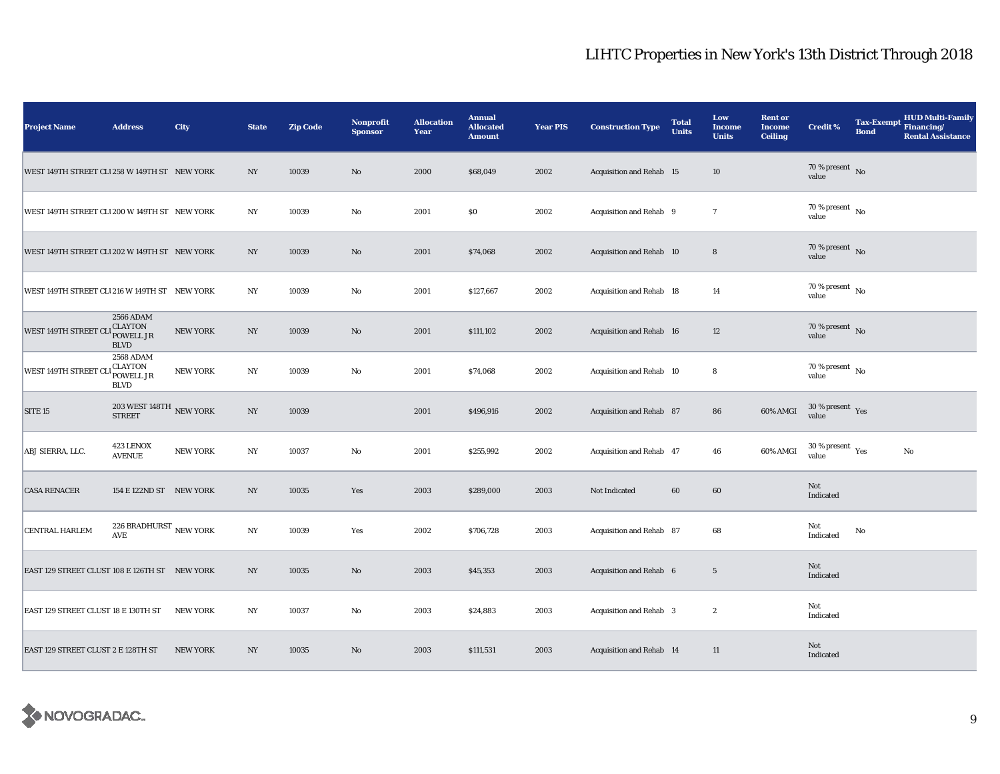| <b>Project Name</b>                           | <b>Address</b>                                          | City            | <b>State</b>     | <b>Zip Code</b> | <b>Nonprofit</b><br><b>Sponsor</b> | <b>Allocation</b><br>Year | <b>Annual</b><br><b>Allocated</b><br><b>Amount</b> | <b>Year PIS</b> | <b>Construction Type</b> | <b>Total</b><br><b>Units</b> | Low<br><b>Income</b><br><b>Units</b> | <b>Rent or</b><br><b>Income</b><br><b>Ceiling</b> | <b>Credit %</b>                          | <b>Tax-Exempt</b><br><b>Bond</b> | HUD Multi-Family<br>Financing/<br><b>Rental Assistance</b> |
|-----------------------------------------------|---------------------------------------------------------|-----------------|------------------|-----------------|------------------------------------|---------------------------|----------------------------------------------------|-----------------|--------------------------|------------------------------|--------------------------------------|---------------------------------------------------|------------------------------------------|----------------------------------|------------------------------------------------------------|
| WEST 149TH STREET CL1258 W 149TH ST NEW YORK  |                                                         |                 | $_{\mathrm{NY}}$ | 10039           | $\rm No$                           | 2000                      | \$68,049                                           | 2002            | Acquisition and Rehab 15 |                              | 10                                   |                                                   | 70 % present $\hbox{~No}$<br>value       |                                  |                                                            |
| WEST 149TH STREET CL1200 W 149TH ST NEW YORK  |                                                         |                 | $_{\mathrm{NY}}$ | 10039           | $\mathbf {No}$                     | 2001                      | \$0                                                | 2002            | Acquisition and Rehab 9  |                              | $\overline{7}$                       |                                                   | 70 % present $\,$ No $\,$<br>value       |                                  |                                                            |
| WEST 149TH STREET CL1202 W 149TH ST NEW YORK  |                                                         |                 | NY               | 10039           | $\rm No$                           | 2001                      | \$74,068                                           | 2002            | Acquisition and Rehab 10 |                              | $\bf8$                               |                                                   | 70 % present $\,$ No $\,$<br>value       |                                  |                                                            |
| WEST 149TH STREET CL1216 W 149TH ST NEW YORK  |                                                         |                 | NY               | 10039           | No                                 | 2001                      | \$127,667                                          | 2002            | Acquisition and Rehab 18 |                              | 14                                   |                                                   | 70 % present $\hbox{~No}$<br>value       |                                  |                                                            |
| WEST 149TH STREET C                           | 2566 ADAM<br><b>CLAYTON</b><br>POWELL JR<br><b>BLVD</b> | <b>NEW YORK</b> | NY               | 10039           | $\rm No$                           | 2001                      | \$111,102                                          | 2002            | Acquisition and Rehab 16 |                              | 12                                   |                                                   | 70 % present $\,$ No $\,$<br>value       |                                  |                                                            |
| WEST 149TH STREET C                           | 2568 ADAM<br><b>CLAYTON</b><br>POWELL JR<br><b>BLVD</b> | <b>NEW YORK</b> | $_{\mathrm{NY}}$ | 10039           | $\rm No$                           | 2001                      | \$74,068                                           | 2002            | Acquisition and Rehab 10 |                              | 8                                    |                                                   | $70\,\%$ present $\,$ No $\,$<br>value   |                                  |                                                            |
| SITE <sub>15</sub>                            | 203 WEST 148TH $_{\rm{NEW} \,YORK}$<br><b>STREET</b>    |                 | $_{\mathrm{NY}}$ | 10039           |                                    | 2001                      | \$496,916                                          | 2002            | Acquisition and Rehab 87 |                              | 86                                   | 60% AMGI                                          | $30$ % present $\,$ $\rm Yes$<br>value   |                                  |                                                            |
| ABJ SIERRA, LLC.                              | 423 LENOX<br><b>AVENUE</b>                              | <b>NEW YORK</b> | $_{\mathrm{NY}}$ | 10037           | $\rm No$                           | 2001                      | \$255,992                                          | 2002            | Acquisition and Rehab 47 |                              | 46                                   | 60% AMGI                                          | $30\,\%$ present $\,$ $\rm Yes$<br>value |                                  | $\rm No$                                                   |
| <b>CASA RENACER</b>                           | 154 E 122ND ST NEW YORK                                 |                 | NY               | 10035           | Yes                                | 2003                      | \$289,000                                          | 2003            | Not Indicated            | 60                           | 60                                   |                                                   | Not<br>Indicated                         |                                  |                                                            |
| <b>CENTRAL HARLEM</b>                         | 226 BRADHURST $_{\rm NEW\ YORK}$<br>AVE                 |                 | NY               | 10039           | Yes                                | 2002                      | \$706,728                                          | 2003            | Acquisition and Rehab 87 |                              | 68                                   |                                                   | Not<br>Indicated                         | No                               |                                                            |
| EAST 129 STREET CLUST 108 E 126TH ST NEW YORK |                                                         |                 | NY               | 10035           | $\rm No$                           | 2003                      | \$45,353                                           | 2003            | Acquisition and Rehab 6  |                              | $5\phantom{.0}$                      |                                                   | Not<br>Indicated                         |                                  |                                                            |
| EAST 129 STREET CLUST 18 E 130TH ST           |                                                         | <b>NEW YORK</b> | $_{\mathrm{NY}}$ | 10037           | $\rm No$                           | 2003                      | \$24,883                                           | 2003            | Acquisition and Rehab 3  |                              | $\boldsymbol{2}$                     |                                                   | Not<br>Indicated                         |                                  |                                                            |
| EAST 129 STREET CLUST 2 E 128TH ST            |                                                         | <b>NEW YORK</b> | NY               | 10035           | No                                 | 2003                      | \$111,531                                          | 2003            | Acquisition and Rehab 14 |                              | 11                                   |                                                   | Not<br>Indicated                         |                                  |                                                            |

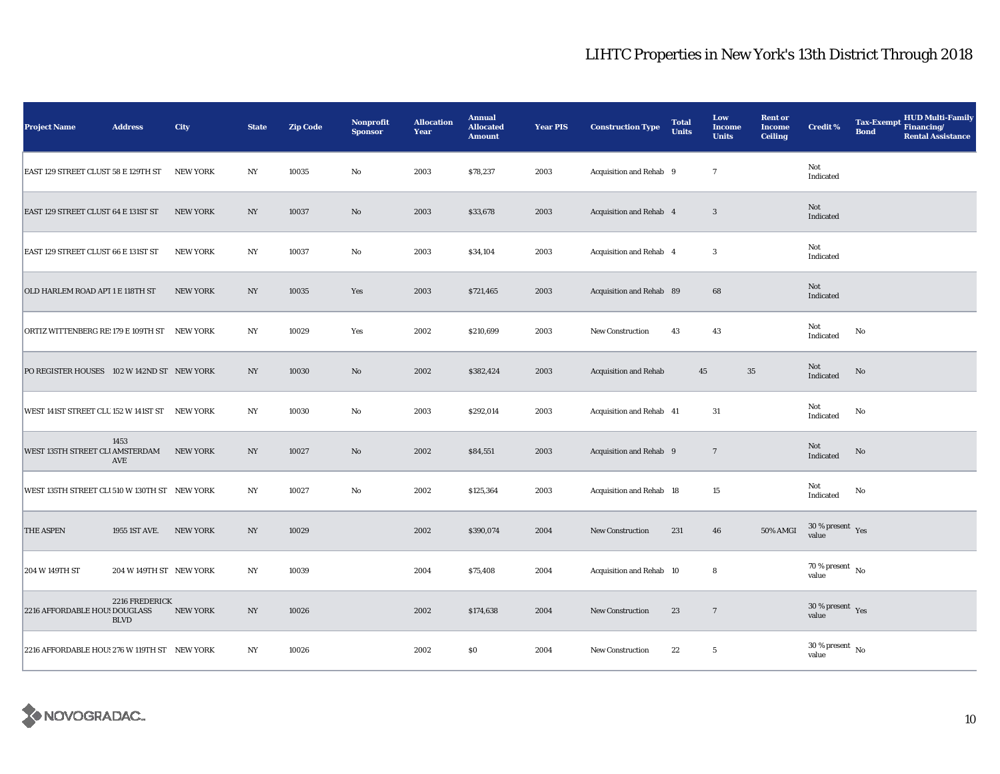| <b>Project Name</b>                           | <b>Address</b>                | City            | <b>State</b>     | <b>Zip Code</b> | <b>Nonprofit</b><br><b>Sponsor</b> | <b>Allocation</b><br>Year | <b>Annual</b><br><b>Allocated</b><br><b>Amount</b> | <b>Year PIS</b> | <b>Construction Type</b>     | <b>Total</b><br><b>Units</b> | Low<br><b>Income</b><br><b>Units</b> | <b>Rent or</b><br><b>Income</b><br><b>Ceiling</b> | <b>Credit %</b>                          | <b>Bond</b>   | <b>HUD Multi-Family</b><br>Tax-Exempt Financing/<br><b>Rental Assistance</b> |
|-----------------------------------------------|-------------------------------|-----------------|------------------|-----------------|------------------------------------|---------------------------|----------------------------------------------------|-----------------|------------------------------|------------------------------|--------------------------------------|---------------------------------------------------|------------------------------------------|---------------|------------------------------------------------------------------------------|
| EAST 129 STREET CLUST 58 E 129TH ST           |                               | <b>NEW YORK</b> | NY               | 10035           | No                                 | 2003                      | \$78,237                                           | 2003            | Acquisition and Rehab 9      |                              | $\tau$                               |                                                   | Not<br>Indicated                         |               |                                                                              |
| EAST 129 STREET CLUST 64 E 131ST ST           |                               | <b>NEW YORK</b> | $_{\mathrm{NY}}$ | 10037           | $\rm No$                           | 2003                      | \$33,678                                           | 2003            | Acquisition and Rehab 4      |                              | $\mathbf{3}$                         |                                                   | Not<br>Indicated                         |               |                                                                              |
| EAST 129 STREET CLUST 66 E 131ST ST           |                               | <b>NEW YORK</b> | $_{\mathrm{NY}}$ | 10037           | No                                 | 2003                      | \$34,104                                           | 2003            | Acquisition and Rehab 4      |                              | $\boldsymbol{3}$                     |                                                   | Not<br>Indicated                         |               |                                                                              |
| OLD HARLEM ROAD APT 1 E 118TH ST              |                               | <b>NEW YORK</b> | NY.              | 10035           | Yes                                | 2003                      | \$721,465                                          | 2003            | Acquisition and Rehab 89     |                              | 68                                   |                                                   | Not<br>Indicated                         |               |                                                                              |
| ORTIZ WITTENBERG RE: 179 E 109TH ST NEW YORK  |                               |                 | $_{\mathrm{NY}}$ | 10029           | Yes                                | 2002                      | \$210,699                                          | 2003            | <b>New Construction</b>      | 43                           | 43                                   |                                                   | Not<br>Indicated                         | $\mathbf{No}$ |                                                                              |
| PO REGISTER HOUSES 102 W 142ND ST NEW YORK    |                               |                 | NY               | 10030           | No                                 | 2002                      | \$382,424                                          | 2003            | <b>Acquisition and Rehab</b> | 45                           | 35                                   |                                                   | Not<br>Indicated                         | No            |                                                                              |
| WEST 141ST STREET CLU 152 W 141ST ST NEW YORK |                               |                 | NY               | 10030           | No                                 | 2003                      | \$292,014                                          | 2003            | Acquisition and Rehab 41     |                              | 31                                   |                                                   | Not<br>Indicated                         | No            |                                                                              |
| WEST 135TH STREET CLI AMSTERDAM               | 1453<br>AVE                   | <b>NEW YORK</b> | NY.              | 10027           | No                                 | 2002                      | \$84,551                                           | 2003            | Acquisition and Rehab 9      |                              | $\overline{7}$                       |                                                   | Not<br>Indicated                         | No            |                                                                              |
| WEST 135TH STREET CLI 510 W 130TH ST NEW YORK |                               |                 | $_{\mathrm{NY}}$ | 10027           | $\rm No$                           | 2002                      | \$125,364                                          | 2003            | Acquisition and Rehab 18     |                              | 15                                   |                                                   | Not<br>Indicated                         | No            |                                                                              |
| <b>THE ASPEN</b>                              | 1955 1ST AVE.                 | <b>NEW YORK</b> | $_{\mathrm{NY}}$ | 10029           |                                    | 2002                      | \$390,074                                          | 2004            | New Construction             | 231                          | 46                                   | <b>50% AMGI</b>                                   | 30 % present $\gamma_{\rm{es}}$<br>value |               |                                                                              |
| 204 W 149TH ST                                | 204 W 149TH ST NEW YORK       |                 | NY               | 10039           |                                    | 2004                      | \$75,408                                           | 2004            | Acquisition and Rehab 10     |                              | 8                                    |                                                   | 70 % present $\hbox{~No}$<br>value       |               |                                                                              |
| 2216 AFFORDABLE HOU! DOUGLASS                 | 2216 FREDERICK<br><b>BLVD</b> | <b>NEW YORK</b> | NY               | 10026           |                                    | 2002                      | \$174,638                                          | 2004            | <b>New Construction</b>      | 23                           | $\overline{7}$                       |                                                   | $30$ % present $\,$ $\rm Yes$<br>value   |               |                                                                              |
| 2216 AFFORDABLE HOU! 276 W 119TH ST NEW YORK  |                               |                 | $_{\mathrm{NY}}$ | 10026           |                                    | 2002                      | \$0                                                | 2004            | New Construction             | 22                           | $5\phantom{.0}$                      |                                                   | $30\,\%$ present $\,$ No value           |               |                                                                              |

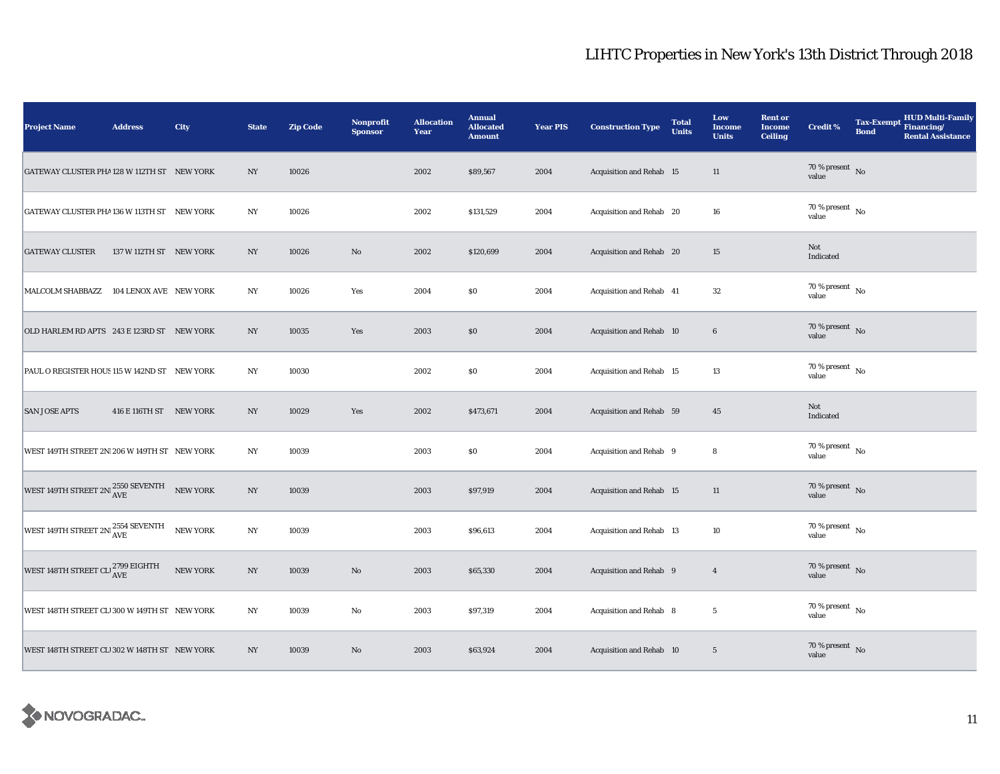| <b>Project Name</b>                              | <b>Address</b>          | City            | <b>State</b>     | <b>Zip Code</b> | <b>Nonprofit</b><br><b>Sponsor</b> | <b>Allocation</b><br>Year | <b>Annual</b><br><b>Allocated</b><br><b>Amount</b> | <b>Year PIS</b> | <b>Construction Type</b>        | <b>Total</b><br><b>Units</b> | Low<br><b>Income</b><br><b>Units</b> | <b>Rent or</b><br><b>Income</b><br><b>Ceiling</b> | <b>Credit %</b>                        | <b>Tax-Exempt</b><br><b>Bond</b> | <b>HUD Multi-Family</b><br>Financing/<br><b>Rental Assistance</b> |
|--------------------------------------------------|-------------------------|-----------------|------------------|-----------------|------------------------------------|---------------------------|----------------------------------------------------|-----------------|---------------------------------|------------------------------|--------------------------------------|---------------------------------------------------|----------------------------------------|----------------------------------|-------------------------------------------------------------------|
| GATEWAY CLUSTER PHA 128 W 112TH ST NEW YORK      |                         |                 | NY               | 10026           |                                    | 2002                      | \$89,567                                           | 2004            | Acquisition and Rehab 15        |                              | $11\,$                               |                                                   | 70 % present $\hbox{~No}$<br>value     |                                  |                                                                   |
| GATEWAY CLUSTER PHA 136 W 113TH ST NEW YORK      |                         |                 | $_{\mathrm{NY}}$ | 10026           |                                    | 2002                      | \$131,529                                          | 2004            | Acquisition and Rehab 20        |                              | 16                                   |                                                   | $70\,\%$ present $\,$ No $\,$<br>value |                                  |                                                                   |
| <b>GATEWAY CLUSTER</b>                           | 137 W 112TH ST NEW YORK |                 | NY               | 10026           | No                                 | 2002                      | \$120,699                                          | 2004            | Acquisition and Rehab 20        |                              | 15                                   |                                                   | Not<br>Indicated                       |                                  |                                                                   |
| MALCOLM SHABBAZZ 104 LENOX AVE NEW YORK          |                         |                 | NY               | 10026           | Yes                                | 2004                      | $\$0$                                              | 2004            | Acquisition and Rehab 41        |                              | $32\,$                               |                                                   | 70 % present $\hbox{~No}$<br>value     |                                  |                                                                   |
| OLD HARLEM RD APTS 243 E 123RD ST NEW YORK       |                         |                 | NY               | 10035           | Yes                                | 2003                      | \$0                                                | 2004            | Acquisition and Rehab 10        |                              | $\boldsymbol{6}$                     |                                                   | 70 % present $\,$ No $\,$<br>value     |                                  |                                                                   |
| PAUL O REGISTER HOUS 115 W 142ND ST NEW YORK     |                         |                 | NY               | 10030           |                                    | 2002                      | \$0                                                | 2004            | Acquisition and Rehab 15        |                              | 13                                   |                                                   | $70$ % present $\,$ No $\,$<br>value   |                                  |                                                                   |
| <b>SAN JOSE APTS</b>                             | 416 E 116TH ST NEW YORK |                 | NY               | 10029           | Yes                                | 2002                      | \$473,671                                          | 2004            | Acquisition and Rehab 59        |                              | $45\,$                               |                                                   | Not<br>Indicated                       |                                  |                                                                   |
| WEST 149TH STREET 2N 206 W 149TH ST NEW YORK     |                         |                 | $_{\mathrm{NY}}$ | 10039           |                                    | 2003                      | \$0                                                | 2004            | Acquisition and Rehab 9         |                              | 8                                    |                                                   | $70$ % present $\,$ No $\,$<br>value   |                                  |                                                                   |
| WEST 149TH STREET 2N $^{2550}_{\rm AVE}$ SEVENTH |                         | NEW YORK        | NY               | 10039           |                                    | 2003                      | \$97,919                                           | 2004            | <b>Acquisition and Rehab 15</b> |                              | 11                                   |                                                   | $70$ % present $\,$ No $\,$<br>value   |                                  |                                                                   |
| WEST 149TH STREET 2N AVE                         |                         | <b>NEW YORK</b> | $_{\mathrm{NY}}$ | 10039           |                                    | 2003                      | \$96,613                                           | 2004            | Acquisition and Rehab 13        |                              | 10                                   |                                                   | $70$ % present $\,$ No $\,$<br>value   |                                  |                                                                   |
| WEST 148TH STREET CLI $^{2799\,}_{\rm AVE}$      |                         | NEW YORK        | NY               | 10039           | $\rm No$                           | 2003                      | \$65,330                                           | 2004            | Acquisition and Rehab 9         |                              | $\overline{4}$                       |                                                   | 70 % present $\,$ No $\,$<br>value     |                                  |                                                                   |
| WEST 148TH STREET CL 300 W 149TH ST NEW YORK     |                         |                 | NY               | 10039           | No                                 | 2003                      | \$97,319                                           | 2004            | Acquisition and Rehab 8         |                              | $5\phantom{.0}$                      |                                                   | $70$ % present $\,$ No $\,$<br>value   |                                  |                                                                   |
| WEST 148TH STREET CL 302 W 148TH ST NEW YORK     |                         |                 | NY               | 10039           | No                                 | 2003                      | \$63,924                                           | 2004            | <b>Acquisition and Rehab 10</b> |                              | $5\phantom{.0}$                      |                                                   | 70 % present $\,$ No $\,$<br>value     |                                  |                                                                   |

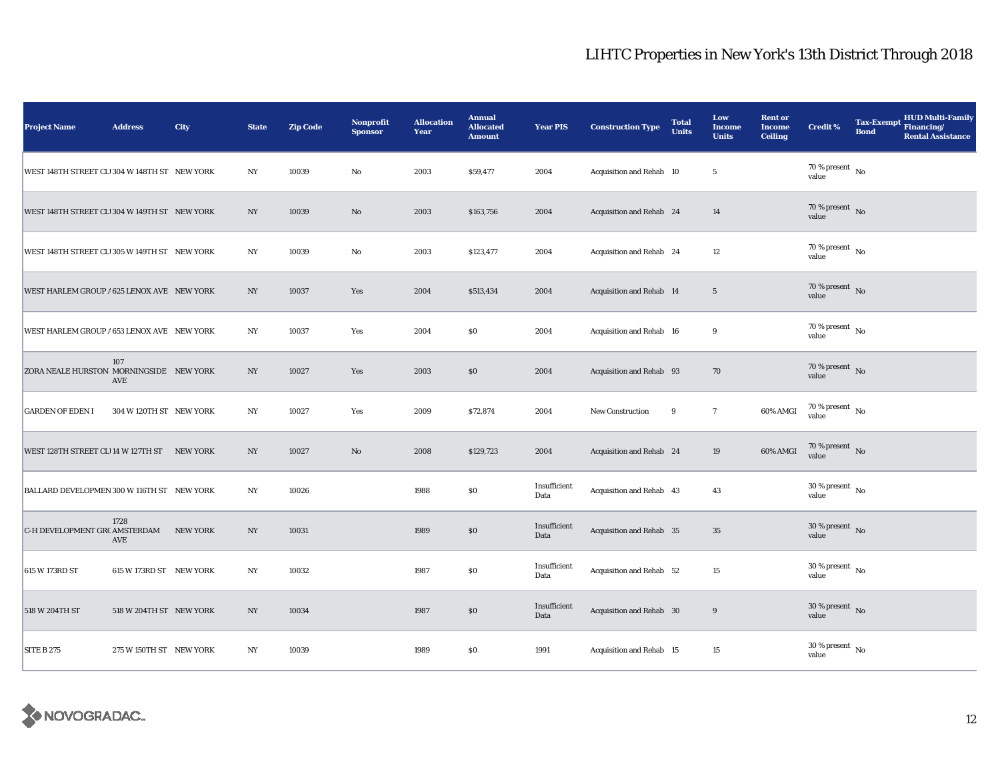| <b>Project Name</b>                          | <b>Address</b>          | City            | <b>State</b>     | <b>Zip Code</b> | <b>Nonprofit</b><br><b>Sponsor</b> | <b>Allocation</b><br>Year | <b>Annual</b><br><b>Allocated</b><br><b>Amount</b> | <b>Year PIS</b>      | <b>Construction Type</b>        | <b>Total</b><br><b>Units</b> | Low<br><b>Income</b><br><b>Units</b> | <b>Rent or</b><br><b>Income</b><br><b>Ceiling</b> | <b>Credit %</b>                          | <b>Bond</b> | <b>HUD Multi-Family</b><br>Tax-Exempt Financing/<br><b>Rental Assistance</b> |
|----------------------------------------------|-------------------------|-----------------|------------------|-----------------|------------------------------------|---------------------------|----------------------------------------------------|----------------------|---------------------------------|------------------------------|--------------------------------------|---------------------------------------------------|------------------------------------------|-------------|------------------------------------------------------------------------------|
| WEST 148TH STREET CL 304 W 148TH ST NEW YORK |                         |                 | NY               | 10039           | $\rm No$                           | 2003                      | \$59,477                                           | 2004                 | Acquisition and Rehab 10        |                              | $5\phantom{.0}$                      |                                                   | 70 % present $\hbox{~No}$<br>value       |             |                                                                              |
| WEST 148TH STREET CL 304 W 149TH ST NEW YORK |                         |                 | NY               | 10039           | $\mathbf{N}\mathbf{o}$             | 2003                      | \$163,756                                          | 2004                 | Acquisition and Rehab 24        |                              | 14                                   |                                                   | 70 % present $\overline{N_0}$<br>value   |             |                                                                              |
| WEST 148TH STREET CL 305 W 149TH ST NEW YORK |                         |                 | NY               | 10039           | No                                 | 2003                      | \$123,477                                          | 2004                 | Acquisition and Rehab 24        |                              | $12\,$                               |                                                   | $70$ % present $\,$ No $\,$<br>value     |             |                                                                              |
| WEST HARLEM GROUP / 625 LENOX AVE NEW YORK   |                         |                 | NY               | 10037           | Yes                                | 2004                      | \$513,434                                          | 2004                 | Acquisition and Rehab 14        |                              | $5\phantom{.0}$                      |                                                   | 70 % present $\hbox{~No}$<br>value       |             |                                                                              |
| WEST HARLEM GROUP / 653 LENOX AVE NEW YORK   |                         |                 | NY               | 10037           | Yes                                | 2004                      | \$0                                                | 2004                 | Acquisition and Rehab 16        |                              | 9                                    |                                                   | $70$ % present $\,$ No $\,$<br>value     |             |                                                                              |
| ZORA NEALE HURSTON MORNINGSIDE NEW YORK      | 107<br>AVE              |                 | NY               | 10027           | Yes                                | 2003                      | \$0                                                | 2004                 | Acquisition and Rehab 93        |                              | 70                                   |                                                   | 70 % present $\hbox{~No}$<br>value       |             |                                                                              |
| <b>GARDEN OF EDEN I</b>                      | 304 W 120TH ST NEW YORK |                 | NY               | 10027           | Yes                                | 2009                      | \$72,874                                           | 2004                 | New Construction                | 9                            | $\mathbf{7}$                         | 60% AMGI                                          | $70$ % present $\,$ No $\,$<br>value     |             |                                                                              |
| WEST 128TH STREET CLI14 W 127TH ST           |                         | <b>NEW YORK</b> | NY               | 10027           | $\rm No$                           | 2008                      | \$129,723                                          | 2004                 | Acquisition and Rehab 24        |                              | 19                                   | 60% AMGI                                          | 70 % present $\bar{N}$ o<br>value        |             |                                                                              |
| BALLARD DEVELOPMEN 300 W 116TH ST NEW YORK   |                         |                 | $_{\mathrm{NY}}$ | 10026           |                                    | 1988                      | \$0                                                | Insufficient<br>Data | Acquisition and Rehab 43        |                              | 43                                   |                                                   | $30\,\%$ present $_{\, \rm No}$<br>value |             |                                                                              |
| C-H DEVELOPMENT GRC AMSTERDAM                | 1728<br>AVE             | <b>NEW YORK</b> | NY               | 10031           |                                    | 1989                      | \$0                                                | Insufficient<br>Data | Acquisition and Rehab 35        |                              | 35                                   |                                                   | $30\,\%$ present $\,$ No $\,$<br>value   |             |                                                                              |
| 615 W 173RD ST                               | 615 W 173RD ST NEW YORK |                 | NY               | 10032           |                                    | 1987                      | \$0                                                | Insufficient<br>Data | Acquisition and Rehab 52        |                              | 15                                   |                                                   | $30\,\%$ present $_{\, \rm No}$<br>value |             |                                                                              |
| 518 W 204TH ST                               | 518 W 204TH ST NEW YORK |                 | NY               | 10034           |                                    | 1987                      | \$0                                                | Insufficient<br>Data | Acquisition and Rehab 30        |                              | 9                                    |                                                   | $30\,\%$ present $\,$ No $\,$<br>value   |             |                                                                              |
| <b>SITE B 275</b>                            | 275 W 150TH ST NEW YORK |                 | NY               | 10039           |                                    | 1989                      | \$0                                                | 1991                 | <b>Acquisition and Rehab 15</b> |                              | 15                                   |                                                   | $30\,\%$ present $_{\, \rm No}$<br>value |             |                                                                              |

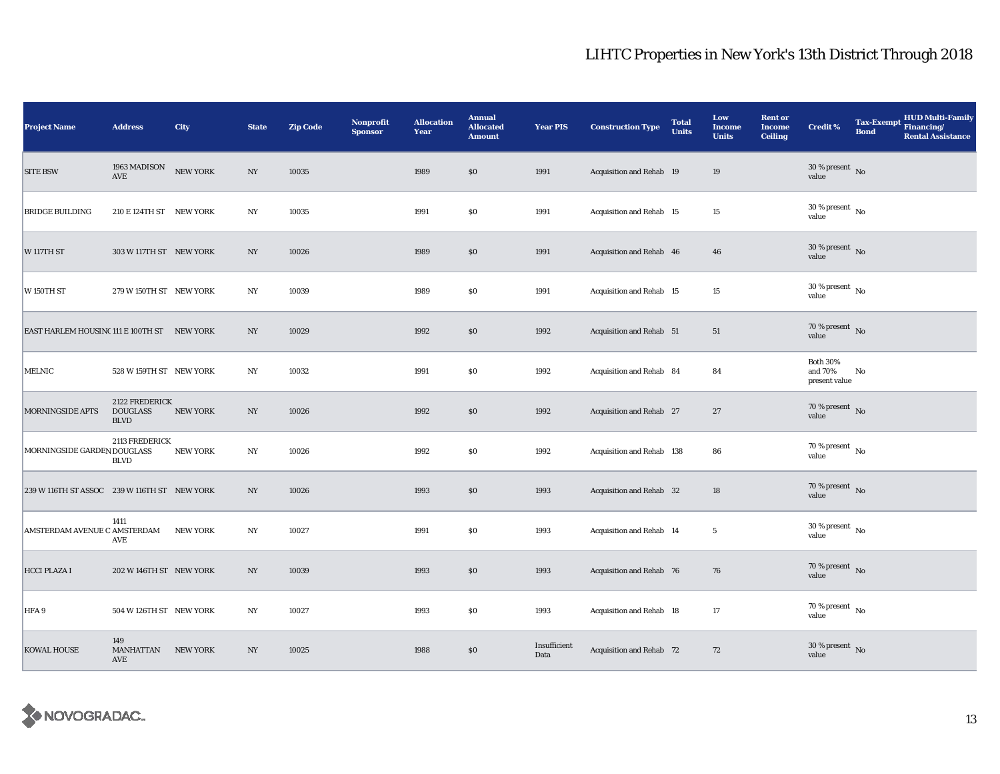| <b>Project Name</b>                          | <b>Address</b>                                   | City            | <b>State</b>     | <b>Zip Code</b> | <b>Nonprofit</b><br><b>Sponsor</b> | <b>Allocation</b><br>Year | <b>Annual</b><br><b>Allocated</b><br><b>Amount</b> | <b>Year PIS</b>      | <b>Construction Type</b>        | <b>Total</b><br><b>Units</b> | Low<br><b>Income</b><br><b>Units</b> | <b>Rent or</b><br><b>Income</b><br><b>Ceiling</b> | <b>Credit %</b>                             | <b>Bond</b> | HUD Multi-Family<br>Tax-Exempt Financing/<br><b>Rental Assistance</b> |
|----------------------------------------------|--------------------------------------------------|-----------------|------------------|-----------------|------------------------------------|---------------------------|----------------------------------------------------|----------------------|---------------------------------|------------------------------|--------------------------------------|---------------------------------------------------|---------------------------------------------|-------------|-----------------------------------------------------------------------|
| <b>SITE BSW</b>                              | 1963 MADISON<br>$\operatorname{\mathbf{AVE}}$    | <b>NEW YORK</b> | $_{\mathrm{NY}}$ | 10035           |                                    | 1989                      | \$0                                                | 1991                 | Acquisition and Rehab 19        |                              | 19                                   |                                                   | $30$ % present $\,$ No $\,$<br>value        |             |                                                                       |
| <b>BRIDGE BUILDING</b>                       | 210 E 124TH ST NEW YORK                          |                 | NY               | 10035           |                                    | 1991                      | \$0                                                | 1991                 | Acquisition and Rehab 15        |                              | 15                                   |                                                   | $30\,\%$ present $\,$ No value              |             |                                                                       |
| <b>W 117TH ST</b>                            | 303 W 117TH ST NEW YORK                          |                 | NY               | 10026           |                                    | 1989                      | \$0                                                | 1991                 | Acquisition and Rehab 46        |                              | 46                                   |                                                   | $30\,\%$ present $\,$ No $\,$<br>value      |             |                                                                       |
| W 150TH ST                                   | 279 W 150TH ST NEW YORK                          |                 | NY               | 10039           |                                    | 1989                      | $\$0$                                              | 1991                 | <b>Acquisition and Rehab 15</b> |                              | 15                                   |                                                   | $30$ % present $\,$ No $\,$<br>value        |             |                                                                       |
| EAST HARLEM HOUSINC 111 E 100TH ST NEW YORK  |                                                  |                 | NY               | 10029           |                                    | 1992                      | $\$0$                                              | 1992                 | Acquisition and Rehab 51        |                              | 51                                   |                                                   | 70 % present $\hbox{~No}$<br>value          |             |                                                                       |
| <b>MELNIC</b>                                | 528 W 159TH ST NEW YORK                          |                 | NY               | 10032           |                                    | 1991                      | \$0\$                                              | 1992                 | Acquisition and Rehab 84        |                              | 84                                   |                                                   | <b>Both 30%</b><br>and 70%<br>present value | No          |                                                                       |
| <b>MORNINGSIDE APTS</b>                      | 2122 FREDERICK<br><b>DOUGLASS</b><br><b>BLVD</b> | <b>NEW YORK</b> | $_{\mathrm{NY}}$ | 10026           |                                    | 1992                      | \$0                                                | 1992                 | Acquisition and Rehab 27        |                              | 27                                   |                                                   | 70 % present $\hbox{~No}$<br>value          |             |                                                                       |
| MORNINGSIDE GARDEN DOUGLASS                  | 2113 FREDERICK<br><b>BLVD</b>                    | <b>NEW YORK</b> | $_{\mathrm{NY}}$ | 10026           |                                    | 1992                      | $\$0$                                              | 1992                 | Acquisition and Rehab 138       |                              | 86                                   |                                                   | 70 % present $\,$ No $\,$<br>value          |             |                                                                       |
| 239 W 116TH ST ASSOC 239 W 116TH ST NEW YORK |                                                  |                 | NY               | 10026           |                                    | 1993                      | \$0\$                                              | 1993                 | Acquisition and Rehab 32        |                              | 18                                   |                                                   | 70 % present $\hbox{~No}$<br>value          |             |                                                                       |
| AMSTERDAM AVENUE C AMSTERDAM                 | 1411<br>AVE                                      | <b>NEW YORK</b> | NY               | 10027           |                                    | 1991                      | $\$0$                                              | 1993                 | Acquisition and Rehab 14        |                              | $5\phantom{.0}$                      |                                                   | $30\,\%$ present $\,$ No $\,$<br>value      |             |                                                                       |
| <b>HCCI PLAZA I</b>                          | 202 W 146TH ST NEW YORK                          |                 | NY               | 10039           |                                    | 1993                      | \$0                                                | 1993                 | Acquisition and Rehab 76        |                              | 76                                   |                                                   | $70\,\%$ present $\,$ No value              |             |                                                                       |
| HFA 9                                        | 504 W 126TH ST NEW YORK                          |                 | NY               | 10027           |                                    | 1993                      | \$0                                                | 1993                 | <b>Acquisition and Rehab 18</b> |                              | $17\,$                               |                                                   | $70\,\%$ present $\,$ No value              |             |                                                                       |
| <b>KOWAL HOUSE</b>                           | 149<br>MANHATTAN<br>AVE                          | NEW YORK        | NY               | 10025           |                                    | 1988                      | $\$0$                                              | Insufficient<br>Data | <b>Acquisition and Rehab 72</b> |                              | 72                                   |                                                   | $30\%$ present No<br>value                  |             |                                                                       |

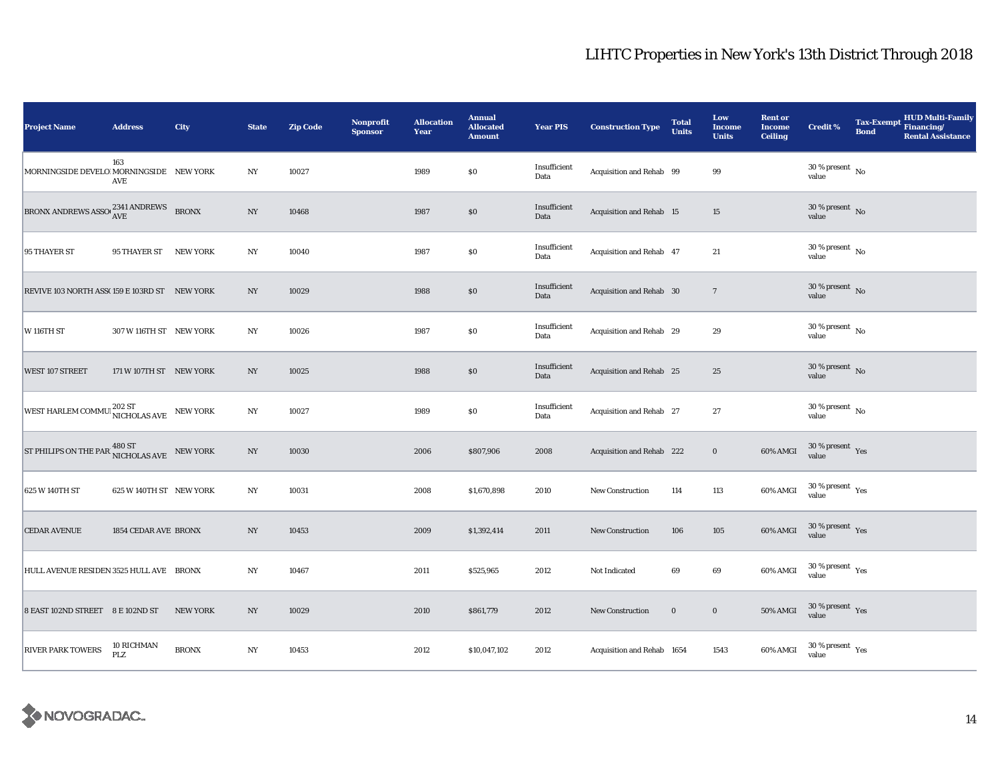| <b>Project Name</b>                             | <b>Address</b>                                 | City            | <b>State</b>     | <b>Zip Code</b> | Nonprofit<br><b>Sponsor</b> | <b>Allocation</b><br>Year | <b>Annual</b><br><b>Allocated</b><br><b>Amount</b> | <b>Year PIS</b>      | <b>Construction Type</b>   | <b>Total</b><br><b>Units</b> | Low<br><b>Income</b><br><b>Units</b> | <b>Rent or</b><br><b>Income</b><br><b>Ceiling</b> | <b>Credit %</b>                                 | <b>Tax-Exempt</b><br><b>Bond</b> | <b>HUD Multi-Family</b><br>Financing/<br><b>Rental Assistance</b> |
|-------------------------------------------------|------------------------------------------------|-----------------|------------------|-----------------|-----------------------------|---------------------------|----------------------------------------------------|----------------------|----------------------------|------------------------------|--------------------------------------|---------------------------------------------------|-------------------------------------------------|----------------------------------|-------------------------------------------------------------------|
| MORNINGSIDE DEVELO MORNINGSIDE NEW YORK         | 163<br>AVE                                     |                 | $_{\mathrm{NY}}$ | 10027           |                             | 1989                      | $\$0$                                              | Insufficient<br>Data | Acquisition and Rehab 99   |                              | 99                                   |                                                   | $30\,\%$ present $\,$ No value                  |                                  |                                                                   |
| BRONX ANDREWS ASSO $^{2341}_{\mbox{AVE}}$ BRONX |                                                |                 | NY               | 10468           |                             | 1987                      | $\$0$                                              | Insufficient<br>Data | Acquisition and Rehab 15   |                              | 15                                   |                                                   | $30\,\%$ present $\,$ No $\,$<br>value          |                                  |                                                                   |
| 95 THAYER ST                                    | 95 THAYER ST NEW YORK                          |                 | NY               | 10040           |                             | 1987                      | $\$0$                                              | Insufficient<br>Data | Acquisition and Rehab 47   |                              | 21                                   |                                                   | $30$ % present $\,$ No $\,$<br>value            |                                  |                                                                   |
| REVIVE 103 NORTH ASS(159 E 103RD ST NEW YORK    |                                                |                 | NY               | 10029           |                             | 1988                      | \$0                                                | Insufficient<br>Data | Acquisition and Rehab 30   |                              | $7\phantom{.0}$                      |                                                   | $30$ % present $\,$ No $\,$<br>value            |                                  |                                                                   |
| <b>W 116TH ST</b>                               | 307 W 116TH ST NEW YORK                        |                 | $_{\mathrm{NY}}$ | 10026           |                             | 1987                      | \$0                                                | Insufficient<br>Data | Acquisition and Rehab 29   |                              | 29                                   |                                                   | $30$ % present $\,$ No $\,$<br>value            |                                  |                                                                   |
| WEST 107 STREET                                 | 171 W 107TH ST NEW YORK                        |                 | $_{\mathrm{NY}}$ | 10025           |                             | 1988                      | \$0                                                | Insufficient<br>Data | Acquisition and Rehab 25   |                              | 25                                   |                                                   | $30$ % present $\,$ No $\,$<br>value            |                                  |                                                                   |
| WEST HARLEM COMMUI 202 ST NEW YORK              |                                                |                 | $_{\mathrm{NY}}$ | 10027           |                             | 1989                      | $\$0$                                              | Insufficient<br>Data | Acquisition and Rehab 27   |                              | $\sqrt{27}$                          |                                                   | $30\,\%$ present $\,$ No value                  |                                  |                                                                   |
| ST PHILIPS ON THE PAR                           | $\frac{480 \text{ ST}}{NICHOLAS AVE}$ NEW YORK |                 | $_{\mathrm{NY}}$ | 10030           |                             | 2006                      | \$807,906                                          | 2008                 | Acquisition and Rehab 222  |                              | $\bf{0}$                             | 60% AMGI                                          | $30\,\%$ present $\,$ Yes value                 |                                  |                                                                   |
| 625 W 140TH ST                                  | 625 W 140TH ST NEW YORK                        |                 | NY               | 10031           |                             | 2008                      | \$1,670,898                                        | 2010                 | <b>New Construction</b>    | 114                          | 113                                  | 60% AMGI                                          | $30$ % present $\,$ $\rm Yes$<br>value          |                                  |                                                                   |
| <b>CEDAR AVENUE</b>                             | 1854 CEDAR AVE BRONX                           |                 | NY               | 10453           |                             | 2009                      | \$1,392,414                                        | 2011                 | New Construction           | 106                          | 105                                  | 60% AMGI                                          | $30\,\%$ present $\,$ Yes<br>value              |                                  |                                                                   |
| HULL AVENUE RESIDEN 3525 HULL AVE BRONX         |                                                |                 | NY               | 10467           |                             | 2011                      | \$525,965                                          | 2012                 | Not Indicated              | 69                           | 69                                   | 60% AMGI                                          | $30\,\%$ present $\rm\thinspace_{Yes}$<br>value |                                  |                                                                   |
| 8 EAST 102ND STREET 8 E 102ND ST                |                                                | <b>NEW YORK</b> | $_{\mathrm{NY}}$ | 10029           |                             | 2010                      | \$861,779                                          | 2012                 | New Construction           | $\bf{0}$                     | $\mathbf 0$                          | <b>50% AMGI</b>                                   | $30\,\%$ present $\,$ Yes value                 |                                  |                                                                   |
| <b>RIVER PARK TOWERS</b>                        | 10 RICHMAN<br>PLZ                              | <b>BRONX</b>    | $_{\mathrm{NY}}$ | 10453           |                             | 2012                      | \$10,047,102                                       | 2012                 | Acquisition and Rehab 1654 |                              | 1543                                 | 60% AMGI                                          | $30\,\%$ present $\,$ $\rm Yes$<br>value        |                                  |                                                                   |

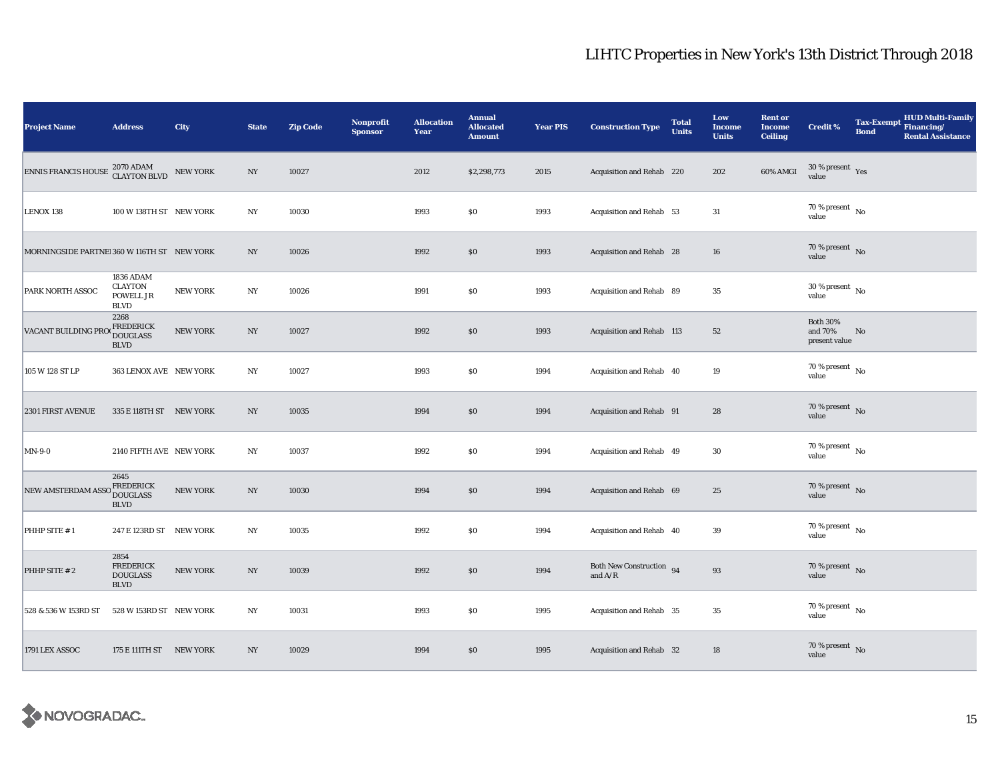| <b>Project Name</b>                        | <b>Address</b>                                                          | City            | <b>State</b>     | <b>Zip Code</b> | <b>Nonprofit</b><br><b>Sponsor</b> | <b>Allocation</b><br>Year | <b>Annual</b><br><b>Allocated</b><br><b>Amount</b> | <b>Year PIS</b> | <b>Construction Type</b>                                                          | <b>Total</b><br><b>Units</b> | Low<br><b>Income</b><br><b>Units</b> | <b>Rent or</b><br><b>Income</b><br><b>Ceiling</b> | <b>Credit %</b>                             | <b>Bond</b> | <b>HUD Multi-Family</b><br>Tax-Exempt Financing/<br><b>Rental Assistance</b> |
|--------------------------------------------|-------------------------------------------------------------------------|-----------------|------------------|-----------------|------------------------------------|---------------------------|----------------------------------------------------|-----------------|-----------------------------------------------------------------------------------|------------------------------|--------------------------------------|---------------------------------------------------|---------------------------------------------|-------------|------------------------------------------------------------------------------|
| ENNIS FRANCIS HOUSE 2070 ADAM              |                                                                         | NEW YORK        | $_{\mathrm{NY}}$ | 10027           |                                    | 2012                      | \$2,298,773                                        | 2015            | Acquisition and Rehab 220                                                         |                              | 202                                  | 60% AMGI                                          | $30\,\%$ present $\,$ Yes value             |             |                                                                              |
| LENOX 138                                  | 100 W 138TH ST NEW YORK                                                 |                 | NY               | 10030           |                                    | 1993                      | \$0                                                | 1993            | Acquisition and Rehab 53                                                          |                              | 31                                   |                                                   | 70 % present $\bar{N}$ o<br>value           |             |                                                                              |
| MORNINGSIDE PARTNE 360 W 116TH ST NEW YORK |                                                                         |                 | NY               | 10026           |                                    | 1992                      | \$0                                                | 1993            | Acquisition and Rehab 28                                                          |                              | 16                                   |                                                   | 70 % present $\overline{N_0}$<br>value      |             |                                                                              |
| PARK NORTH ASSOC                           | <b>1836 ADAM</b><br><b>CLAYTON</b><br>POWELL JR<br><b>BLVD</b>          | <b>NEW YORK</b> | NY               | 10026           |                                    | 1991                      | \$0                                                | 1993            | Acquisition and Rehab 89                                                          |                              | 35                                   |                                                   | $30$ % present $\,$ No $\,$<br>value        |             |                                                                              |
| VACANT BUILDING PRO                        | 2268<br>FREDERICK<br><b>DOUGLASS</b><br><b>BLVD</b>                     | <b>NEW YORK</b> | $_{\mathrm{NY}}$ | 10027           |                                    | 1992                      | \$0                                                | 1993            | Acquisition and Rehab 113                                                         |                              | 52                                   |                                                   | <b>Both 30%</b><br>and 70%<br>present value | No          |                                                                              |
| 105 W 128 ST LP                            | 363 LENOX AVE NEW YORK                                                  |                 | NY               | 10027           |                                    | 1993                      | \$0                                                | 1994            | Acquisition and Rehab 40                                                          |                              | 19                                   |                                                   | 70 % present $\overline{N_0}$<br>value      |             |                                                                              |
| 2301 FIRST AVENUE                          | 335 E 118TH ST NEW YORK                                                 |                 | NY               | 10035           |                                    | 1994                      | \$0                                                | 1994            | Acquisition and Rehab 91                                                          |                              | 28                                   |                                                   | 70 % present $\hbox{~No}$<br>value          |             |                                                                              |
| MN-9-0                                     | 2140 FIFTH AVE NEW YORK                                                 |                 | NY               | 10037           |                                    | 1992                      | \$0                                                | 1994            | Acquisition and Rehab 49                                                          |                              | 30                                   |                                                   | 70 % present $\overline{N_0}$<br>value      |             |                                                                              |
| <b>NEW AMSTERDAM ASS</b>                   | 2645<br><b>FREDERICK</b><br>$\mathop{\mathtt{DOUGLASS}}$<br><b>BLVD</b> | NEW YORK        | NY               | 10030           |                                    | 1994                      | \$0                                                | 1994            | Acquisition and Rehab 69                                                          |                              | 25                                   |                                                   | $70\,\%$ present $${\rm No}$$ value         |             |                                                                              |
| PHHP SITE #1                               | 247 E 123RD ST NEW YORK                                                 |                 | NY               | 10035           |                                    | 1992                      | \$0                                                | 1994            | Acquisition and Rehab 40                                                          |                              | 39                                   |                                                   | 70 % present $\overline{N_0}$<br>value      |             |                                                                              |
| PHHP SITE #2                               | 2854<br><b>FREDERICK</b><br><b>DOUGLASS</b><br><b>BLVD</b>              | <b>NEW YORK</b> | NY               | 10039           |                                    | 1992                      | \$0                                                | 1994            | Both New Construction 94<br>and $\ensuremath{\mathrm{A}}/\ensuremath{\mathrm{R}}$ |                              | 93                                   |                                                   | $70\,\%$ present $\,$ No value              |             |                                                                              |
| 528 & 536 W 153RD ST                       | 528 W 153RD ST NEW YORK                                                 |                 | NY               | 10031           |                                    | 1993                      | \$0                                                | 1995            | Acquisition and Rehab 35                                                          |                              | 35                                   |                                                   | $70\,\%$ present $\,$ No value              |             |                                                                              |
| 1791 LEX ASSOC                             | 175 E 111TH ST NEW YORK                                                 |                 | NY               | 10029           |                                    | 1994                      | \$0                                                | 1995            | Acquisition and Rehab 32                                                          |                              | 18                                   |                                                   | 70 % present $\,$ No $\,$<br>value          |             |                                                                              |

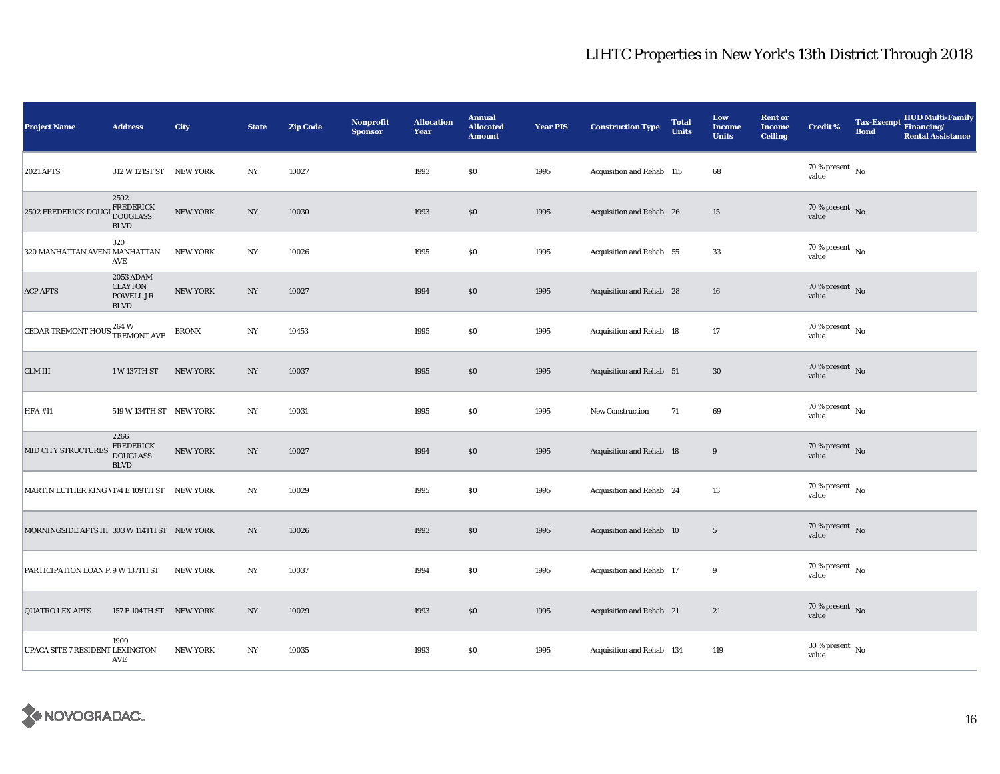| <b>Project Name</b>                          | <b>Address</b>                                                 | City            | <b>State</b>     | <b>Zip Code</b> | <b>Nonprofit</b><br><b>Sponsor</b> | <b>Allocation</b><br>Year | <b>Annual</b><br><b>Allocated</b><br><b>Amount</b> | <b>Year PIS</b> | <b>Construction Type</b>        | <b>Total</b><br><b>Units</b> | Low<br><b>Income</b><br><b>Units</b> | <b>Rent or</b><br><b>Income</b><br><b>Ceiling</b> | Credit %                             | <b>Bond</b> | <b>HUD Multi-Family</b><br>Tax-Exempt Financing/<br><b>Rental Assistance</b> |
|----------------------------------------------|----------------------------------------------------------------|-----------------|------------------|-----------------|------------------------------------|---------------------------|----------------------------------------------------|-----------------|---------------------------------|------------------------------|--------------------------------------|---------------------------------------------------|--------------------------------------|-------------|------------------------------------------------------------------------------|
| <b>2021 APTS</b>                             | 312 W 121ST ST NEW YORK                                        |                 | $_{\mathrm{NY}}$ | 10027           |                                    | 1993                      | \$0                                                | 1995            | Acquisition and Rehab 115       |                              | 68                                   |                                                   | 70 % present $\hbox{~No}$<br>value   |             |                                                                              |
| 2502 FREDERICK DOU                           | 2502<br><b>FREDERICK</b><br><b>DOUGLASS</b><br><b>BLVD</b>     | <b>NEW YORK</b> | $_{\mathrm{NY}}$ | 10030           |                                    | 1993                      | $\$0$                                              | 1995            | Acquisition and Rehab 26        |                              | 15                                   |                                                   | $70\%$ present No<br>value           |             |                                                                              |
| 320 MANHATTAN AVENI MANHATTAN                | 320<br>AVE                                                     | <b>NEW YORK</b> | $_{\mathrm{NY}}$ | 10026           |                                    | 1995                      | \$0                                                | 1995            | Acquisition and Rehab 55        |                              | $33\,$                               |                                                   | 70 % present $\hbox{~No}$<br>value   |             |                                                                              |
| <b>ACP APTS</b>                              | <b>2053 ADAM</b><br><b>CLAYTON</b><br>POWELL JR<br><b>BLVD</b> | <b>NEW YORK</b> | NY               | 10027           |                                    | 1994                      | \$0                                                | 1995            | Acquisition and Rehab 28        |                              | 16                                   |                                                   | 70 % present $\hbox{~No}$<br>value   |             |                                                                              |
| CEDAR TREMONT HOUS <b>FREMONT AVE</b>        | 264 W                                                          | <b>BRONX</b>    | $_{\mathrm{NY}}$ | 10453           |                                    | 1995                      | \$0                                                | 1995            | Acquisition and Rehab 18        |                              | 17                                   |                                                   | $70\,\%$ present $\,$ No value       |             |                                                                              |
| <b>CLM III</b>                               | 1 W 137TH ST                                                   | <b>NEW YORK</b> | NY               | 10037           |                                    | 1995                      | \$0                                                | 1995            | Acquisition and Rehab 51        |                              | $30\,$                               |                                                   | 70 % present $\hbox{~No}$<br>value   |             |                                                                              |
| <b>HFA #11</b>                               | 519 W 134TH ST NEW YORK                                        |                 | NY               | 10031           |                                    | 1995                      | \$0                                                | 1995            | <b>New Construction</b>         | 71                           | 69                                   |                                                   | $70$ % present $\,$ No $\,$<br>value |             |                                                                              |
| MID CITY STRUCTURES                          | 2266<br>FREDERICK<br><b>DOUGLASS</b><br><b>BLVD</b>            | <b>NEW YORK</b> | NY               | 10027           |                                    | 1994                      | \$0                                                | 1995            | <b>Acquisition and Rehab 18</b> |                              | 9                                    |                                                   | 70 % present $\,$ No $\,$<br>value   |             |                                                                              |
| MARTIN LUTHER KING 1174 E 109TH ST NEW YORK  |                                                                |                 | NY               | 10029           |                                    | 1995                      | \$0                                                | 1995            | Acquisition and Rehab 24        |                              | 13                                   |                                                   | 70 % present $\hbox{~No}$<br>value   |             |                                                                              |
| MORNINGSIDE APTS III 303 W 114TH ST NEW YORK |                                                                |                 | NY               | 10026           |                                    | 1993                      | \$0                                                | 1995            | Acquisition and Rehab 10        |                              | $5\phantom{.0}$                      |                                                   | $70\%$ present No<br>value           |             |                                                                              |
| PARTICIPATION LOAN P 9 W 137TH ST            |                                                                | <b>NEW YORK</b> | NY               | 10037           |                                    | 1994                      | \$0                                                | 1995            | Acquisition and Rehab 17        |                              | 9                                    |                                                   | 70 % present $\hbox{~No}$<br>value   |             |                                                                              |
| <b>QUATRO LEX APTS</b>                       | 157 E 104TH ST NEW YORK                                        |                 | NY               | 10029           |                                    | 1993                      | \$0                                                | 1995            | Acquisition and Rehab 21        |                              | 21                                   |                                                   | 70 % present $\log$<br>value         |             |                                                                              |
| UPACA SITE 7 RESIDENT LEXINGTON              | 1900<br>AVE                                                    | <b>NEW YORK</b> | NY               | 10035           |                                    | 1993                      | \$0                                                | 1995            | Acquisition and Rehab 134       |                              | 119                                  |                                                   | $30\,\%$ present $\,$ No value       |             |                                                                              |

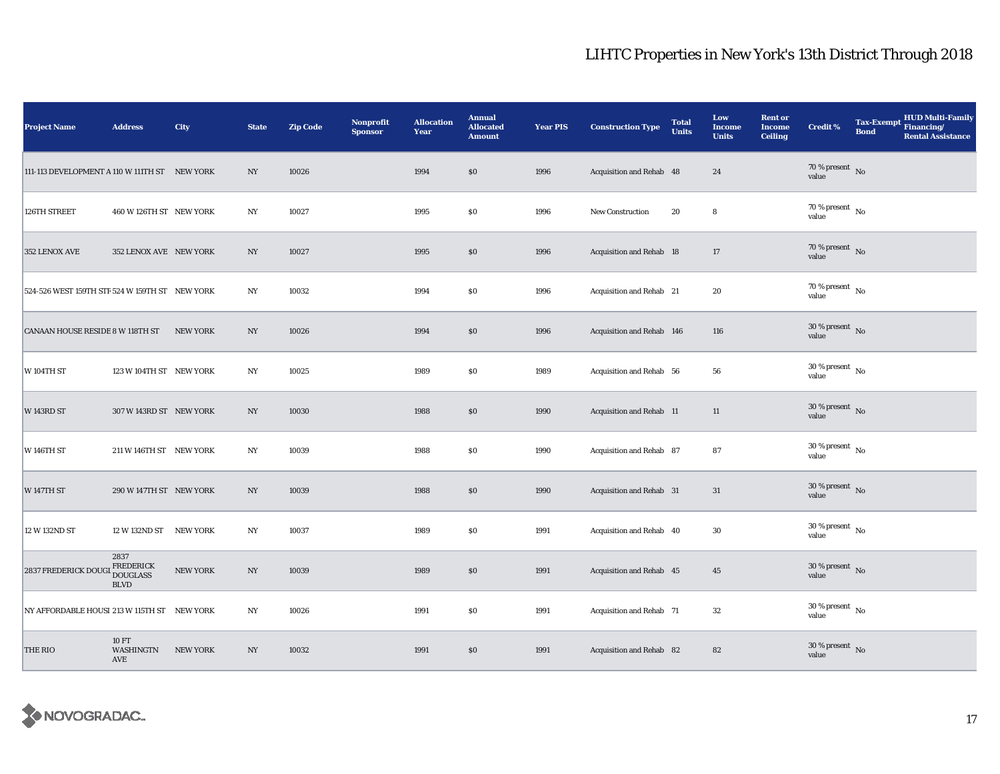| <b>Project Name</b>                            | <b>Address</b>                                      | City            | <b>State</b>     | <b>Zip Code</b> | <b>Nonprofit</b><br><b>Sponsor</b> | <b>Allocation</b><br>Year | <b>Annual</b><br><b>Allocated</b><br><b>Amount</b> | <b>Year PIS</b> | <b>Construction Type</b>  | <b>Total</b><br><b>Units</b> | Low<br><b>Income</b><br><b>Units</b> | <b>Rent or</b><br><b>Income</b><br><b>Ceiling</b> | <b>Credit %</b>                      | <b>Bond</b> | HUD Multi-Family<br>Tax-Exempt Financing/<br><b>Rental Assistance</b> |
|------------------------------------------------|-----------------------------------------------------|-----------------|------------------|-----------------|------------------------------------|---------------------------|----------------------------------------------------|-----------------|---------------------------|------------------------------|--------------------------------------|---------------------------------------------------|--------------------------------------|-------------|-----------------------------------------------------------------------|
| 111-113 DEVELOPMENT A 110 W 111TH ST NEW YORK  |                                                     |                 | NY               | 10026           |                                    | 1994                      | $\$0$                                              | 1996            | Acquisition and Rehab 48  |                              | 24                                   |                                                   | 70 % present $\hbox{~No}$<br>value   |             |                                                                       |
| 126TH STREET                                   | 460 W 126TH ST NEW YORK                             |                 | $_{\mathrm{NY}}$ | 10027           |                                    | 1995                      | \$0                                                | 1996            | New Construction          | 20                           | 8                                    |                                                   | $70\,\%$ present $\,$ No value       |             |                                                                       |
| 352 LENOX AVE                                  | 352 LENOX AVE NEW YORK                              |                 | NY               | 10027           |                                    | 1995                      | \$0                                                | 1996            | Acquisition and Rehab 18  |                              | 17                                   |                                                   | $70\,\%$ present $\,$ No value       |             |                                                                       |
| 524-526 WEST 159TH STF 524 W 159TH ST NEW YORK |                                                     |                 | NY               | 10032           |                                    | 1994                      | \$0                                                | 1996            | Acquisition and Rehab 21  |                              | 20                                   |                                                   | 70 % present $\hbox{~No}$<br>value   |             |                                                                       |
| CANAAN HOUSE RESIDE 8 W 118TH ST               |                                                     | <b>NEW YORK</b> | NY               | 10026           |                                    | 1994                      | \$0                                                | 1996            | Acquisition and Rehab 146 |                              | 116                                  |                                                   | $30\,\%$ present $\,$ No value       |             |                                                                       |
| W 104TH ST                                     | 123 W 104TH ST NEW YORK                             |                 | NY               | 10025           |                                    | 1989                      | \$0                                                | 1989            | Acquisition and Rehab 56  |                              | 56                                   |                                                   | $30$ % present $\,$ No $\,$<br>value |             |                                                                       |
| W 143RD ST                                     | 307 W 143RD ST NEW YORK                             |                 | NY               | 10030           |                                    | 1988                      | \$0                                                | 1990            | Acquisition and Rehab 11  |                              | 11                                   |                                                   | $30$ % present $\,$ No $\,$<br>value |             |                                                                       |
| <b>W 146TH ST</b>                              | 211 W 146TH ST NEW YORK                             |                 | NY               | 10039           |                                    | 1988                      | $\$0$                                              | 1990            | Acquisition and Rehab 87  |                              | 87                                   |                                                   | $30$ % present $\,$ No $\,$<br>value |             |                                                                       |
| <b>W 147TH ST</b>                              | 290 W 147TH ST NEW YORK                             |                 | NY               | 10039           |                                    | 1988                      | \$0                                                | 1990            | Acquisition and Rehab 31  |                              | 31                                   |                                                   | $30$ % present $\,$ No $\,$<br>value |             |                                                                       |
| 12 W 132ND ST                                  | 12 W 132ND ST NEW YORK                              |                 | NY               | 10037           |                                    | 1989                      | \$0                                                | 1991            | Acquisition and Rehab 40  |                              | 30                                   |                                                   | $30$ % present $\,$ No $\,$<br>value |             |                                                                       |
| 2837 FREDERICK DOUGI                           | 2837<br>FREDERICK<br><b>DOUGLASS</b><br><b>BLVD</b> | <b>NEW YORK</b> | NY               | 10039           |                                    | 1989                      | \$0                                                | 1991            | Acquisition and Rehab 45  |                              | 45                                   |                                                   | $30\,\%$ present $\,$ No value       |             |                                                                       |
| NY AFFORDABLE HOUSI 213 W 115TH ST NEW YORK    |                                                     |                 | $_{\mathrm{NY}}$ | 10026           |                                    | 1991                      | $\$0$                                              | 1991            | Acquisition and Rehab 71  |                              | $32\,$                               |                                                   | $30$ % present $\,$ No $\,$<br>value |             |                                                                       |
| THE RIO                                        | <b>10 FT</b><br>WASHINGTN<br>AVE                    | <b>NEW YORK</b> | NY               | 10032           |                                    | 1991                      | \$0                                                | 1991            | Acquisition and Rehab 82  |                              | 82                                   |                                                   | $30\,\%$ present $\,$ No value       |             |                                                                       |

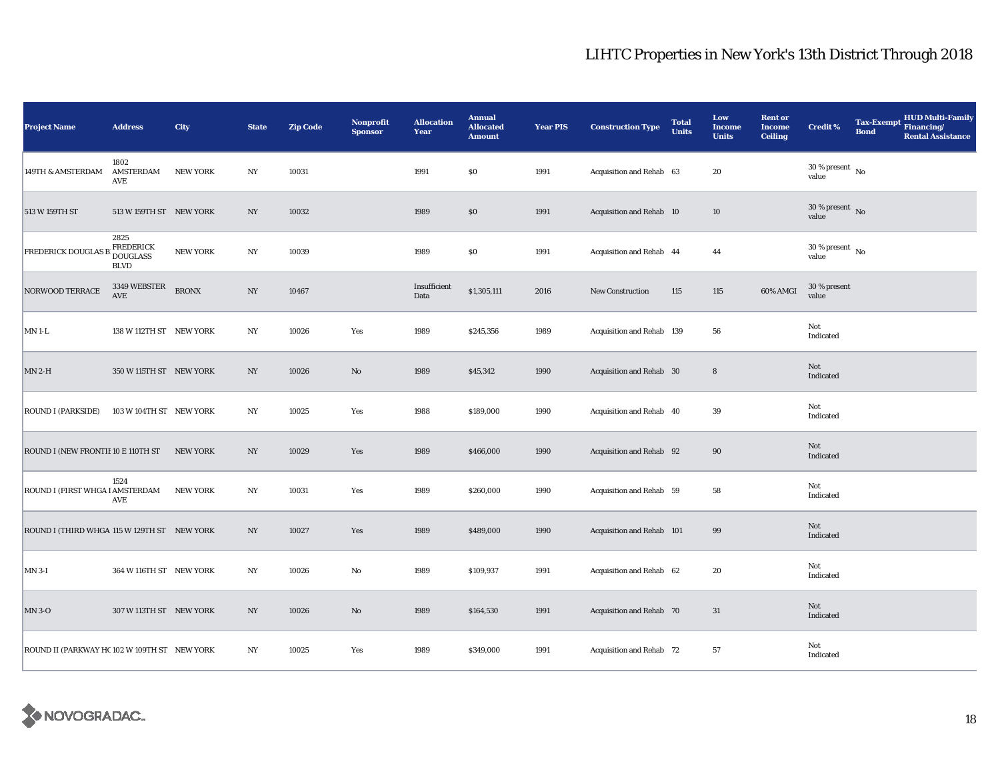| <b>Project Name</b>                          | <b>Address</b>                                      | <b>City</b>     | <b>State</b>     | <b>Zip Code</b> | Nonprofit<br><b>Sponsor</b> | <b>Allocation</b><br>Year | <b>Annual</b><br><b>Allocated</b><br><b>Amount</b> | <b>Year PIS</b> | <b>Construction Type</b>  | <b>Total</b><br><b>Units</b> | Low<br><b>Income</b><br><b>Units</b> | <b>Rent or</b><br><b>Income</b><br><b>Ceiling</b> | <b>Credit %</b>                      | <b>Tax-Exempt</b><br><b>Bond</b> | <b>HUD Multi-Family</b><br>Financing/<br><b>Rental Assistance</b> |
|----------------------------------------------|-----------------------------------------------------|-----------------|------------------|-----------------|-----------------------------|---------------------------|----------------------------------------------------|-----------------|---------------------------|------------------------------|--------------------------------------|---------------------------------------------------|--------------------------------------|----------------------------------|-------------------------------------------------------------------|
| 149TH & AMSTERDAM                            | 1802<br>AMSTERDAM<br>AVE                            | <b>NEW YORK</b> | $_{\mathrm{NY}}$ | 10031           |                             | 1991                      | $\$0$                                              | 1991            | Acquisition and Rehab 63  |                              | 20                                   |                                                   | $30$ % present $\,$ No $\,$<br>value |                                  |                                                                   |
| 513 W 159TH ST                               | 513 W 159TH ST NEW YORK                             |                 | NY               | 10032           |                             | 1989                      | $\$0$                                              | 1991            | Acquisition and Rehab 10  |                              | 10                                   |                                                   | 30 % present $\,$ No $\,$<br>value   |                                  |                                                                   |
| <b>FREDERICK DOUGLAS B</b>                   | 2825<br>FREDERICK<br><b>DOUGLASS</b><br><b>BLVD</b> | <b>NEW YORK</b> | NY               | 10039           |                             | 1989                      | \$0                                                | 1991            | Acquisition and Rehab 44  |                              | 44                                   |                                                   | $30$ % present $\,$ No $\,$<br>value |                                  |                                                                   |
| <b>NORWOOD TERRACE</b>                       | 3349 WEBSTER<br>$\operatorname{\mathbf{AVE}}$       | <b>BRONX</b>    | NY               | 10467           |                             | Insufficient<br>Data      | \$1,305,111                                        | 2016            | <b>New Construction</b>   | 115                          | 115                                  | 60% AMGI                                          | 30 % present<br>value                |                                  |                                                                   |
| $MN 1-L$                                     | 138 W 112TH ST NEW YORK                             |                 | $_{\mathrm{NY}}$ | 10026           | Yes                         | 1989                      | \$245,356                                          | 1989            | Acquisition and Rehab 139 |                              | 56                                   |                                                   | Not<br>Indicated                     |                                  |                                                                   |
| $MN 2-H$                                     | 350 W 115TH ST NEW YORK                             |                 | $_{\mathrm{NY}}$ | 10026           | No                          | 1989                      | \$45,342                                           | 1990            | Acquisition and Rehab 30  |                              | $\bf 8$                              |                                                   | Not<br>Indicated                     |                                  |                                                                   |
| <b>ROUND I (PARKSIDE)</b>                    | 103 W 104TH ST NEW YORK                             |                 | $_{\mathrm{NY}}$ | 10025           | Yes                         | 1988                      | \$189,000                                          | 1990            | Acquisition and Rehab 40  |                              | 39                                   |                                                   | Not<br>Indicated                     |                                  |                                                                   |
| ROUND I (NEW FRONTII 10 E 110TH ST           |                                                     | <b>NEW YORK</b> | $_{\mathrm{NY}}$ | 10029           | Yes                         | 1989                      | \$466,000                                          | 1990            | Acquisition and Rehab 92  |                              | 90                                   |                                                   | Not<br>Indicated                     |                                  |                                                                   |
| ROUND I (FIRST WHGA I AMSTERDAM              | 1524<br>AVE                                         | <b>NEW YORK</b> | $_{\mathrm{NY}}$ | 10031           | Yes                         | 1989                      | \$260,000                                          | 1990            | Acquisition and Rehab 59  |                              | 58                                   |                                                   | Not<br>Indicated                     |                                  |                                                                   |
| ROUND I (THIRD WHGA 115 W 129TH ST NEW YORK  |                                                     |                 | NY               | 10027           | Yes                         | 1989                      | \$489,000                                          | 1990            | Acquisition and Rehab 101 |                              | 99                                   |                                                   | Not<br>Indicated                     |                                  |                                                                   |
| $MN$ 3-I                                     | 364 W 116TH ST NEW YORK                             |                 | NY               | 10026           | $\rm No$                    | 1989                      | \$109,937                                          | 1991            | Acquisition and Rehab 62  |                              | 20                                   |                                                   | Not<br>Indicated                     |                                  |                                                                   |
| $MN3-O$                                      | 307 W 113TH ST NEW YORK                             |                 | $_{\mathrm{NY}}$ | 10026           | $\rm No$                    | 1989                      | \$164,530                                          | 1991            | Acquisition and Rehab 70  |                              | 31                                   |                                                   | Not<br>Indicated                     |                                  |                                                                   |
| ROUND II (PARKWAY HC 102 W 109TH ST NEW YORK |                                                     |                 | $_{\mathrm{NY}}$ | 10025           | Yes                         | 1989                      | \$349,000                                          | 1991            | Acquisition and Rehab 72  |                              | 57                                   |                                                   | Not<br>Indicated                     |                                  |                                                                   |

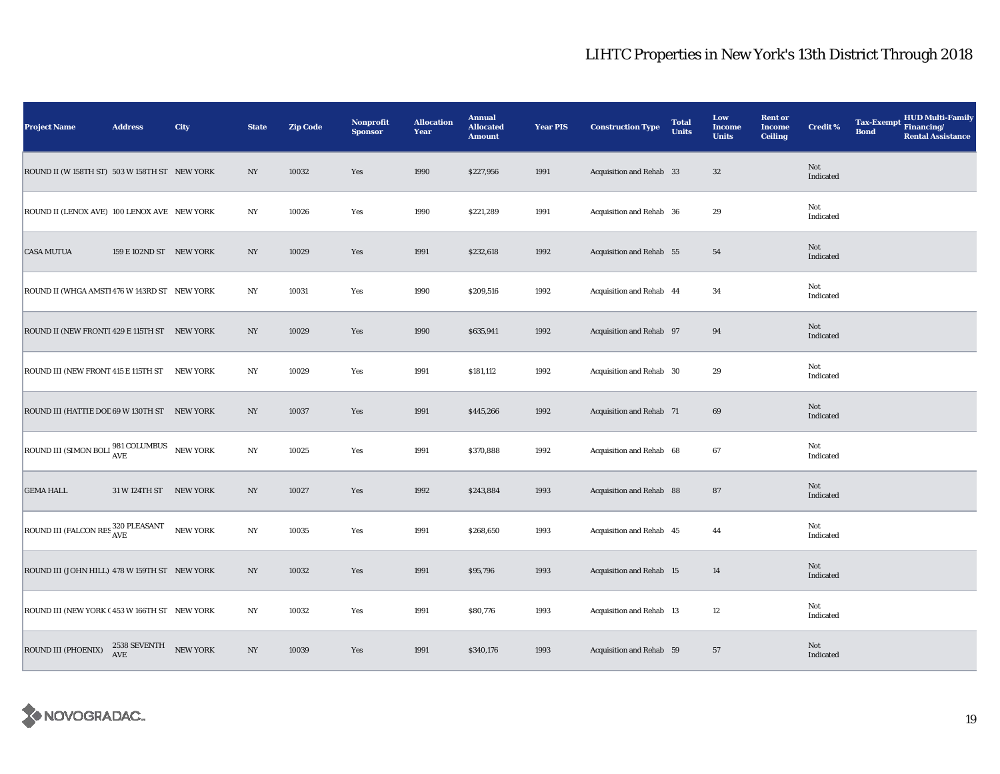| <b>Project Name</b>                                                                                                                            | <b>Address</b>          | City            | <b>State</b>     | <b>Zip Code</b> | <b>Nonprofit</b><br><b>Sponsor</b> | <b>Allocation</b><br>Year | <b>Annual</b><br><b>Allocated</b><br><b>Amount</b> | <b>Year PIS</b> | <b>Construction Type</b>        | <b>Total</b><br><b>Units</b> | Low<br><b>Income</b><br><b>Units</b> | <b>Rent or</b><br><b>Income</b><br><b>Ceiling</b> | <b>Credit %</b>  | <b>Bond</b> | <b>HUD Multi-Family</b><br>Tax-Exempt Financing/<br><b>Rental Assistance</b> |
|------------------------------------------------------------------------------------------------------------------------------------------------|-------------------------|-----------------|------------------|-----------------|------------------------------------|---------------------------|----------------------------------------------------|-----------------|---------------------------------|------------------------------|--------------------------------------|---------------------------------------------------|------------------|-------------|------------------------------------------------------------------------------|
| ROUND II (W 158TH ST) 503 W 158TH ST NEW YORK                                                                                                  |                         |                 | NY               | 10032           | Yes                                | 1990                      | \$227,956                                          | 1991            | Acquisition and Rehab 33        |                              | 32                                   |                                                   | Not<br>Indicated |             |                                                                              |
| ROUND II (LENOX AVE) 100 LENOX AVE NEW YORK                                                                                                    |                         |                 | NY               | 10026           | Yes                                | 1990                      | \$221,289                                          | 1991            | Acquisition and Rehab 36        |                              | 29                                   |                                                   | Not<br>Indicated |             |                                                                              |
| <b>CASA MUTUA</b>                                                                                                                              | 159 E 102ND ST NEW YORK |                 | NY               | 10029           | Yes                                | 1991                      | \$232,618                                          | 1992            | Acquisition and Rehab 55        |                              | 54                                   |                                                   | Not<br>Indicated |             |                                                                              |
| ROUND II (WHGA AMSTI 476 W 143RD ST NEW YORK                                                                                                   |                         |                 | NY               | 10031           | Yes                                | 1990                      | \$209,516                                          | 1992            | Acquisition and Rehab 44        |                              | 34                                   |                                                   | Not<br>Indicated |             |                                                                              |
| ROUND II (NEW FRONTI 429 E 115TH ST NEW YORK                                                                                                   |                         |                 | $_{\mathrm{NY}}$ | 10029           | Yes                                | 1990                      | \$635,941                                          | 1992            | Acquisition and Rehab 97        |                              | 94                                   |                                                   | Not<br>Indicated |             |                                                                              |
| ROUND III (NEW FRONT 415 E 115TH ST NEW YORK                                                                                                   |                         |                 | NY               | 10029           | Yes                                | 1991                      | \$181,112                                          | 1992            | Acquisition and Rehab 30        |                              | 29                                   |                                                   | Not<br>Indicated |             |                                                                              |
| ROUND III (HATTIE DOE 69 W 130TH ST NEW YORK                                                                                                   |                         |                 | NY               | 10037           | Yes                                | 1991                      | \$445,266                                          | 1992            | Acquisition and Rehab 71        |                              | 69                                   |                                                   | Not<br>Indicated |             |                                                                              |
| $\begin{tabular}{ l c c c c } \hline \text{ROUND III (SIMON BOLI $\overset{\text{981}}{\text{AVE}}$ COLUMBUS} & \text{NEW YORK} \end{tabular}$ |                         |                 | $_{\mathrm{NY}}$ | 10025           | Yes                                | 1991                      | \$370,888                                          | 1992            | Acquisition and Rehab 68        |                              | 67                                   |                                                   | Not<br>Indicated |             |                                                                              |
| <b>GEMA HALL</b>                                                                                                                               | 31 W 124TH ST NEW YORK  |                 | NY               | 10027           | Yes                                | 1992                      | \$243,884                                          | 1993            | Acquisition and Rehab 88        |                              | 87                                   |                                                   | Not<br>Indicated |             |                                                                              |
| ROUND III (FALCON RES 320 PLEASANT                                                                                                             |                         | NEW YORK        | $_{\mathrm{NY}}$ | 10035           | Yes                                | 1991                      | \$268,650                                          | 1993            | Acquisition and Rehab 45        |                              | 44                                   |                                                   | Not<br>Indicated |             |                                                                              |
| ROUND III (JOHN HILL) 478 W 159TH ST NEW YORK                                                                                                  |                         |                 | NY               | 10032           | Yes                                | 1991                      | \$95,796                                           | 1993            | <b>Acquisition and Rehab 15</b> |                              | 14                                   |                                                   | Not<br>Indicated |             |                                                                              |
| ROUND III (NEW YORK C 453 W 166TH ST NEW YORK                                                                                                  |                         |                 | $_{\mathrm{NY}}$ | 10032           | Yes                                | 1991                      | \$80,776                                           | 1993            | Acquisition and Rehab 13        |                              | $12\,$                               |                                                   | Not<br>Indicated |             |                                                                              |
| ROUND III (PHOENIX)                                                                                                                            | 2538 SEVENTH<br>AVE     | <b>NEW YORK</b> | NY               | 10039           | Yes                                | 1991                      | \$340,176                                          | 1993            | Acquisition and Rehab 59        |                              | 57                                   |                                                   | Not<br>Indicated |             |                                                                              |

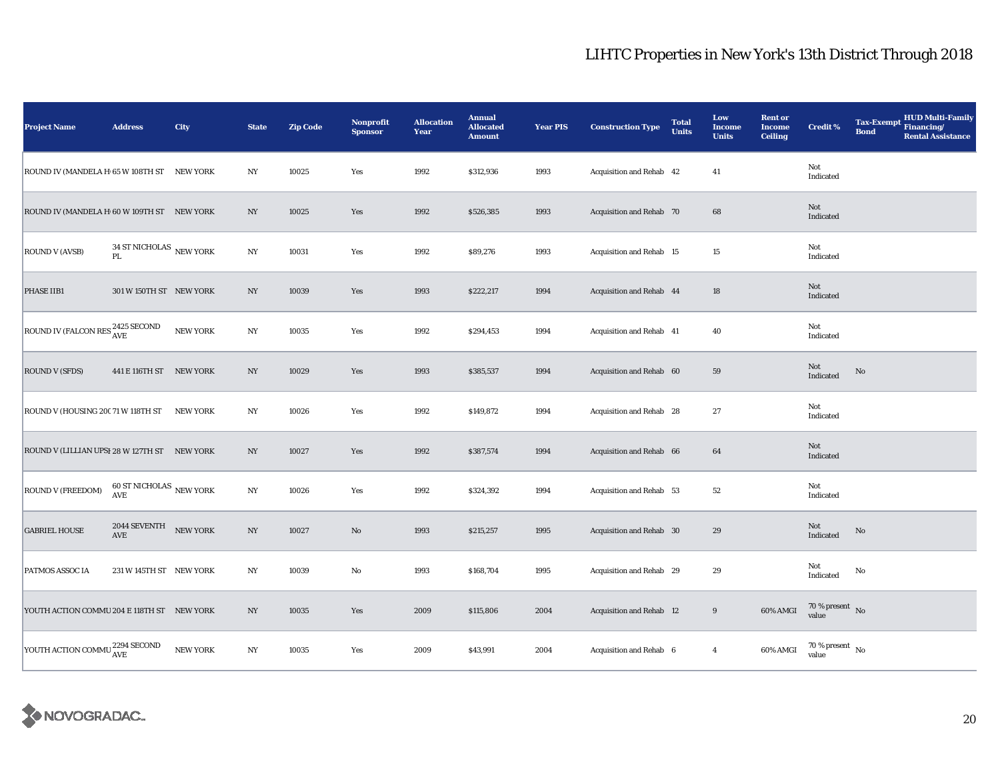| <b>Project Name</b>                                         | <b>Address</b>                                       | City            | <b>State</b>     | <b>Zip Code</b> | <b>Nonprofit</b><br><b>Sponsor</b> | <b>Allocation</b><br>Year | <b>Annual</b><br><b>Allocated</b><br><b>Amount</b> | <b>Year PIS</b> | <b>Construction Type</b>        | <b>Total</b><br><b>Units</b> | Low<br>Income<br><b>Units</b> | <b>Rent or</b><br><b>Income</b><br><b>Ceiling</b> | <b>Credit %</b>                    | Tax-Exempt Financing/<br><b>Bond</b> | HUD Multi-Family<br><b>Rental Assistance</b> |
|-------------------------------------------------------------|------------------------------------------------------|-----------------|------------------|-----------------|------------------------------------|---------------------------|----------------------------------------------------|-----------------|---------------------------------|------------------------------|-------------------------------|---------------------------------------------------|------------------------------------|--------------------------------------|----------------------------------------------|
| ROUND IV (MANDELA H 65 W 108TH ST                           |                                                      | <b>NEW YORK</b> | NY               | 10025           | Yes                                | 1992                      | \$312,936                                          | 1993            | Acquisition and Rehab 42        |                              | 41                            |                                                   | Not<br>Indicated                   |                                      |                                              |
| ROUND IV (MANDELA H 60 W 109TH ST NEW YORK                  |                                                      |                 | $_{\mathrm{NY}}$ | 10025           | Yes                                | 1992                      | \$526,385                                          | 1993            | Acquisition and Rehab 70        |                              | 68                            |                                                   | Not<br>Indicated                   |                                      |                                              |
| <b>ROUND V (AVSB)</b>                                       | 34 ST NICHOLAS $\,$ NEW YORK<br>PL.                  |                 | NY               | 10031           | Yes                                | 1992                      | \$89,276                                           | 1993            | <b>Acquisition and Rehab 15</b> |                              | 15                            |                                                   | Not<br>Indicated                   |                                      |                                              |
| PHASE IIB1                                                  | 301 W 150TH ST NEW YORK                              |                 | NY               | 10039           | Yes                                | 1993                      | \$222,217                                          | 1994            | Acquisition and Rehab 44        |                              | 18                            |                                                   | Not<br>Indicated                   |                                      |                                              |
| ROUND IV (FALCON RES $_{\hbox{AVE}}^{2425 \hbox{\,SECOND}}$ |                                                      | <b>NEW YORK</b> | NY               | 10035           | Yes                                | 1992                      | \$294,453                                          | 1994            | Acquisition and Rehab 41        |                              | 40                            |                                                   | Not<br>Indicated                   |                                      |                                              |
| <b>ROUND V (SFDS)</b>                                       | 441 E 116TH ST NEW YORK                              |                 | $_{\mathrm{NY}}$ | 10029           | Yes                                | 1993                      | \$385,537                                          | 1994            | Acquisition and Rehab 60        |                              | 59                            |                                                   | Not<br>Indicated                   | $\rm No$                             |                                              |
| ROUND V (HOUSING 20071 W 118TH ST                           |                                                      | <b>NEW YORK</b> | NY               | 10026           | Yes                                | 1992                      | \$149,872                                          | 1994            | Acquisition and Rehab 28        |                              | 27                            |                                                   | Not<br>Indicated                   |                                      |                                              |
| ROUND V (LILLIAN UPSI 28 W 127TH ST NEW YORK                |                                                      |                 | $_{\mathrm{NY}}$ | 10027           | Yes                                | 1992                      | \$387,574                                          | 1994            | Acquisition and Rehab 66        |                              | 64                            |                                                   | Not<br>Indicated                   |                                      |                                              |
| <b>ROUND V (FREEDOM)</b>                                    | 60 ST NICHOLAS $\,$ NEW YORK<br>$\operatorname{AVE}$ |                 | $_{\mathrm{NY}}$ | 10026           | Yes                                | 1992                      | \$324,392                                          | 1994            | Acquisition and Rehab 53        |                              | 52                            |                                                   | Not<br>Indicated                   |                                      |                                              |
| <b>GABRIEL HOUSE</b>                                        | 2044 SEVENTH<br>$\operatorname{AVE}$                 | NEW YORK        | NY               | 10027           | $\rm No$                           | 1993                      | \$215,257                                          | 1995            | Acquisition and Rehab 30        |                              | 29                            |                                                   | Not<br>Indicated                   | $\rm No$                             |                                              |
| PATMOS ASSOC IA                                             | 231 W 145TH ST NEW YORK                              |                 | NY               | 10039           | $\rm No$                           | 1993                      | \$168,704                                          | 1995            | Acquisition and Rehab 29        |                              | 29                            |                                                   | Not<br>Indicated                   | No                                   |                                              |
| YOUTH ACTION COMMU 204 E 118TH ST NEW YORK                  |                                                      |                 | $_{\mathrm{NY}}$ | 10035           | Yes                                | 2009                      | \$115,806                                          | 2004            | Acquisition and Rehab 12        |                              | $\boldsymbol{9}$              | 60% AMGI                                          | 70 % present $\hbox{~No}$<br>value |                                      |                                              |
| YOUTH ACTION COMMU $_{\mbox{AVE}}^{2294\mbox{\,SECOND}}$    |                                                      | <b>NEW YORK</b> | $_{\mathrm{NY}}$ | 10035           | Yes                                | 2009                      | \$43,991                                           | 2004            | Acquisition and Rehab 6         |                              | $\overline{4}$                | 60% AMGI                                          | 70 % present $\hbox{~No}$<br>value |                                      |                                              |

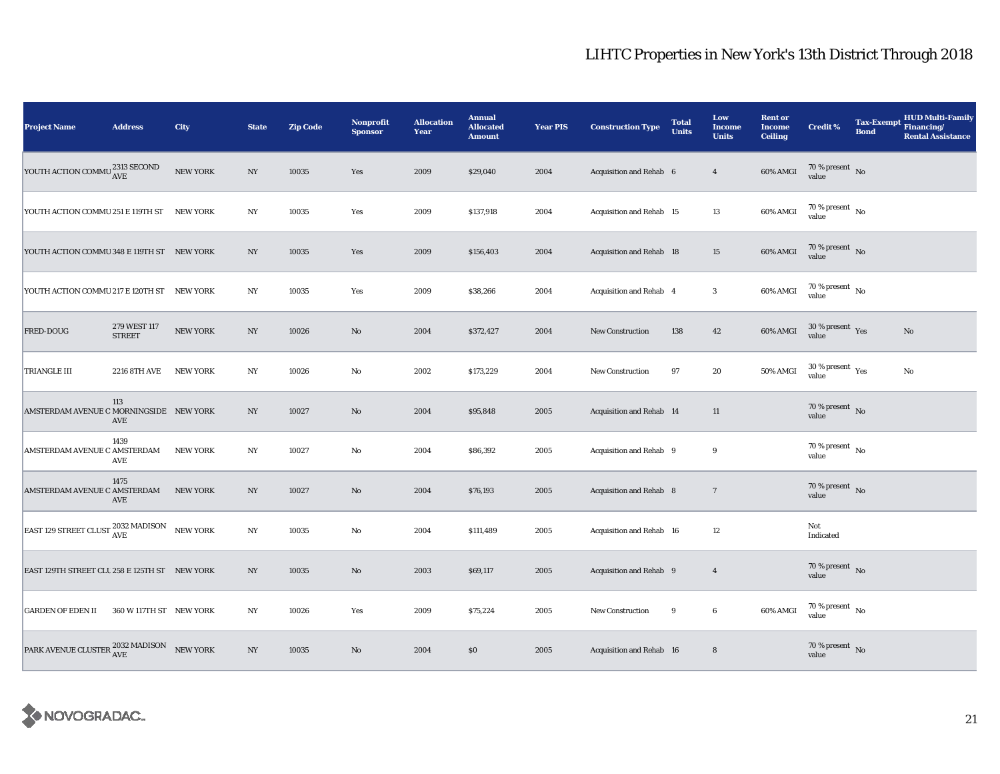| Project Name                                                        | <b>Address</b>                | City            | <b>State</b>     | <b>Zip Code</b> | <b>Nonprofit</b><br><b>Sponsor</b> | <b>Allocation</b><br>Year | <b>Annual</b><br><b>Allocated</b><br><b>Amount</b> | <b>Year PIS</b> | <b>Construction Type</b>        | <b>Total</b><br><b>Units</b> | Low<br><b>Income</b><br><b>Units</b> | <b>Rent or</b><br><b>Income</b><br><b>Ceiling</b> | <b>Credit %</b>                              | <b>Tax-Exempt</b><br><b>Bond</b> | HUD Multi-Family<br>Financing/<br><b>Rental Assistance</b> |
|---------------------------------------------------------------------|-------------------------------|-----------------|------------------|-----------------|------------------------------------|---------------------------|----------------------------------------------------|-----------------|---------------------------------|------------------------------|--------------------------------------|---------------------------------------------------|----------------------------------------------|----------------------------------|------------------------------------------------------------|
| YOUTH ACTION COMMU 2313 SECOND                                      |                               | <b>NEW YORK</b> | NY               | 10035           | Yes                                | 2009                      | \$29,040                                           | 2004            | Acquisition and Rehab 6         |                              | $\overline{4}$                       | 60% AMGI                                          | 70 % present $\hbox{~No}$<br>value           |                                  |                                                            |
| YOUTH ACTION COMMU 251 E 119TH ST NEW YORK                          |                               |                 | NY               | 10035           | Yes                                | 2009                      | \$137,918                                          | 2004            | Acquisition and Rehab 15        |                              | $13\,$                               | 60% AMGI                                          | $70$ % present $\,$ No $\,$<br>value         |                                  |                                                            |
| YOUTH ACTION COMMU 348 E 119TH ST NEW YORK                          |                               |                 | NY               | 10035           | Yes                                | 2009                      | \$156,403                                          | 2004            | Acquisition and Rehab 18        |                              | $15\,$                               | 60% AMGI                                          | $70\,\%$ present $\,$ No value               |                                  |                                                            |
| YOUTH ACTION COMMU 217 E 120TH ST NEW YORK                          |                               |                 | NY               | 10035           | Yes                                | 2009                      | \$38,266                                           | 2004            | Acquisition and Rehab 4         |                              | $\mathbf{3}$                         | 60% AMGI                                          | $70\,\%$ present $\,$ No value               |                                  |                                                            |
| <b>FRED-DOUG</b>                                                    | 279 WEST 117<br><b>STREET</b> | <b>NEW YORK</b> | NY               | 10026           | $\rm No$                           | 2004                      | \$372,427                                          | 2004            | <b>New Construction</b>         | 138                          | 42                                   | 60% AMGI                                          | $30$ % present $\,$ $\rm Yes$<br>value       |                                  | $\mathbf{No}$                                              |
| <b>TRIANGLE III</b>                                                 | 2216 8TH AVE                  | <b>NEW YORK</b> | NY               | 10026           | No                                 | 2002                      | \$173,229                                          | 2004            | New Construction                | 97                           | 20                                   | 50% AMGI                                          | $30$ % present $\rm\thinspace\,Yes$<br>value |                                  | $\mathbf{No}$                                              |
| AMSTERDAM AVENUE C MORNINGSIDE NEW YORK                             | 113<br>AVE                    |                 | N <sub>Y</sub>   | 10027           | $\rm No$                           | 2004                      | \$95,848                                           | 2005            | <b>Acquisition and Rehab 14</b> |                              | 11                                   |                                                   | 70 % present $\;$ No $\;$<br>value           |                                  |                                                            |
| AMSTERDAM AVENUE C AMSTERDAM                                        | 1439<br>AVE                   | <b>NEW YORK</b> | NY               | 10027           | $\rm No$                           | 2004                      | \$86,392                                           | 2005            | Acquisition and Rehab 9         |                              | 9                                    |                                                   | $70$ % present $\,$ No $\,$<br>value         |                                  |                                                            |
| AMSTERDAM AVENUE C AMSTERDAM                                        | 1475<br>AVE                   | <b>NEW YORK</b> | NY               | 10027           | No                                 | 2004                      | \$76,193                                           | 2005            | Acquisition and Rehab 8         |                              | $7\phantom{.0}$                      |                                                   | 70 % present $\bar{N}$<br>value              |                                  |                                                            |
| EAST 129 STREET CLUST <sup>2032</sup> MADISON                       |                               | <b>NEW YORK</b> | $_{\mathrm{NY}}$ | 10035           | $\rm No$                           | 2004                      | \$111,489                                          | 2005            | Acquisition and Rehab 16        |                              | 12                                   |                                                   | Not<br>Indicated                             |                                  |                                                            |
| EAST 129TH STREET CLU 258 E 125TH ST NEW YORK                       |                               |                 | N <sub>Y</sub>   | 10035           | $\rm No$                           | 2003                      | \$69,117                                           | 2005            | Acquisition and Rehab 9         |                              | $\overline{4}$                       |                                                   | 70 % present $\hbox{~No}$<br>value           |                                  |                                                            |
| <b>GARDEN OF EDEN II</b>                                            | 360 W 117TH ST NEW YORK       |                 | $_{\mathrm{NY}}$ | 10026           | Yes                                | 2009                      | \$75,224                                           | 2005            | <b>New Construction</b>         | 9                            | $\bf 6$                              | 60% AMGI                                          | $70\,\%$ present $\,$ No value               |                                  |                                                            |
| PARK AVENUE CLUSTER $_{\text{AVE}}^{2032 \text{ MADISON}}$ NEW YORK |                               |                 | $_{\mathrm{NY}}$ | 10035           | No                                 | 2004                      | \$0                                                | 2005            | Acquisition and Rehab 16        |                              | $\bf8$                               |                                                   | 70 % present $\,$ No $\,$<br>value           |                                  |                                                            |

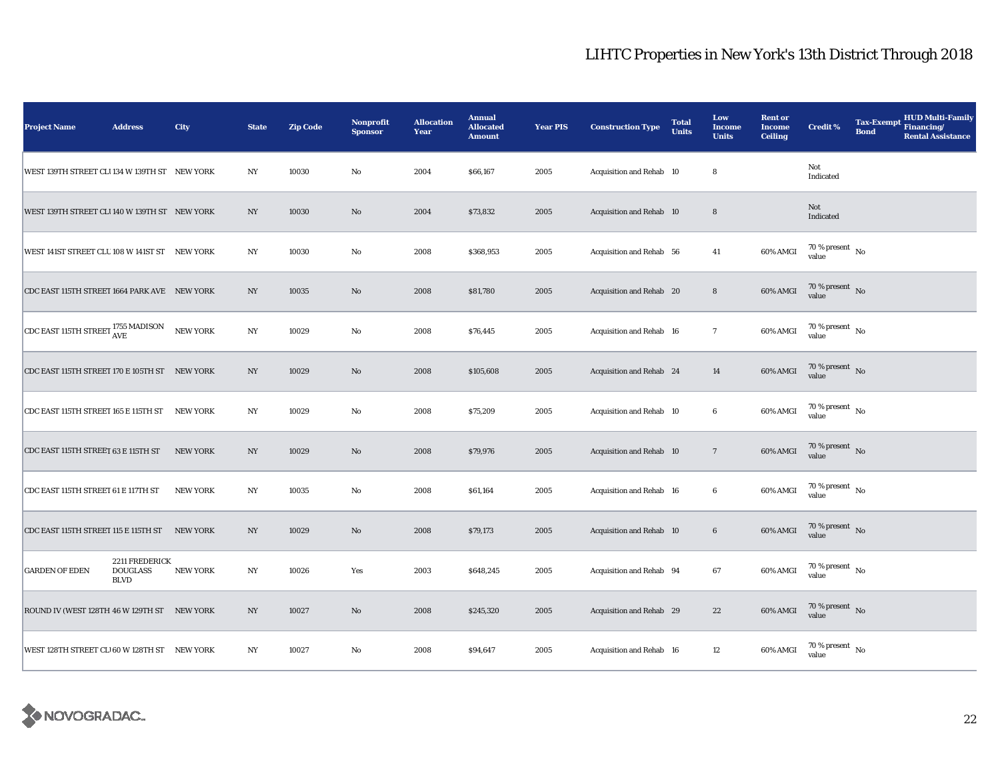| <b>Project Name</b>                                                                                                                                                             | <b>Address</b>                                   | City            | <b>State</b>     | <b>Zip Code</b> | <b>Nonprofit</b><br><b>Sponsor</b> | <b>Allocation</b><br>Year | <b>Annual</b><br><b>Allocated</b><br><b>Amount</b> | <b>Year PIS</b> | <b>Construction Type</b> | <b>Total</b><br><b>Units</b> | Low<br>Income<br><b>Units</b> | <b>Rent or</b><br><b>Income</b><br><b>Ceiling</b> | <b>Credit %</b>                      | <b>Bond</b> | <b>HUD Multi-Family</b><br>Tax-Exempt Financing/<br><b>Rental Assistance</b> |
|---------------------------------------------------------------------------------------------------------------------------------------------------------------------------------|--------------------------------------------------|-----------------|------------------|-----------------|------------------------------------|---------------------------|----------------------------------------------------|-----------------|--------------------------|------------------------------|-------------------------------|---------------------------------------------------|--------------------------------------|-------------|------------------------------------------------------------------------------|
| WEST 139TH STREET CLI 134 W 139TH ST NEW YORK                                                                                                                                   |                                                  |                 | $_{\mathrm{NY}}$ | 10030           | $\rm No$                           | 2004                      | \$66,167                                           | 2005            | Acquisition and Rehab 10 |                              | 8                             |                                                   | Not<br>Indicated                     |             |                                                                              |
| WEST 139TH STREET CLI140 W 139TH ST NEW YORK                                                                                                                                    |                                                  |                 | $_{\mathrm{NY}}$ | 10030           | $\rm No$                           | 2004                      | \$73,832                                           | 2005            | Acquisition and Rehab 10 |                              | $\bf8$                        |                                                   | Not<br>Indicated                     |             |                                                                              |
| WEST 141ST STREET CLU 108 W 141ST ST NEW YORK                                                                                                                                   |                                                  |                 | NY               | 10030           | No                                 | 2008                      | \$368,953                                          | 2005            | Acquisition and Rehab 56 |                              | 41                            | 60% AMGI                                          | $70\,\%$ present $\,$ No value       |             |                                                                              |
| CDC EAST 115TH STREET 1664 PARK AVE NEW YORK                                                                                                                                    |                                                  |                 | $_{\mathrm{NY}}$ | 10035           | $\rm No$                           | 2008                      | \$81,780                                           | 2005            | Acquisition and Rehab 20 |                              | $\bf8$                        | 60% AMGI                                          | 70 % present $\,$ No $\,$<br>value   |             |                                                                              |
| $\left \begin{matrix} \text{CDC } \text{EAST } 115 \text{TH } \text{STREET} \end{matrix}\begin{matrix} 1755 \text{ MADISON} \ 115 \text{TH } \text{STREET} \end{matrix}\right.$ |                                                  | <b>NEW YORK</b> | NY               | 10029           | $\rm No$                           | 2008                      | \$76,445                                           | 2005            | Acquisition and Rehab 16 |                              | $\overline{7}$                | 60% AMGI                                          | 70 % present $\hbox{~No}$<br>value   |             |                                                                              |
| CDC EAST 115TH STREET 170 E 105TH ST NEW YORK                                                                                                                                   |                                                  |                 | $_{\mathrm{NY}}$ | 10029           | $\rm No$                           | 2008                      | \$105,608                                          | 2005            | Acquisition and Rehab 24 |                              | 14                            | 60% AMGI                                          | 70 % present $\,$ No $\,$<br>value   |             |                                                                              |
| CDC EAST 115TH STREET 165 E 115TH ST                                                                                                                                            |                                                  | <b>NEW YORK</b> | $_{\mathrm{NY}}$ | 10029           | $\rm No$                           | 2008                      | \$75,209                                           | 2005            | Acquisition and Rehab 10 |                              | $6\phantom{.0}$               | 60% AMGI                                          | 70 % present $\hbox{~No}$<br>value   |             |                                                                              |
| CDC EAST 115TH STREET 63 E 115TH ST                                                                                                                                             |                                                  | <b>NEW YORK</b> | $_{\mathrm{NY}}$ | 10029           | $\rm No$                           | 2008                      | \$79,976                                           | 2005            | Acquisition and Rehab 10 |                              | $\overline{7}$                | 60% AMGI                                          | $70\,\%$ present $\,$ No value       |             |                                                                              |
| CDC EAST 115TH STREET 61 E 117TH ST                                                                                                                                             |                                                  | <b>NEW YORK</b> | NY               | 10035           | No                                 | 2008                      | \$61,164                                           | 2005            | Acquisition and Rehab 16 |                              | 6                             | 60% AMGI                                          | $70$ % present $\,$ No $\,$<br>value |             |                                                                              |
| CDC EAST 115TH STREET 115 E 115TH ST NEW YORK                                                                                                                                   |                                                  |                 | NY               | 10029           | $\rm No$                           | 2008                      | \$79,173                                           | 2005            | Acquisition and Rehab 10 |                              | $\bf{6}$                      | 60% AMGI                                          | 70 % present $\,$ No $\,$<br>value   |             |                                                                              |
| <b>GARDEN OF EDEN</b>                                                                                                                                                           | 2211 FREDERICK<br><b>DOUGLASS</b><br><b>BLVD</b> | <b>NEW YORK</b> | $_{\mathrm{NY}}$ | 10026           | Yes                                | 2003                      | \$648,245                                          | 2005            | Acquisition and Rehab 94 |                              | 67                            | 60% AMGI                                          | 70 % present $\hbox{~No}$<br>value   |             |                                                                              |
| ROUND IV (WEST 128TH 46 W 129TH ST NEW YORK                                                                                                                                     |                                                  |                 | $_{\mathrm{NY}}$ | 10027           | $\rm No$                           | 2008                      | \$245,320                                          | 2005            | Acquisition and Rehab 29 |                              | $\bf 22$                      | 60% AMGI                                          | $70$ % present $\,$ No $\,$<br>value |             |                                                                              |
| WEST 128TH STREET CLI60 W 128TH ST NEW YORK                                                                                                                                     |                                                  |                 | $_{\mathrm{NY}}$ | 10027           | $\rm No$                           | 2008                      | \$94,647                                           | 2005            | Acquisition and Rehab 16 |                              | 12                            | 60% AMGI                                          | $70$ % present $\,$ No $\,$<br>value |             |                                                                              |

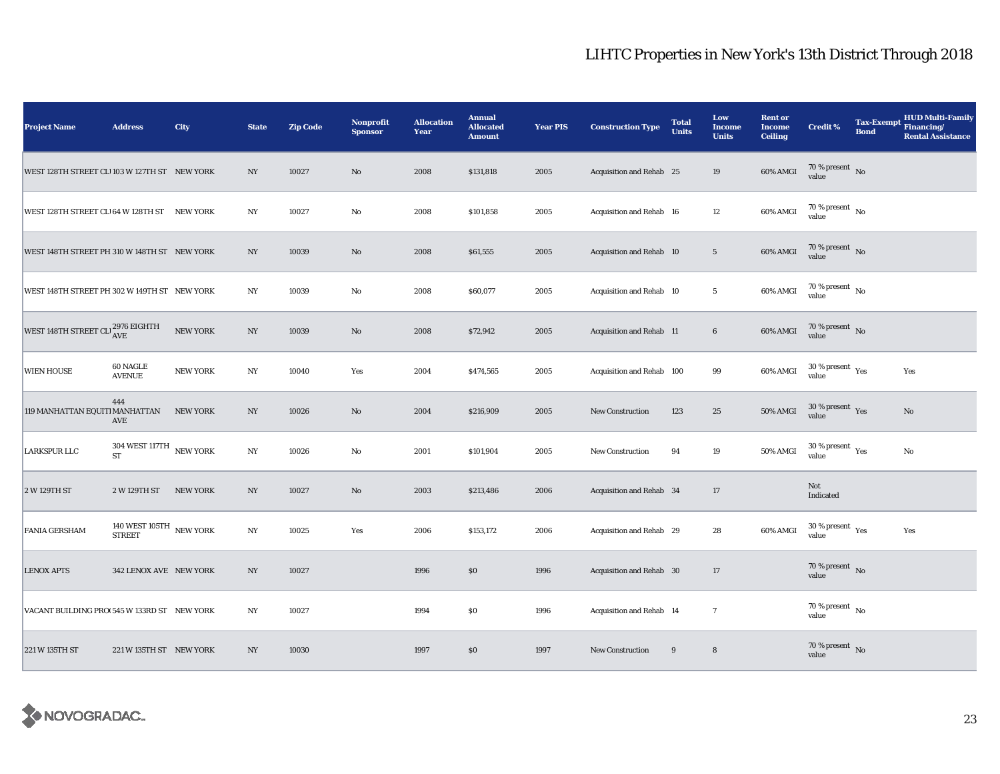| <b>Project Name</b>                          | <b>Address</b>                                | City            | <b>State</b>     | <b>Zip Code</b> | <b>Nonprofit</b><br><b>Sponsor</b> | <b>Allocation</b><br>Year | <b>Annual</b><br><b>Allocated</b><br><b>Amount</b> | <b>Year PIS</b> | <b>Construction Type</b>  | <b>Total</b><br><b>Units</b> | Low<br><b>Income</b><br><b>Units</b> | <b>Rent or</b><br><b>Income</b><br><b>Ceiling</b> | <b>Credit %</b>                              | <b>Tax-Exempt</b><br><b>Bond</b> | <b>HUD Multi-Family</b><br>Financing/<br><b>Rental Assistance</b> |
|----------------------------------------------|-----------------------------------------------|-----------------|------------------|-----------------|------------------------------------|---------------------------|----------------------------------------------------|-----------------|---------------------------|------------------------------|--------------------------------------|---------------------------------------------------|----------------------------------------------|----------------------------------|-------------------------------------------------------------------|
| WEST 128TH STREET CL 103 W 127TH ST NEW YORK |                                               |                 | NY               | 10027           | $\rm No$                           | 2008                      | \$131,818                                          | 2005            | Acquisition and Rehab 25  |                              | 19                                   | 60% AMGI                                          | $70\,\%$ present $\,$ No value               |                                  |                                                                   |
| WEST 128TH STREET CLI64 W 128TH ST NEW YORK  |                                               |                 | $_{\mathrm{NY}}$ | 10027           | $\rm No$                           | 2008                      | \$101,858                                          | 2005            | Acquisition and Rehab 16  |                              | $12\,$                               | 60% AMGI                                          | $70\,\%$ present $\,$ No $\,$<br>value       |                                  |                                                                   |
| WEST 148TH STREET PH 310 W 148TH ST NEW YORK |                                               |                 | NY               | 10039           | No                                 | 2008                      | \$61,555                                           | 2005            | Acquisition and Rehab 10  |                              | $5\phantom{.0}$                      | 60% AMGI                                          | $70\,\%$ present $\,$ No value               |                                  |                                                                   |
| WEST 148TH STREET PH 302 W 149TH ST NEW YORK |                                               |                 | NY               | 10039           | $\mathbf {No}$                     | 2008                      | \$60,077                                           | 2005            | Acquisition and Rehab 10  |                              | $5\phantom{.0}$                      | 60% AMGI                                          | 70 % present $\hbox{~No}$<br>value           |                                  |                                                                   |
| WEST 148TH STREET CLI <sup>2976</sup> EIGHTH | $\operatorname{AVE}$                          | NEW YORK        | $_{\mathrm{NY}}$ | 10039           | $\rm No$                           | 2008                      | \$72,942                                           | 2005            | Acquisition and Rehab 11  |                              | $\bf 6$                              | 60% AMGI                                          | 70 % present $\,$ No $\,$<br>value           |                                  |                                                                   |
| <b>WIEN HOUSE</b>                            | 60 NAGLE<br><b>AVENUE</b>                     | <b>NEW YORK</b> | $_{\mathrm{NY}}$ | 10040           | Yes                                | 2004                      | \$474,565                                          | 2005            | Acquisition and Rehab 100 |                              | 99                                   | 60% AMGI                                          | $30$ % present $\rm\thinspace\,Yes$<br>value |                                  | Yes                                                               |
| 119 MANHATTAN EQUITI MANHATTAN               | 444<br>AVE                                    | <b>NEW YORK</b> | $_{\mathrm{NY}}$ | 10026           | $\rm No$                           | 2004                      | \$216,909                                          | 2005            | <b>New Construction</b>   | 123                          | $\bf 25$                             | 50% AMGI                                          | $30\,\%$ present $\,$ Yes<br>value           |                                  | No                                                                |
| <b>LARKSPUR LLC</b>                          | 304 WEST 117TH NEW YORK<br><b>ST</b>          |                 | $_{\mathrm{NY}}$ | 10026           | $\rm No$                           | 2001                      | \$101,904                                          | 2005            | <b>New Construction</b>   | 94                           | $19\,$                               | 50% AMGI                                          | $30\,\%$ present $\,$ Yes value              |                                  | $\rm No$                                                          |
| 2 W 129TH ST                                 | 2 W 129TH ST                                  | <b>NEW YORK</b> | NY               | 10027           | No                                 | 2003                      | \$213,486                                          | 2006            | Acquisition and Rehab 34  |                              | $17\,$                               |                                                   | Not<br>Indicated                             |                                  |                                                                   |
| <b>FANIA GERSHAM</b>                         | 140 WEST 105TH $\,$ NEW YORK<br><b>STREET</b> |                 | $_{\mathrm{NY}}$ | 10025           | Yes                                | 2006                      | \$153,172                                          | 2006            | Acquisition and Rehab 29  |                              | 28                                   | 60% AMGI                                          | $30\,\%$ present $\,$ $\rm Yes$<br>value     |                                  | Yes                                                               |
| <b>LENOX APTS</b>                            | 342 LENOX AVE NEW YORK                        |                 | NY               | 10027           |                                    | 1996                      | \$0                                                | 1996            | Acquisition and Rehab 30  |                              | $17\,$                               |                                                   | 70 % present $\,$ No $\,$<br>value           |                                  |                                                                   |
| VACANT BUILDING PRO(545 W 133RD ST NEW YORK  |                                               |                 | $_{\mathrm{NY}}$ | 10027           |                                    | 1994                      | \$0                                                | 1996            | Acquisition and Rehab 14  |                              | $\overline{7}$                       |                                                   | 70 % present $\hbox{~No}$<br>value           |                                  |                                                                   |
| 221 W 135TH ST                               | 221 W 135TH ST NEW YORK                       |                 | $_{\mathrm{NY}}$ | 10030           |                                    | 1997                      | $\$0$                                              | 1997            | New Construction          | 9                            | $\bf8$                               |                                                   | 70 % present $\,$ No $\,$<br>value           |                                  |                                                                   |

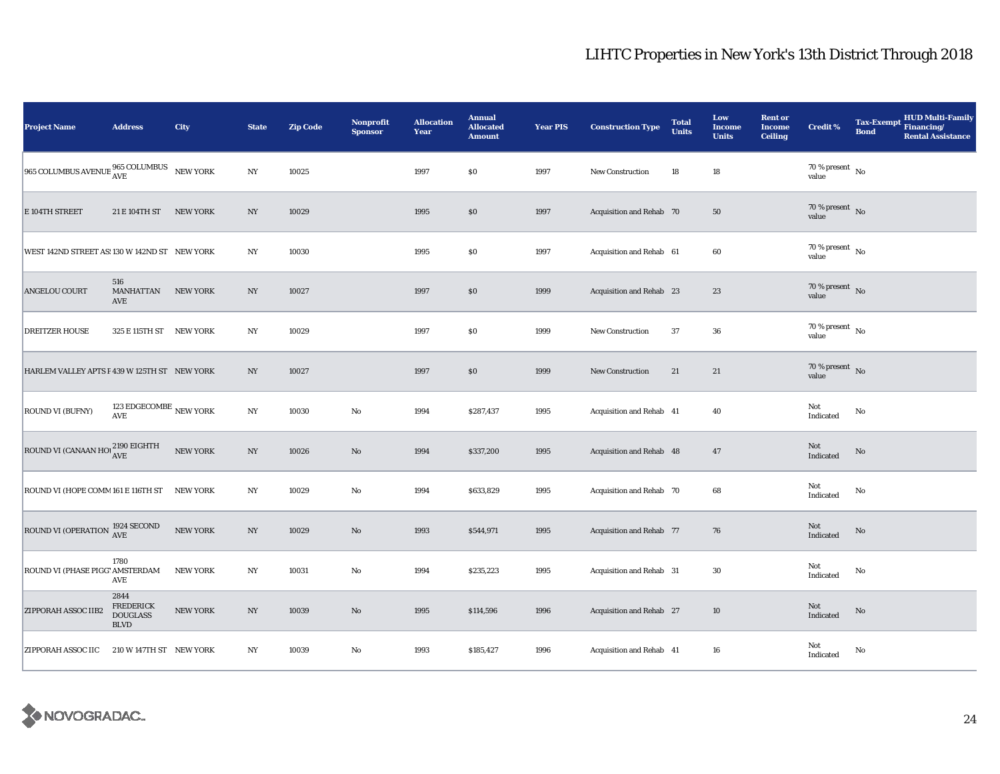| <b>Project Name</b>                                                               | <b>Address</b>                                             | City            | <b>State</b>     | <b>Zip Code</b> | Nonprofit<br><b>Sponsor</b> | <b>Allocation</b><br>Year | <b>Annual</b><br><b>Allocated</b><br><b>Amount</b> | <b>Year PIS</b> | <b>Construction Type</b> | <b>Total</b><br><b>Units</b> | Low<br><b>Income</b><br><b>Units</b> | <b>Rent or</b><br><b>Income</b><br><b>Ceiling</b> | <b>Credit %</b>                        | <b>Tax-Exempt</b><br><b>Bond</b> | <b>HUD Multi-Family</b><br>Financing/<br><b>Rental Assistance</b> |
|-----------------------------------------------------------------------------------|------------------------------------------------------------|-----------------|------------------|-----------------|-----------------------------|---------------------------|----------------------------------------------------|-----------------|--------------------------|------------------------------|--------------------------------------|---------------------------------------------------|----------------------------------------|----------------------------------|-------------------------------------------------------------------|
| $\boxed{965 \; \text{COLUMBUS} \; \text{AVENUE} \; \text{365}\; \text{COLUMBUS}}$ |                                                            | NEW YORK        | $_{\mathrm{NY}}$ | 10025           |                             | 1997                      | \$0                                                | 1997            | <b>New Construction</b>  | 18                           | 18                                   |                                                   | 70 % present $\hbox{~No}$<br>value     |                                  |                                                                   |
| E 104TH STREET                                                                    | 21 E 104TH ST                                              | <b>NEW YORK</b> | NY               | 10029           |                             | 1995                      | $\$0$                                              | 1997            | Acquisition and Rehab 70 |                              | 50                                   |                                                   | 70 % present $\overline{N_0}$<br>value |                                  |                                                                   |
| WEST 142ND STREET AS: 130 W 142ND ST NEW YORK                                     |                                                            |                 | NY               | 10030           |                             | 1995                      | \$0                                                | 1997            | Acquisition and Rehab 61 |                              | 60                                   |                                                   | 70 % present $\overline{N_0}$<br>value |                                  |                                                                   |
| <b>ANGELOU COURT</b>                                                              | 516<br>MANHATTAN<br>AVE                                    | <b>NEW YORK</b> | NY               | 10027           |                             | 1997                      | \$0                                                | 1999            | Acquisition and Rehab 23 |                              | 23                                   |                                                   | 70 % present $\hbox{~No}$<br>value     |                                  |                                                                   |
| <b>DREITZER HOUSE</b>                                                             | 325 E 115TH ST NEW YORK                                    |                 | $_{\mathrm{NY}}$ | 10029           |                             | 1997                      | \$0                                                | 1999            | <b>New Construction</b>  | 37                           | 36                                   |                                                   | 70 % present $\hbox{~No}$<br>value     |                                  |                                                                   |
| HARLEM VALLEY APTS F 439 W 125TH ST NEW YORK                                      |                                                            |                 | $_{\mathrm{NY}}$ | 10027           |                             | 1997                      | \$0                                                | 1999            | <b>New Construction</b>  | 21                           | 21                                   |                                                   | 70 % present $\bar{N}$ o<br>value      |                                  |                                                                   |
| ROUND VI (BUFNY)                                                                  | 123 EDGECOMBE $_{\rm NEW}$ YORK<br>$\operatorname{AVE}$    |                 | $_{\mathrm{NY}}$ | 10030           | $_{\rm No}$                 | 1994                      | \$287,437                                          | 1995            | Acquisition and Rehab 41 |                              | 40                                   |                                                   | Not<br>Indicated                       | No                               |                                                                   |
| ROUND VI (CANAAN HO $_{\mbox{AVE}}^{2190\text{ EIGHTH}}$                          |                                                            | NEW YORK        | $_{\mathrm{NY}}$ | 10026           | $\rm No$                    | 1994                      | \$337,200                                          | 1995            | Acquisition and Rehab 48 |                              | 47                                   |                                                   | Not<br>Indicated                       | No                               |                                                                   |
| ROUND VI (HOPE COMM 161 E 116TH ST NEW YORK                                       |                                                            |                 | $_{\mathrm{NY}}$ | 10029           | No                          | 1994                      | \$633,829                                          | 1995            | Acquisition and Rehab 70 |                              | 68                                   |                                                   | Not<br>Indicated                       | No                               |                                                                   |
| ROUND VI (OPERATION $\frac{1924}{\text{AVE}}$                                     |                                                            | NEW YORK        | $_{\mathrm{NY}}$ | 10029           | $\rm No$                    | 1993                      | \$544,971                                          | 1995            | Acquisition and Rehab 77 |                              | 76                                   |                                                   | Not<br>Indicated                       | No                               |                                                                   |
| ROUND VI (PHASE PIGG' AMSTERDAM                                                   | 1780<br>AVE                                                | <b>NEW YORK</b> | NY               | 10031           | No                          | 1994                      | \$235,223                                          | 1995            | Acquisition and Rehab 31 |                              | 30                                   |                                                   | Not<br>Indicated                       | No                               |                                                                   |
| ZIPPORAH ASSOC IIB2                                                               | 2844<br><b>FREDERICK</b><br><b>DOUGLASS</b><br><b>BLVD</b> | <b>NEW YORK</b> | $_{\mathrm{NY}}$ | 10039           | $\rm No$                    | 1995                      | \$114,596                                          | 1996            | Acquisition and Rehab 27 |                              | 10                                   |                                                   | Not<br>Indicated                       | No                               |                                                                   |
| <b>ZIPPORAH ASSOC IIC</b>                                                         | 210 W 147TH ST NEW YORK                                    |                 | NY               | 10039           | $\mathbf{No}$               | 1993                      | \$185,427                                          | 1996            | Acquisition and Rehab 41 |                              | 16                                   |                                                   | Not<br>Indicated                       | No                               |                                                                   |

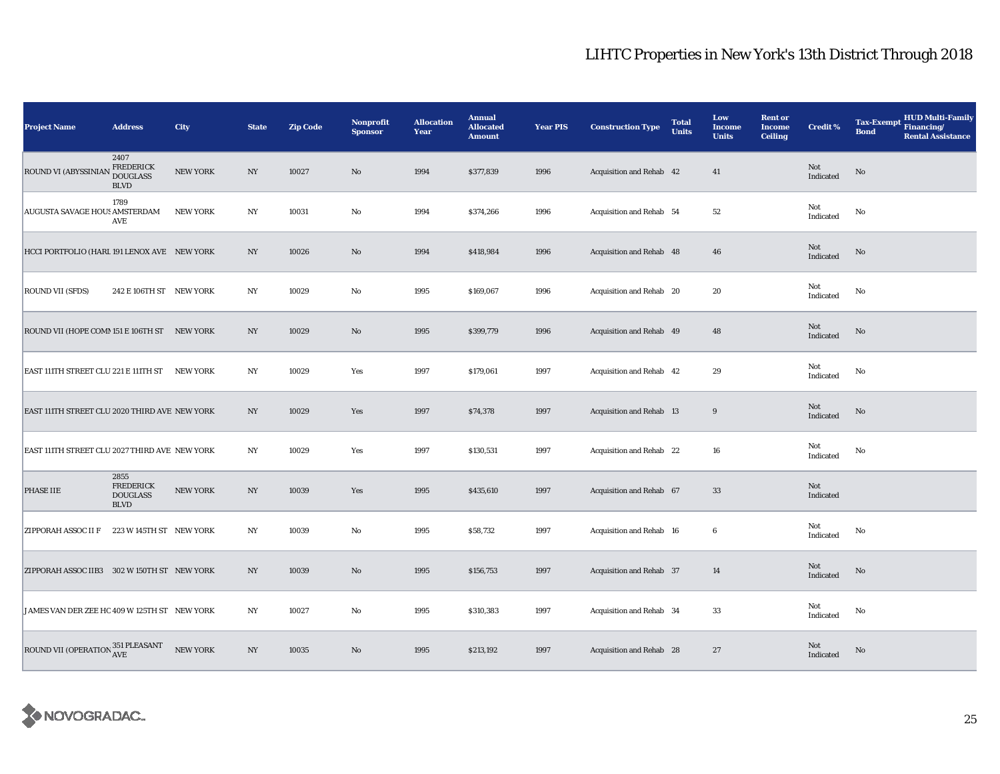| <b>Project Name</b>                           | <b>Address</b>                                             | City            | <b>State</b>     | <b>Zip Code</b> | Nonprofit<br><b>Sponsor</b> | <b>Allocation</b><br>Year | <b>Annual</b><br><b>Allocated</b><br><b>Amount</b> | <b>Year PIS</b> | <b>Construction Type</b> | <b>Total</b><br><b>Units</b> | Low<br><b>Income</b><br><b>Units</b> | <b>Rent or</b><br><b>Income</b><br><b>Ceiling</b> | <b>Credit %</b>  | HUD Multi-Family<br><b>Tax-Exempt</b><br>Financing/<br><b>Bond</b><br><b>Rental Assistance</b> |
|-----------------------------------------------|------------------------------------------------------------|-----------------|------------------|-----------------|-----------------------------|---------------------------|----------------------------------------------------|-----------------|--------------------------|------------------------------|--------------------------------------|---------------------------------------------------|------------------|------------------------------------------------------------------------------------------------|
| ROUND VI (ABYSSINIAN                          | 2407<br><b>FREDERICK</b><br><b>DOUGLASS</b><br><b>BLVD</b> | <b>NEW YORK</b> | NY               | 10027           | No                          | 1994                      | \$377,839                                          | 1996            | Acquisition and Rehab 42 |                              | 41                                   |                                                   | Not<br>Indicated | No                                                                                             |
| AUGUSTA SAVAGE HOUS AMSTERDAM                 | 1789<br>AVE                                                | <b>NEW YORK</b> | NY               | 10031           | No                          | 1994                      | \$374,266                                          | 1996            | Acquisition and Rehab 54 |                              | $52\,$                               |                                                   | Not<br>Indicated | No                                                                                             |
| HCCI PORTFOLIO (HARL 191 LENOX AVE NEW YORK   |                                                            |                 | NY               | 10026           | $\mathbf{N}\mathbf{o}$      | 1994                      | \$418,984                                          | 1996            | Acquisition and Rehab 48 |                              | 46                                   |                                                   | Not<br>Indicated | $\mathbf{No}$                                                                                  |
| <b>ROUND VII (SFDS)</b>                       | 242 E 106TH ST NEW YORK                                    |                 | NY               | 10029           | No                          | 1995                      | \$169,067                                          | 1996            | Acquisition and Rehab 20 |                              | 20                                   |                                                   | Not<br>Indicated | No                                                                                             |
| ROUND VII (HOPE COMM 151 E 106TH ST NEW YORK  |                                                            |                 | $_{\mathrm{NY}}$ | 10029           | $\mathbf{N}\mathbf{o}$      | 1995                      | \$399,779                                          | 1996            | Acquisition and Rehab 49 |                              | 48                                   |                                                   | Not<br>Indicated | $\mathbf{No}$                                                                                  |
| EAST 111TH STREET CLU 221 E 111TH ST NEW YORK |                                                            |                 | NY               | 10029           | Yes                         | 1997                      | \$179,061                                          | 1997            | Acquisition and Rehab 42 |                              | 29                                   |                                                   | Not<br>Indicated | $\mathbf{No}$                                                                                  |
| EAST 111TH STREET CLU 2020 THIRD AVE NEW YORK |                                                            |                 | NY               | 10029           | Yes                         | 1997                      | \$74,378                                           | 1997            | Acquisition and Rehab 13 |                              | $9\,$                                |                                                   | Not<br>Indicated | No                                                                                             |
| EAST 111TH STREET CLU 2027 THIRD AVE NEW YORK |                                                            |                 | NY               | 10029           | Yes                         | 1997                      | \$130,531                                          | 1997            | Acquisition and Rehab 22 |                              | 16                                   |                                                   | Not<br>Indicated | No                                                                                             |
| <b>PHASE IIE</b>                              | 2855<br><b>FREDERICK</b><br><b>DOUGLASS</b><br><b>BLVD</b> | <b>NEW YORK</b> | $_{\mathrm{NY}}$ | 10039           | Yes                         | 1995                      | \$435,610                                          | 1997            | Acquisition and Rehab 67 |                              | 33                                   |                                                   | Not<br>Indicated |                                                                                                |
| <b>ZIPPORAH ASSOC II F</b>                    | 223 W 145TH ST NEW YORK                                    |                 | N <sub>Y</sub>   | 10039           | No                          | 1995                      | \$58,732                                           | 1997            | Acquisition and Rehab 16 |                              | $\bf 6$                              |                                                   | Not<br>Indicated | No                                                                                             |
| ZIPPORAH ASSOC IIB3 302 W 150TH ST NEW YORK   |                                                            |                 | NY               | 10039           | $\mathbf{N}\mathbf{o}$      | 1995                      | \$156,753                                          | 1997            | Acquisition and Rehab 37 |                              | 14                                   |                                                   | Not<br>Indicated | No                                                                                             |
| JAMES VAN DER ZEE HC 409 W 125TH ST NEW YORK  |                                                            |                 | $_{\mathrm{NY}}$ | 10027           | No                          | 1995                      | \$310,383                                          | 1997            | Acquisition and Rehab 34 |                              | 33                                   |                                                   | Not<br>Indicated | No                                                                                             |
| ROUND VII (OPERATION 351 PLEASANT             |                                                            | <b>NEW YORK</b> | NY               | 10035           | No                          | 1995                      | \$213,192                                          | 1997            | Acquisition and Rehab 28 |                              | 27                                   |                                                   | Not<br>Indicated | No                                                                                             |

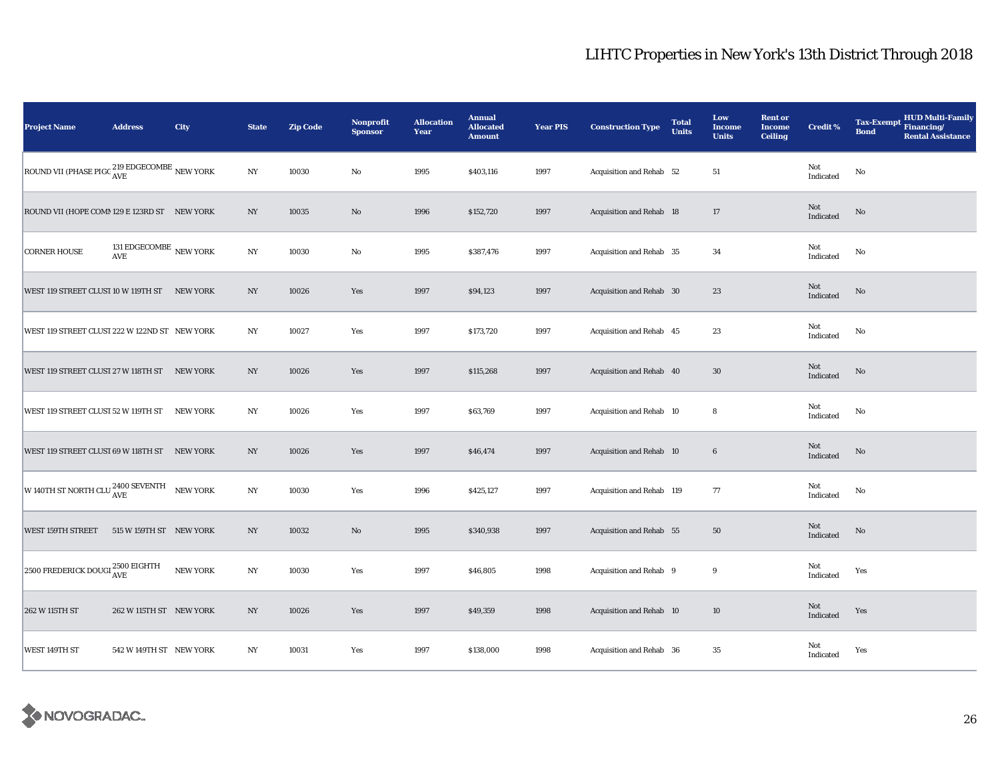| <b>Project Name</b>                                             | <b>Address</b>                                               | City            | <b>State</b>     | <b>Zip Code</b> | <b>Nonprofit</b><br><b>Sponsor</b> | <b>Allocation</b><br>Year | <b>Annual</b><br><b>Allocated</b><br><b>Amount</b> | <b>Year PIS</b> | <b>Construction Type</b>        | <b>Total</b><br><b>Units</b> | Low<br>Income<br><b>Units</b> | <b>Rent or</b><br><b>Income</b><br><b>Ceiling</b> | <b>Credit %</b>  | HUD Multi-Family<br>Tax-Exempt Financing/<br><b>Bond</b><br><b>Rental Assistance</b> |
|-----------------------------------------------------------------|--------------------------------------------------------------|-----------------|------------------|-----------------|------------------------------------|---------------------------|----------------------------------------------------|-----------------|---------------------------------|------------------------------|-------------------------------|---------------------------------------------------|------------------|--------------------------------------------------------------------------------------|
| ROUND VII (PHASE PIGC $_{\rm AVE}^{219\rm\,EDGECOMBE}$ NEW YORK |                                                              |                 | $_{\mathrm{NY}}$ | 10030           | $\rm No$                           | 1995                      | \$403,116                                          | 1997            | Acquisition and Rehab 52        |                              | 51                            |                                                   | Not<br>Indicated | $\mathbf{No}$                                                                        |
| ROUND VII (HOPE COMM 129 E 123RD ST NEW YORK                    |                                                              |                 | $_{\mathrm{NY}}$ | 10035           | $\rm No$                           | 1996                      | \$152,720                                          | 1997            | <b>Acquisition and Rehab 18</b> |                              | $17\,$                        |                                                   | Not<br>Indicated | No                                                                                   |
| <b>CORNER HOUSE</b>                                             | 131 EDGECOMBE $\,$ NEW YORK<br>$\operatorname{\mathbf{AVE}}$ |                 | NY               | 10030           | $\rm No$                           | 1995                      | \$387,476                                          | 1997            | Acquisition and Rehab 35        |                              | 34                            |                                                   | Not<br>Indicated | No                                                                                   |
| WEST 119 STREET CLUST 10 W 119TH ST NEW YORK                    |                                                              |                 | NY               | 10026           | Yes                                | 1997                      | \$94,123                                           | 1997            | Acquisition and Rehab 30        |                              | 23                            |                                                   | Not<br>Indicated | No                                                                                   |
| WEST 119 STREET CLUST 222 W 122ND ST NEW YORK                   |                                                              |                 | NY               | 10027           | Yes                                | 1997                      | \$173,720                                          | 1997            | Acquisition and Rehab 45        |                              | 23                            |                                                   | Not<br>Indicated | No                                                                                   |
| WEST 119 STREET CLUST 27 W 118TH ST NEW YORK                    |                                                              |                 | $_{\mathrm{NY}}$ | 10026           | Yes                                | 1997                      | \$115,268                                          | 1997            | Acquisition and Rehab 40        |                              | $30\,$                        |                                                   | Not<br>Indicated | $\mathbf{No}$                                                                        |
| WEST 119 STREET CLUST 52 W 119TH ST                             |                                                              | <b>NEW YORK</b> | NY               | 10026           | Yes                                | 1997                      | \$63,769                                           | 1997            | Acquisition and Rehab 10        |                              | 8                             |                                                   | Not<br>Indicated | No                                                                                   |
| WEST 119 STREET CLUST 69 W 118TH ST NEW YORK                    |                                                              |                 | $_{\mathrm{NY}}$ | 10026           | Yes                                | 1997                      | \$46,474                                           | 1997            | Acquisition and Rehab 10        |                              | $\bf 6$                       |                                                   | Not<br>Indicated | No                                                                                   |
| W 140TH ST NORTH CLU $_{\rm AVE}^{2400 \ \rm SEVENTH}$          |                                                              | <b>NEW YORK</b> | NY               | 10030           | Yes                                | 1996                      | \$425,127                                          | 1997            | Acquisition and Rehab 119       |                              | 77                            |                                                   | Not<br>Indicated | No                                                                                   |
| <b>WEST 159TH STREET</b>                                        | 515 W 159TH ST NEW YORK                                      |                 | NY               | 10032           | $\rm No$                           | 1995                      | \$340,938                                          | 1997            | Acquisition and Rehab 55        |                              | 50                            |                                                   | Not<br>Indicated | $\mathbf{No}$                                                                        |
| 2500 FREDERICK DOUGI $_{\rm AVE}^{2500\rm\,EIGHTH}$             |                                                              | <b>NEW YORK</b> | NY               | 10030           | Yes                                | 1997                      | \$46,805                                           | 1998            | Acquisition and Rehab 9         |                              | 9                             |                                                   | Not<br>Indicated | Yes                                                                                  |
| 262 W 115TH ST                                                  | 262 W 115TH ST NEW YORK                                      |                 | $_{\mathrm{NY}}$ | 10026           | Yes                                | 1997                      | \$49,359                                           | 1998            | Acquisition and Rehab 10        |                              | $10\,$                        |                                                   | Not<br>Indicated | Yes                                                                                  |
| WEST 149TH ST                                                   | 542 W 149TH ST NEW YORK                                      |                 | NY               | 10031           | Yes                                | 1997                      | \$138,000                                          | 1998            | Acquisition and Rehab 36        |                              | 35                            |                                                   | Not<br>Indicated | Yes                                                                                  |

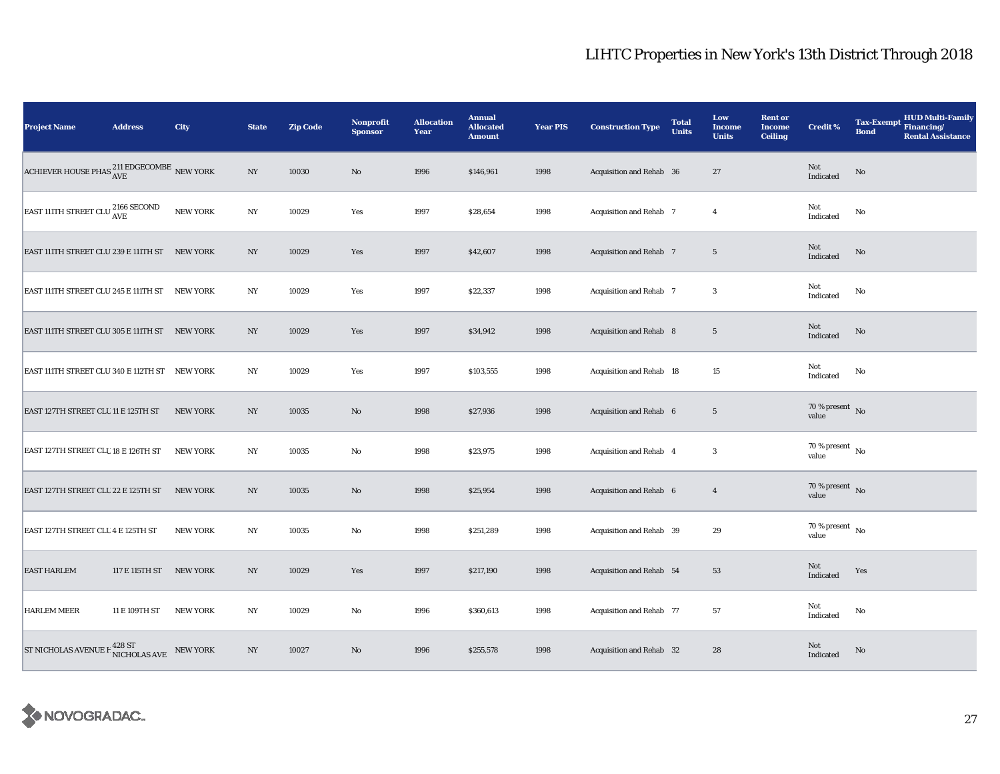| <b>Project Name</b>                                                       | <b>Address</b> | City            | <b>State</b>     | <b>Zip Code</b> | Nonprofit<br><b>Sponsor</b> | <b>Allocation</b><br>Year | <b>Annual</b><br><b>Allocated</b><br><b>Amount</b> | <b>Year PIS</b> | <b>Construction Type</b>       | <b>Total</b><br><b>Units</b> | Low<br><b>Income</b><br><b>Units</b> | <b>Rent or</b><br><b>Income</b><br><b>Ceiling</b> | <b>Credit %</b>                    | <b>Tax-Exempt</b><br><b>Bond</b> | HUD Multi-Family<br>Financing/<br><b>Rental Assistance</b> |
|---------------------------------------------------------------------------|----------------|-----------------|------------------|-----------------|-----------------------------|---------------------------|----------------------------------------------------|-----------------|--------------------------------|------------------------------|--------------------------------------|---------------------------------------------------|------------------------------------|----------------------------------|------------------------------------------------------------|
| ACHIEVER HOUSE PHAS $\frac{211}{\text{AVE}}$ NEW YORK                     |                |                 | $_{\mathrm{NY}}$ | 10030           | $\rm No$                    | 1996                      | \$146,961                                          | 1998            | Acquisition and Rehab 36       |                              | 27                                   |                                                   | Not<br>Indicated                   | No                               |                                                            |
| $\boxed{\text{EAST 111TH STREET CLU}^{\text{2166 SECOND}}_{\text{AVE}} }$ |                | <b>NEW YORK</b> | $_{\mathrm{NY}}$ | 10029           | Yes                         | 1997                      | \$28,654                                           | 1998            | <b>Acquisition and Rehab 7</b> |                              | $\overline{4}$                       |                                                   | Not<br>Indicated                   | No                               |                                                            |
| EAST 111TH STREET CLU 239 E 111TH ST NEW YORK                             |                |                 | NY               | 10029           | Yes                         | 1997                      | \$42,607                                           | 1998            | <b>Acquisition and Rehab 7</b> |                              | $5\phantom{.0}$                      |                                                   | Not<br>Indicated                   | $\rm No$                         |                                                            |
| EAST 111TH STREET CLU 245 E 111TH ST NEW YORK                             |                |                 | NY               | 10029           | Yes                         | 1997                      | \$22,337                                           | 1998            | Acquisition and Rehab 7        |                              | $\boldsymbol{3}$                     |                                                   | Not<br>Indicated                   | No                               |                                                            |
| EAST 111TH STREET CLU 305 E 111TH ST NEW YORK                             |                |                 | NY               | 10029           | Yes                         | 1997                      | \$34,942                                           | 1998            | Acquisition and Rehab 8        |                              | $5\phantom{.0}$                      |                                                   | Not<br>Indicated                   | No                               |                                                            |
| EAST 111TH STREET CLU 340 E 112TH ST NEW YORK                             |                |                 | $_{\mathrm{NY}}$ | 10029           | Yes                         | 1997                      | \$103,555                                          | 1998            | Acquisition and Rehab 18       |                              | $15\,$                               |                                                   | Not<br>Indicated                   | $\mathbf{No}$                    |                                                            |
| EAST 127TH STREET CLU 11 E 125TH ST                                       |                | <b>NEW YORK</b> | $_{\mathrm{NY}}$ | 10035           | No                          | 1998                      | \$27,936                                           | 1998            | Acquisition and Rehab 6        |                              | $5\phantom{.0}$                      |                                                   | 70 % present $\,$ No $\,$<br>value |                                  |                                                            |
| EAST 127TH STREET CLU 18 E 126TH ST                                       |                | <b>NEW YORK</b> | NY               | 10035           | $\rm No$                    | 1998                      | \$23,975                                           | 1998            | Acquisition and Rehab 4        |                              | $\boldsymbol{3}$                     |                                                   | $70\,\%$ present $\,$ No value     |                                  |                                                            |
| EAST 127TH STREET CLU 22 E 125TH ST                                       |                | <b>NEW YORK</b> | NY               | 10035           | $\rm No$                    | 1998                      | \$25,954                                           | 1998            | Acquisition and Rehab 6        |                              | $\overline{4}$                       |                                                   | 70 % present No<br>value           |                                  |                                                            |
| EAST 127TH STREET CLU 4 E 125TH ST                                        |                | <b>NEW YORK</b> | NY               | 10035           | $\rm No$                    | 1998                      | \$251,289                                          | 1998            | Acquisition and Rehab 39       |                              | 29                                   |                                                   | 70 % present $\hbox{~No}$<br>value |                                  |                                                            |
| <b>EAST HARLEM</b>                                                        | 117 E 115TH ST | <b>NEW YORK</b> | N <sub>Y</sub>   | 10029           | Yes                         | 1997                      | \$217,190                                          | 1998            | Acquisition and Rehab 54       |                              | 53                                   |                                                   | Not<br>Indicated                   | Yes                              |                                                            |
| <b>HARLEM MEER</b>                                                        | 11 E 109TH ST  | <b>NEW YORK</b> | $_{\mathrm{NY}}$ | 10029           | $\rm No$                    | 1996                      | \$360,613                                          | 1998            | Acquisition and Rehab 77       |                              | 57                                   |                                                   | Not<br>Indicated                   | No                               |                                                            |
| ST NICHOLAS AVENUE F $_{\rm NICHOLAS\;AVE}^{428\;ST}$ NEW YORK            |                |                 | $_{\mathrm{NY}}$ | 10027           | No                          | 1996                      | \$255,578                                          | 1998            | Acquisition and Rehab 32       |                              | 28                                   |                                                   | Not<br>Indicated                   | No                               |                                                            |

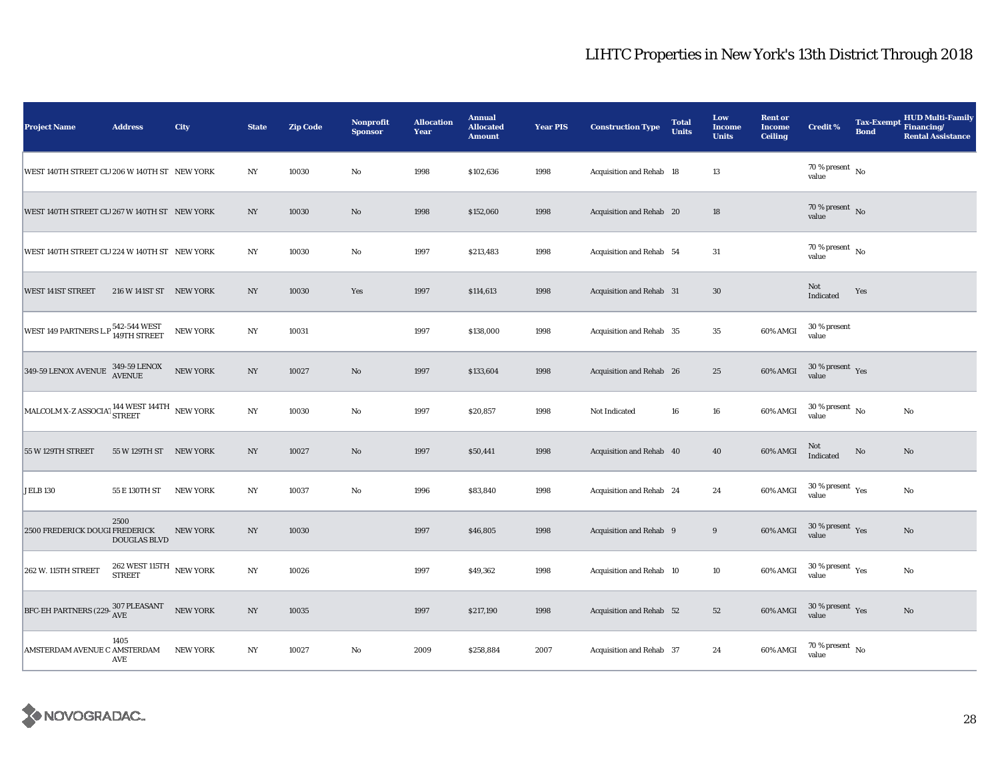| <b>Project Name</b>                                                                           | <b>Address</b>                                            | City            | <b>State</b>     | <b>Zip Code</b> | Nonprofit<br><b>Sponsor</b> | <b>Allocation</b><br>Year | <b>Annual</b><br><b>Allocated</b><br><b>Amount</b> | <b>Year PIS</b> | <b>Construction Type</b> | <b>Total</b><br><b>Units</b> | Low<br>Income<br><b>Units</b> | <b>Rent or</b><br><b>Income</b><br><b>Ceiling</b> | <b>Credit %</b>                              | <b>Tax-Exempt</b><br><b>Bond</b> | <b>HUD Multi-Family</b><br>Financing/<br><b>Rental Assistance</b> |
|-----------------------------------------------------------------------------------------------|-----------------------------------------------------------|-----------------|------------------|-----------------|-----------------------------|---------------------------|----------------------------------------------------|-----------------|--------------------------|------------------------------|-------------------------------|---------------------------------------------------|----------------------------------------------|----------------------------------|-------------------------------------------------------------------|
| WEST 140TH STREET CL 206 W 140TH ST NEW YORK                                                  |                                                           |                 | $_{\mathrm{NY}}$ | 10030           | $_{\rm No}$                 | 1998                      | \$102,636                                          | 1998            | Acquisition and Rehab 18 |                              | 13                            |                                                   | 70 % present $\hbox{~No}$<br>value           |                                  |                                                                   |
| WEST 140TH STREET CL1267 W 140TH ST NEW YORK                                                  |                                                           |                 | NY               | 10030           | $\rm No$                    | 1998                      | \$152,060                                          | 1998            | Acquisition and Rehab 20 |                              | 18                            |                                                   | $70\%$ present No<br>value                   |                                  |                                                                   |
| WEST 140TH STREET CL1224 W 140TH ST NEW YORK                                                  |                                                           |                 | NY               | 10030           | No                          | 1997                      | \$213,483                                          | 1998            | Acquisition and Rehab 54 |                              | $31\,$                        |                                                   | 70 % present $\overline{N_0}$<br>value       |                                  |                                                                   |
| <b>WEST 141ST STREET</b>                                                                      | 216 W 141ST ST NEW YORK                                   |                 | NY.              | 10030           | Yes                         | 1997                      | \$114,613                                          | 1998            | Acquisition and Rehab 31 |                              | 30                            |                                                   | Not<br>Indicated                             | Yes                              |                                                                   |
| WEST 149 PARTNERS L.P 542-544 WEST                                                            |                                                           | NEW YORK        | $_{\mathrm{NY}}$ | 10031           |                             | 1997                      | \$138,000                                          | 1998            | Acquisition and Rehab 35 |                              | $\bf 35$                      | 60% AMGI                                          | 30 % present<br>value                        |                                  |                                                                   |
| $349-59\text{ LENOX AVENUE}\begin{array}{l} 349-59\text{ LENOX} \\ \text{AVENUE} \end{array}$ |                                                           | NEW YORK        | NY               | 10027           | $\mathbf{No}$               | 1997                      | \$133,604                                          | 1998            | Acquisition and Rehab 26 |                              | 25                            | 60% AMGI                                          | $30\,\%$ present $\,$ $\rm Yes$<br>value     |                                  |                                                                   |
| MALCOLM X-Z ASSOCIAT STREET 144TH NEW YORK                                                    |                                                           |                 | $_{\mathrm{NY}}$ | 10030           | No                          | 1997                      | \$20,857                                           | 1998            | Not Indicated            | 16                           | 16                            | 60% AMGI                                          | $30\,\%$ present $\,$ No value               |                                  | No                                                                |
| 55 W 129TH STREET                                                                             | 55 W 129TH ST NEW YORK                                    |                 | NY               | 10027           | No                          | 1997                      | \$50,441                                           | 1998            | Acquisition and Rehab 40 |                              | 40                            | 60% AMGI                                          | Not<br>Indicated                             | No                               | No                                                                |
| <b>JELB 130</b>                                                                               | 55 E 130TH ST                                             | <b>NEW YORK</b> | $_{\mathrm{NY}}$ | 10037           | $\mathbf{No}$               | 1996                      | \$83,840                                           | 1998            | Acquisition and Rehab 24 |                              | 24                            | 60% AMGI                                          | $30$ % present $\rm\thinspace\,Yes$<br>value |                                  | No                                                                |
| 2500 FREDERICK DOUGI FREDERICK                                                                | 2500<br><b>DOUGLAS BLVD</b>                               | <b>NEW YORK</b> | NY               | 10030           |                             | 1997                      | \$46,805                                           | 1998            | Acquisition and Rehab 9  |                              | 9                             | 60% AMGI                                          | $30\,\%$ present $\,$ $\rm Yes$<br>value     |                                  | No                                                                |
| 262 W. 115TH STREET                                                                           | $262$ WEST $115\mathrm{TH}$ $$\,\mathrm{NEW}$ YORK STREET |                 | $_{\mathrm{NY}}$ | 10026           |                             | 1997                      | \$49,362                                           | 1998            | Acquisition and Rehab 10 |                              | 10                            | 60% AMGI                                          | $30$ % present $\rm\thinspace\,Yes$<br>value |                                  | No                                                                |
| BFC-EH PARTNERS (229- $\frac{307}{\mathrm{AVE}}$                                              |                                                           | NEW YORK        | $_{\mathrm{NY}}$ | 10035           |                             | 1997                      | \$217,190                                          | 1998            | Acquisition and Rehab 52 |                              | 52                            | 60% AMGI                                          | $30\,\%$ present $\,$ Yes<br>value           |                                  | $\mathbf{No}$                                                     |
| AMSTERDAM AVENUE C AMSTERDAM                                                                  | 1405<br>AVE                                               | <b>NEW YORK</b> | NY               | 10027           | $\mathbf{No}$               | 2009                      | \$258,884                                          | 2007            | Acquisition and Rehab 37 |                              | 24                            | 60% AMGI                                          | 70 % present $\hbox{~No}$<br>value           |                                  |                                                                   |

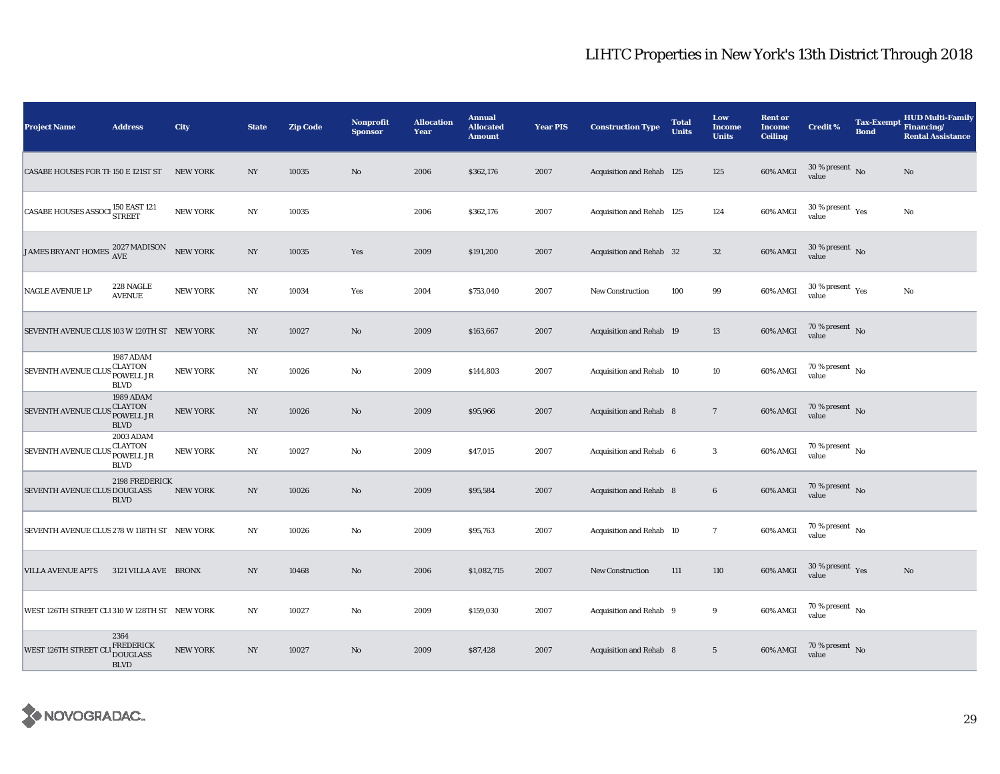| <b>Project Name</b>                                                                                       | <b>Address</b>                                                                    | City            | <b>State</b>     | <b>Zip Code</b> | <b>Nonprofit</b><br><b>Sponsor</b> | <b>Allocation</b><br>Year | <b>Annual</b><br><b>Allocated</b><br><b>Amount</b> | <b>Year PIS</b> | <b>Construction Type</b>        | <b>Total</b><br><b>Units</b> | Low<br>Income<br><b>Units</b> | <b>Rent or</b><br><b>Income</b><br><b>Ceiling</b> | <b>Credit %</b>                              | <b>Tax-Exempt</b><br><b>Bond</b> | <b>HUD Multi-Family</b><br>Financing/<br><b>Rental Assistance</b> |
|-----------------------------------------------------------------------------------------------------------|-----------------------------------------------------------------------------------|-----------------|------------------|-----------------|------------------------------------|---------------------------|----------------------------------------------------|-----------------|---------------------------------|------------------------------|-------------------------------|---------------------------------------------------|----------------------------------------------|----------------------------------|-------------------------------------------------------------------|
| CASABE HOUSES FOR TF 150 E 121ST ST                                                                       |                                                                                   | <b>NEW YORK</b> | $_{\mathrm{NY}}$ | 10035           | $\rm No$                           | 2006                      | \$362,176                                          | 2007            | Acquisition and Rehab 125       |                              | 125                           | 60% AMGI                                          | $30$ % present $\,$ No $\,$<br>value         |                                  | $\mathbf{No}$                                                     |
| $\boxed{\textbf{CASABE HOUSES ASSOC1}\begin{matrix} 150\text{ EAST}\ 121\\ \textbf{STREET} \end{matrix}}$ |                                                                                   | <b>NEW YORK</b> | NY               | 10035           |                                    | 2006                      | \$362,176                                          | 2007            | Acquisition and Rehab 125       |                              | 124                           | 60% AMGI                                          | $30$ % present $\,$ $\rm Yes$<br>value       |                                  | No                                                                |
| JAMES BRYANT HOMES <sup>2027</sup> MADISON                                                                |                                                                                   | NEW YORK        | $_{\mathrm{NY}}$ | 10035           | Yes                                | 2009                      | \$191,200                                          | 2007            | Acquisition and Rehab 32        |                              | $32\,$                        | 60% AMGI                                          | $30$ % present $\,$ No $\,$<br>value         |                                  |                                                                   |
| <b>NAGLE AVENUE LP</b>                                                                                    | 228 NAGLE<br><b>AVENUE</b>                                                        | <b>NEW YORK</b> | $_{\mathrm{NY}}$ | 10034           | Yes                                | 2004                      | \$753,040                                          | 2007            | New Construction                | 100                          | 99                            | 60% AMGI                                          | $30$ % present $\rm\thinspace\,Yes$<br>value |                                  | No                                                                |
| SEVENTH AVENUE CLUS 103 W 120TH ST NEW YORK                                                               |                                                                                   |                 | $_{\mathrm{NY}}$ | 10027           | No                                 | 2009                      | \$163,667                                          | 2007            | <b>Acquisition and Rehab 19</b> |                              | 13                            | 60% AMGI                                          | 70 % present $\hbox{~No}$<br>value           |                                  |                                                                   |
| <b>SEVENTH AVENUE CLU</b>                                                                                 | <b>1987 ADAM</b><br>CLAYTON<br>POWELL JR<br><b>BLVD</b>                           | <b>NEW YORK</b> | $_{\mathrm{NY}}$ | 10026           | No                                 | 2009                      | \$144,803                                          | 2007            | Acquisition and Rehab 10        |                              | 10                            | 60% AMGI                                          | $70$ % present $\,$ No $\,$<br>value         |                                  |                                                                   |
| SEVENTH AVENUE CLUS POWELL JR                                                                             | 1989 ADAM<br><b>BLVD</b>                                                          | <b>NEW YORK</b> | $_{\mathrm{NY}}$ | 10026           | No                                 | 2009                      | \$95,966                                           | 2007            | Acquisition and Rehab 8         |                              | $7\phantom{.0}$               | 60% AMGI                                          | $70$ % present $\,$ No $\,$<br>value         |                                  |                                                                   |
| <b>SEVENTH AVENUE CLU</b>                                                                                 | <b>2003 ADAM</b><br>$S_{\text{new}}^{\text{CLAYTON}}$<br>POWELL JR<br><b>BLVD</b> | <b>NEW YORK</b> | $_{\mathrm{NY}}$ | 10027           | No                                 | 2009                      | \$47,015                                           | 2007            | Acquisition and Rehab 6         |                              | $\mathbf{3}$                  | 60% AMGI                                          | 70 % present $\,$ No $\,$<br>value           |                                  |                                                                   |
| SEVENTH AVENUE CLUS DOUGLASS                                                                              | 2198 FREDERICK<br><b>BLVD</b>                                                     | <b>NEW YORK</b> | $_{\mathrm{NY}}$ | 10026           | No                                 | 2009                      | \$95,584                                           | 2007            | Acquisition and Rehab 8         |                              | $\boldsymbol{6}$              | 60% AMGI                                          | $70\,\%$ present $${\rm No}$$ value          |                                  |                                                                   |
| SEVENTH AVENUE CLUS 278 W 118TH ST NEW YORK                                                               |                                                                                   |                 | $_{\mathrm{NY}}$ | 10026           | No                                 | 2009                      | \$95,763                                           | 2007            | Acquisition and Rehab 10        |                              | $\tau$                        | 60% AMGI                                          | $70$ % present $\,$ No $\,$<br>value         |                                  |                                                                   |
| <b>VILLA AVENUE APTS</b>                                                                                  | 3121 VILLA AVE BRONX                                                              |                 | NY               | 10468           | No                                 | 2006                      | \$1,082,715                                        | 2007            | <b>New Construction</b>         | 111                          | 110                           | 60% AMGI                                          | $30\,\%$ present $\,$ Yes value              |                                  | $\mathbf{No}$                                                     |
| WEST 126TH STREET CLI 310 W 128TH ST NEW YORK                                                             |                                                                                   |                 | NY               | 10027           | No                                 | 2009                      | \$159,030                                          | 2007            | Acquisition and Rehab 9         |                              | 9                             | 60% AMGI                                          | $70$ % present $\,$ No $\,$<br>value         |                                  |                                                                   |
| WEST 126TH STREET CL                                                                                      | 2364<br><b>FREDERICK</b><br><b>DOUGLASS</b><br><b>BLVD</b>                        | <b>NEW YORK</b> | $_{\mathrm{NY}}$ | 10027           | $\rm No$                           | 2009                      | \$87,428                                           | 2007            | Acquisition and Rehab 8         |                              | $\overline{5}$                | 60% AMGI                                          | 70 % present $\overline{N_0}$<br>value       |                                  |                                                                   |

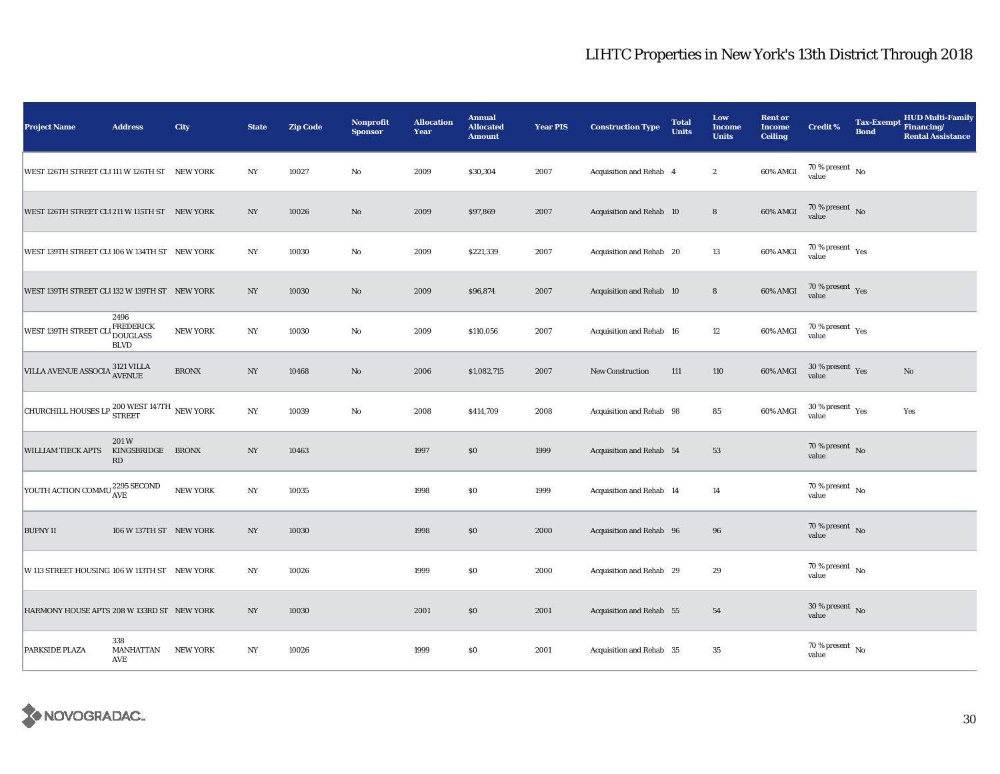| <b>Project Name</b>                                                          | <b>Address</b>                                             | City            | <b>State</b>     | <b>Zip Code</b> | <b>Nonprofit</b><br><b>Sponsor</b> | <b>Allocation</b><br>Year | <b>Annual</b><br><b>Allocated</b><br><b>Amount</b> | <b>Year PIS</b> | <b>Construction Type</b> | <b>Total</b><br><b>Units</b> | Low<br><b>Income</b><br><b>Units</b> | <b>Rent or</b><br><b>Income</b><br><b>Ceiling</b> | <b>Credit %</b>                                       | <b>Tax-Exempt</b><br><b>Bond</b> | HUD Multi-Family<br>Financing/<br><b>Rental Assistance</b> |
|------------------------------------------------------------------------------|------------------------------------------------------------|-----------------|------------------|-----------------|------------------------------------|---------------------------|----------------------------------------------------|-----------------|--------------------------|------------------------------|--------------------------------------|---------------------------------------------------|-------------------------------------------------------|----------------------------------|------------------------------------------------------------|
| WEST 126TH STREET CLI111 W 126TH ST NEW YORK                                 |                                                            |                 | $_{\mathrm{NY}}$ | 10027           | $\rm No$                           | 2009                      | \$30,304                                           | 2007            | Acquisition and Rehab 4  |                              | $\sqrt{2}$                           | 60% AMGI                                          | 70 % present $\hbox{~No}$<br>value                    |                                  |                                                            |
| WEST 126TH STREET CLI 211 W 115TH ST NEW YORK                                |                                                            |                 | $_{\mathrm{NY}}$ | 10026           | $\rm No$                           | 2009                      | \$97,869                                           | 2007            | Acquisition and Rehab 10 |                              | $\bf8$                               | 60% AMGI                                          | 70 % present $\,$ No $\,$<br>value                    |                                  |                                                            |
| WEST 139TH STREET CLI 106 W 134TH ST NEW YORK                                |                                                            |                 | NY               | 10030           | No                                 | 2009                      | \$221,339                                          | 2007            | Acquisition and Rehab 20 |                              | $13\,$                               | 60% AMGI                                          | $70\,\%$ present $\,$ Yes value                       |                                  |                                                            |
| WEST 139TH STREET CLI 132 W 139TH ST NEW YORK                                |                                                            |                 | NY               | 10030           | No                                 | 2009                      | \$96,874                                           | 2007            | Acquisition and Rehab 10 |                              | $\bf8$                               | 60% AMGI                                          | $70\,\%$ present $\;\;$ Yes value                     |                                  |                                                            |
| WEST 139TH STREET CL                                                         | 2496<br><b>FREDERICK</b><br><b>DOUGLASS</b><br><b>BLVD</b> | <b>NEW YORK</b> | NY               | 10030           | No                                 | 2009                      | \$110,056                                          | 2007            | Acquisition and Rehab 16 |                              | $12\,$                               | 60% AMGI                                          | $70\,\%$ present $\,$ Yes value                       |                                  |                                                            |
| VILLA AVENUE ASSOCIA 3121 VILLA                                              |                                                            | <b>BRONX</b>    | NY               | 10468           | No                                 | 2006                      | \$1,082,715                                        | 2007            | <b>New Construction</b>  | 111                          | 110                                  | 60% AMGI                                          | 30 % present $\sqrt{\gamma_{\rm PS}}$<br>value        |                                  | No                                                         |
| CHURCHILL HOUSES LP $_{\rm STREF}^{200\,{\rm WEST\,147TH}}$ NEW YORK         |                                                            |                 | $_{\mathrm{NY}}$ | 10039           | No                                 | 2008                      | \$414,709                                          | 2008            | Acquisition and Rehab 98 |                              | 85                                   | 60% AMGI                                          | $30\,\%$ present $\,$ Yes value                       |                                  | Yes                                                        |
| <b>WILLIAM TIECK APTS</b>                                                    | 201W<br>KINGSBRIDGE<br>RD                                  | <b>BRONX</b>    | NY               | 10463           |                                    | 1997                      | \$0                                                | 1999            | Acquisition and Rehab 54 |                              | 53                                   |                                                   | 70 % present $\bar{N}$ o<br>value                     |                                  |                                                            |
| $\boxed{\textrm{VOUTH ACTION COMMU}^{\,2295~\textrm{SECOND}}_{\textrm{AVE}}$ |                                                            | <b>NEW YORK</b> | $_{\mathrm{NY}}$ | 10035           |                                    | 1998                      | \$0                                                | 1999            | Acquisition and Rehab 14 |                              | 14                                   |                                                   | 70 % present $\hbox{~No}$<br>value                    |                                  |                                                            |
| <b>BUFNY II</b>                                                              | 106 W 137TH ST NEW YORK                                    |                 | NY               | 10030           |                                    | 1998                      | $\$0$                                              | 2000            | Acquisition and Rehab 96 |                              | 96                                   |                                                   | $70\%$ present No<br>value                            |                                  |                                                            |
| W 113 STREET HOUSING 106 W 113TH ST NEW YORK                                 |                                                            |                 | NY               | 10026           |                                    | 1999                      | \$0                                                | 2000            | Acquisition and Rehab 29 |                              | 29                                   |                                                   | 70 % present $\hbox{~No}$<br>value                    |                                  |                                                            |
| HARMONY HOUSE APTS 208 W 133RD ST NEW YORK                                   |                                                            |                 | NY               | 10030           |                                    | 2001                      | \$0                                                | 2001            | Acquisition and Rehab 55 |                              | 54                                   |                                                   | $30$ % present $\,$ No $\,$<br>value                  |                                  |                                                            |
| PARKSIDE PLAZA                                                               | 338<br>MANHATTAN<br>AVE                                    | <b>NEW YORK</b> | $_{\mathrm{NY}}$ | 10026           |                                    | 1999                      | \$0                                                | 2001            | Acquisition and Rehab 35 |                              | 35                                   |                                                   | $70\,\%$ present $\overline{\phantom{1}}$ No<br>value |                                  |                                                            |

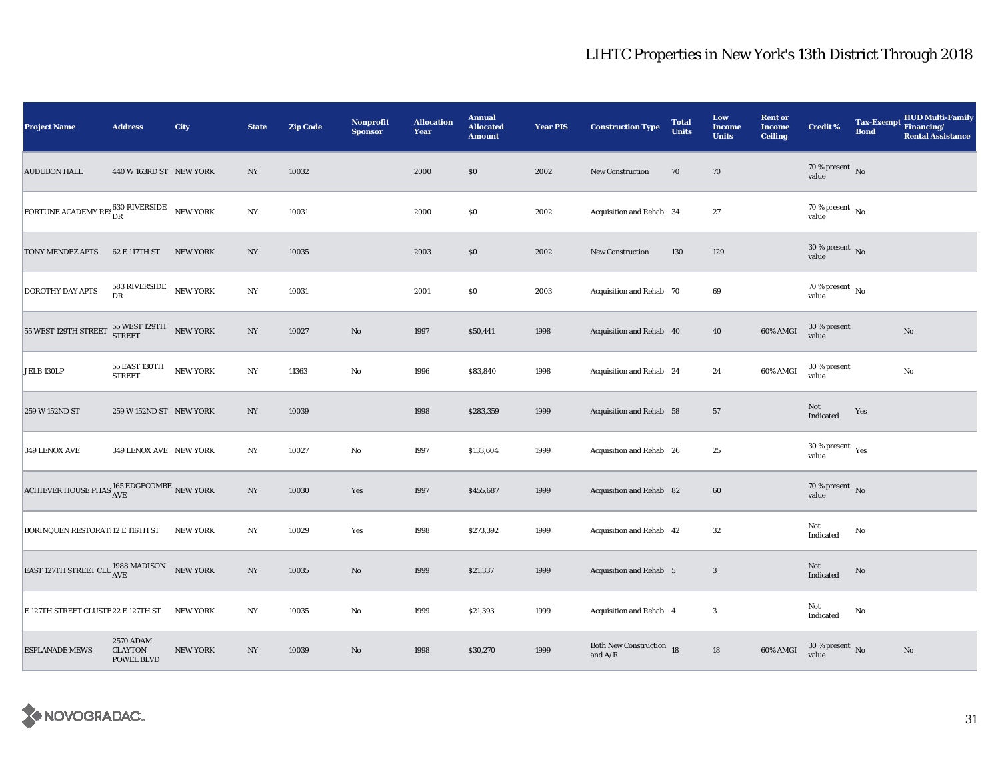| <b>Project Name</b>                                                 | <b>Address</b>                                          | City            | <b>State</b>     | <b>Zip Code</b> | <b>Nonprofit</b><br><b>Sponsor</b> | <b>Allocation</b><br>Year | <b>Annual</b><br><b>Allocated</b><br><b>Amount</b> | <b>Year PIS</b> | <b>Construction Type</b>                                                          | <b>Total</b><br><b>Units</b> | Low<br>Income<br><b>Units</b> | <b>Rent or</b><br><b>Income</b><br><b>Ceiling</b> | Credit %                               | <b>Bond</b>   | <b>HUD Multi-Family</b><br>Tax-Exempt Financing/<br><b>Rental Assistance</b> |
|---------------------------------------------------------------------|---------------------------------------------------------|-----------------|------------------|-----------------|------------------------------------|---------------------------|----------------------------------------------------|-----------------|-----------------------------------------------------------------------------------|------------------------------|-------------------------------|---------------------------------------------------|----------------------------------------|---------------|------------------------------------------------------------------------------|
| <b>AUDUBON HALL</b>                                                 | 440 W 163RD ST NEW YORK                                 |                 | NY               | 10032           |                                    | 2000                      | \$0                                                | 2002            | New Construction                                                                  | 70                           | 70                            |                                                   | 70 % present $\hbox{~No}$<br>value     |               |                                                                              |
| FORTUNE ACADEMY RES $_{\text{DR}}^{630 \text{ RIVERSIDE}}$ NEW YORK |                                                         |                 | NY               | 10031           |                                    | 2000                      | \$0                                                | 2002            | Acquisition and Rehab 34                                                          |                              | 27                            |                                                   | $70\,\%$ present $\,$ No value         |               |                                                                              |
| TONY MENDEZ APTS                                                    | 62 E 117TH ST                                           | <b>NEW YORK</b> | NY               | 10035           |                                    | 2003                      | \$0                                                | 2002            | <b>New Construction</b>                                                           | 130                          | 129                           |                                                   | $30\,\%$ present $\,$ No value         |               |                                                                              |
| <b>DOROTHY DAY APTS</b>                                             | 583 RIVERSIDE NEW YORK<br>DR                            |                 | NY               | 10031           |                                    | 2001                      | $\$0$                                              | 2003            | Acquisition and Rehab 70                                                          |                              | 69                            |                                                   | 70 % present $\hbox{~No}$<br>value     |               |                                                                              |
| 55 WEST 129TH STREET                                                | $55~\rm{WEST}$ $129\rm{TH}$ $$\rm{NEW}$ YORK STREET     |                 | NY               | 10027           | $\rm No$                           | 1997                      | \$50,441                                           | 1998            | Acquisition and Rehab 40                                                          |                              | 40                            | 60% AMGI                                          | 30 % present<br>value                  |               | $\mathbf{No}$                                                                |
| JELB 130LP                                                          | <b>55 EAST 130TH</b><br><b>STREET</b>                   | <b>NEW YORK</b> | $_{\mathrm{NY}}$ | 11363           | $\rm No$                           | 1996                      | \$83,840                                           | 1998            | Acquisition and Rehab 24                                                          |                              | 24                            | 60% AMGI                                          | 30 % present<br>value                  |               | No                                                                           |
| 259 W 152ND ST                                                      | 259 W 152ND ST NEW YORK                                 |                 | NY               | 10039           |                                    | 1998                      | \$283,359                                          | 1999            | Acquisition and Rehab 58                                                          |                              | 57                            |                                                   | Not<br>Indicated                       | Yes           |                                                                              |
| 349 LENOX AVE                                                       | 349 LENOX AVE NEW YORK                                  |                 | $_{\mathrm{NY}}$ | 10027           | $\rm No$                           | 1997                      | \$133,604                                          | 1999            | Acquisition and Rehab 26                                                          |                              | 25                            |                                                   | $30$ % present $\,$ $\rm Yes$<br>value |               |                                                                              |
| ACHIEVER HOUSE PHAS $^{165}_{\rm AVE}$ EDGECOMBE $_{\rm NEW}$ YORK  |                                                         |                 | $_{\mathrm{NY}}$ | 10030           | Yes                                | 1997                      | \$455,687                                          | 1999            | Acquisition and Rehab 82                                                          |                              | $60\,$                        |                                                   | 70 % present $\hbox{~No}$<br>value     |               |                                                                              |
| <b>BORINQUEN RESTORAT 12 E 116TH ST</b>                             |                                                         | <b>NEW YORK</b> | NY               | 10029           | Yes                                | 1998                      | \$273,392                                          | 1999            | Acquisition and Rehab 42                                                          |                              | 32                            |                                                   | Not<br>Indicated                       | $\mathbf{No}$ |                                                                              |
| EAST 127TH STREET CLU $\frac{1988}{\text{AVE}}$ MADISON NEW YORK    |                                                         |                 | $_{\mathrm{NY}}$ | 10035           | No                                 | 1999                      | \$21,337                                           | 1999            | Acquisition and Rehab 5                                                           |                              | $\mathbf{3}$                  |                                                   | Not<br>Indicated                       | No            |                                                                              |
| E 127TH STREET CLUSTE 22 E 127TH ST                                 |                                                         | <b>NEW YORK</b> | NY               | 10035           | $\rm No$                           | 1999                      | \$21,393                                           | 1999            | Acquisition and Rehab 4                                                           |                              | $\boldsymbol{3}$              |                                                   | Not<br>Indicated                       | No            |                                                                              |
| <b>ESPLANADE MEWS</b>                                               | <b>2570 ADAM</b><br><b>CLAYTON</b><br><b>POWEL BLVD</b> | <b>NEW YORK</b> | NY               | 10039           | No                                 | 1998                      | \$30,270                                           | 1999            | Both New Construction 18<br>and $\ensuremath{\mathrm{A}}/\ensuremath{\mathrm{R}}$ |                              | 18                            | 60% AMGI                                          | $30$ % present $\,$ No value           |               | $\mathbf{No}$                                                                |

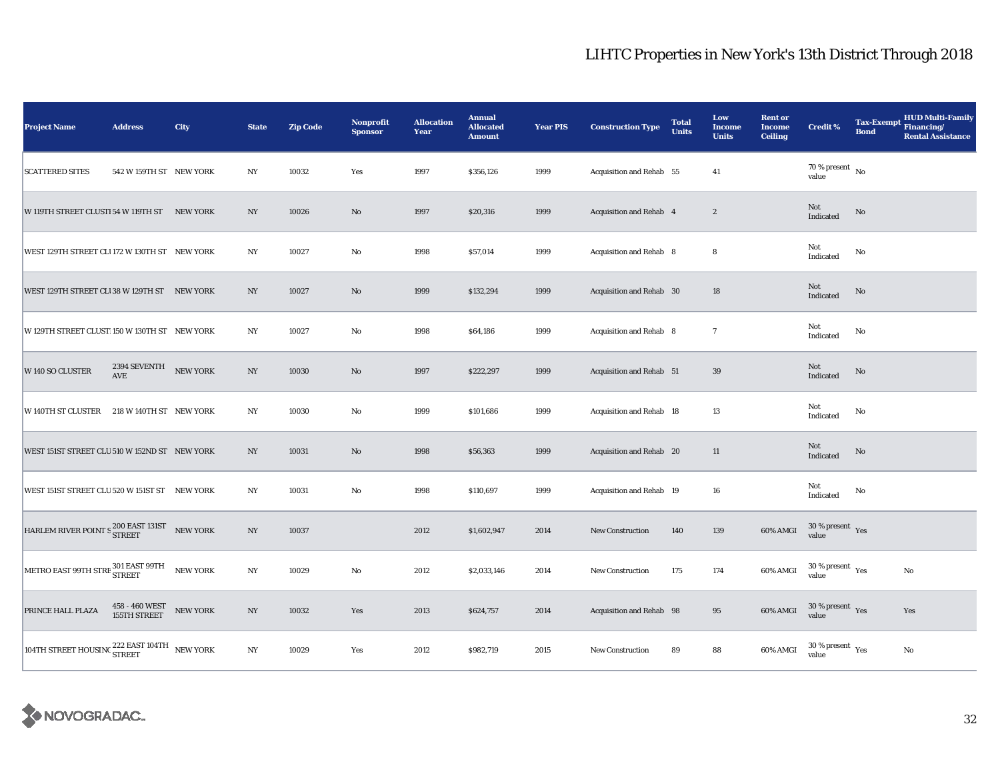| <b>Project Name</b>                                     | <b>Address</b>                         | City            | <b>State</b>     | <b>Zip Code</b> | Nonprofit<br><b>Sponsor</b> | <b>Allocation</b><br>Year | <b>Annual</b><br><b>Allocated</b><br><b>Amount</b> | <b>Year PIS</b> | <b>Construction Type</b> | <b>Total</b><br><b>Units</b> | Low<br><b>Income</b><br><b>Units</b> | <b>Rent or</b><br><b>Income</b><br><b>Ceiling</b> | <b>Credit %</b>                          | <b>Tax-Exempt</b><br><b>Bond</b> | <b>HUD Multi-Family</b><br>Financing/<br><b>Rental Assistance</b> |
|---------------------------------------------------------|----------------------------------------|-----------------|------------------|-----------------|-----------------------------|---------------------------|----------------------------------------------------|-----------------|--------------------------|------------------------------|--------------------------------------|---------------------------------------------------|------------------------------------------|----------------------------------|-------------------------------------------------------------------|
| <b>SCATTERED SITES</b>                                  | 542 W 159TH ST NEW YORK                |                 | N <sub>Y</sub>   | 10032           | Yes                         | 1997                      | \$356,126                                          | 1999            | Acquisition and Rehab 55 |                              | 41                                   |                                                   | 70 % present $\hbox{~No}$<br>value       |                                  |                                                                   |
| W 119TH STREET CLUSTI 54 W 119TH ST NEW YORK            |                                        |                 | NY               | 10026           | $\rm No$                    | 1997                      | \$20,316                                           | 1999            | Acquisition and Rehab 4  |                              | $\boldsymbol{2}$                     |                                                   | Not<br>Indicated                         | $\mathbf{No}$                    |                                                                   |
| WEST 129TH STREET CLI172 W 130TH ST NEW YORK            |                                        |                 | NY               | 10027           | $\rm No$                    | 1998                      | \$57,014                                           | 1999            | Acquisition and Rehab 8  |                              | 8                                    |                                                   | Not<br>Indicated                         | $\mathbf{No}$                    |                                                                   |
| WEST 129TH STREET CLI38 W 129TH ST NEW YORK             |                                        |                 | NY               | 10027           | No                          | 1999                      | \$132,294                                          | 1999            | Acquisition and Rehab 30 |                              | 18                                   |                                                   | Not<br>Indicated                         | No                               |                                                                   |
| W 129TH STREET CLUST 150 W 130TH ST NEW YORK            |                                        |                 | $_{\mathrm{NY}}$ | 10027           | $\rm No$                    | 1998                      | \$64,186                                           | 1999            | Acquisition and Rehab 8  |                              | $\overline{7}$                       |                                                   | Not<br>Indicated                         | No                               |                                                                   |
| W 140 SO CLUSTER                                        | 2394 SEVENTH<br>$\operatorname{AVE}$   | <b>NEW YORK</b> | $_{\mathrm{NY}}$ | 10030           | No                          | 1997                      | \$222,297                                          | 1999            | Acquisition and Rehab 51 |                              | $39\,$                               |                                                   | Not<br>Indicated                         | No                               |                                                                   |
| <b>W140TH ST CLUSTER</b>                                | 218 W 140TH ST NEW YORK                |                 | $_{\mathrm{NY}}$ | 10030           | $\mathbf {No}$              | 1999                      | \$101,686                                          | 1999            | Acquisition and Rehab 18 |                              | $13\,$                               |                                                   | Not<br>Indicated                         | No                               |                                                                   |
| WEST 151ST STREET CLU 510 W 152ND ST NEW YORK           |                                        |                 | NY               | 10031           | $\rm No$                    | 1998                      | \$56,363                                           | 1999            | Acquisition and Rehab 20 |                              | 11                                   |                                                   | Not<br>Indicated                         | No                               |                                                                   |
| WEST 151ST STREET CLU 520 W 151ST ST NEW YORK           |                                        |                 | NY               | 10031           | $\rm No$                    | 1998                      | \$110,697                                          | 1999            | Acquisition and Rehab 19 |                              | 16                                   |                                                   | Not<br>Indicated                         | No                               |                                                                   |
| HARLEM RIVER POINT S $\frac{200}{\rm STREET}$ THEW YORK |                                        |                 | NY               | 10037           |                             | 2012                      | \$1,602,947                                        | 2014            | New Construction         | 140                          | 139                                  | 60% AMGI                                          | $30$ % present $\,$ $\rm Yes$<br>value   |                                  |                                                                   |
| METRO EAST 99TH STRE $_{\tt STREF}^{301\,EAST\,99TH}$   |                                        | <b>NEW YORK</b> | NY               | 10029           | No                          | 2012                      | \$2,033,146                                        | 2014            | <b>New Construction</b>  | 175                          | 174                                  | 60% AMGI                                          | $30\,\%$ present $\,$ $\rm Yes$<br>value |                                  | No                                                                |
| PRINCE HALL PLAZA                                       | $458$ - $460\, \rm{WEST}$ 155TH STREET | <b>NEW YORK</b> | $_{\mathrm{NY}}$ | 10032           | Yes                         | 2013                      | \$624,757                                          | 2014            | Acquisition and Rehab 98 |                              | 95                                   | 60% AMGI                                          | $30$ % present $\,$ $\rm Yes$<br>value   |                                  | Yes                                                               |
| 104TH STREET HOUSING $^{222}_{\rm STREF}$ MEW YORK      |                                        |                 | $_{\mathrm{NY}}$ | 10029           | Yes                         | 2012                      | \$982,719                                          | 2015            | New Construction         | 89                           | 88                                   | 60% AMGI                                          | $30\,\%$ present $\,$ $\rm Yes$<br>value |                                  | No                                                                |

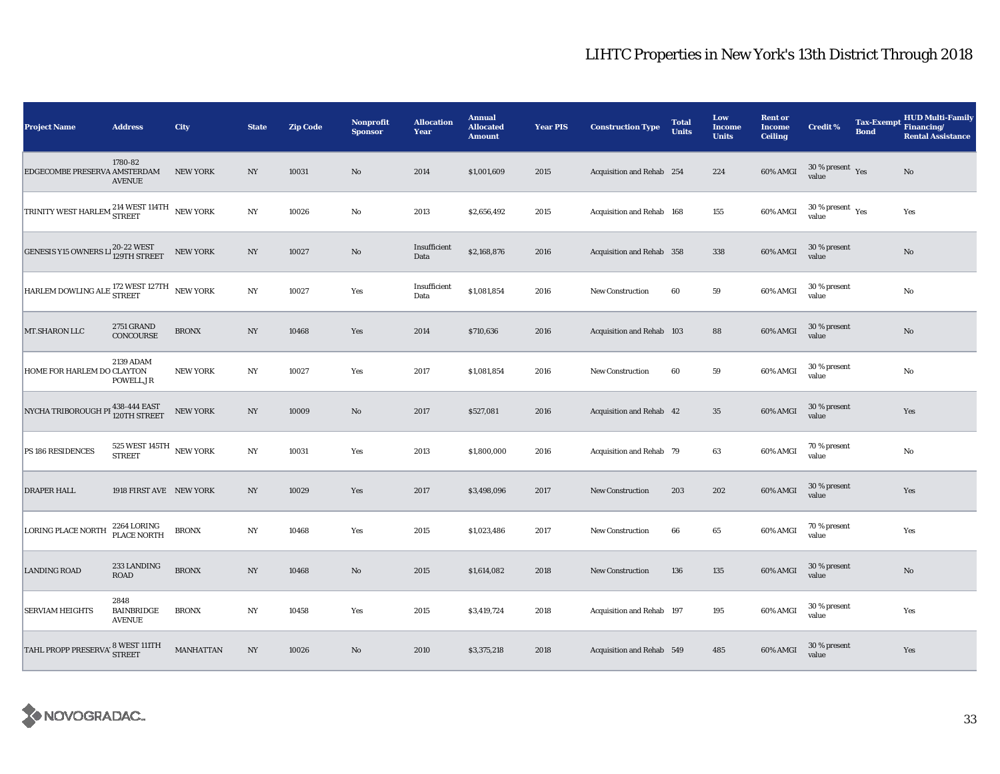| <b>Project Name</b>                                               | <b>Address</b>                             | <b>City</b>      | <b>State</b>     | <b>Zip Code</b> | <b>Nonprofit</b><br><b>Sponsor</b> | <b>Allocation</b><br>Year | <b>Annual</b><br><b>Allocated</b><br><b>Amount</b> | <b>Year PIS</b> | <b>Construction Type</b>  | <b>Total</b><br><b>Units</b> | Low<br><b>Income</b><br><b>Units</b> | <b>Rent or</b><br><b>Income</b><br><b>Ceiling</b> | <b>Credit %</b>                        | <b>Bond</b> | <b>HUD Multi-Family</b><br>Tax-Exempt Financing/<br><b>Rental Assistance</b> |
|-------------------------------------------------------------------|--------------------------------------------|------------------|------------------|-----------------|------------------------------------|---------------------------|----------------------------------------------------|-----------------|---------------------------|------------------------------|--------------------------------------|---------------------------------------------------|----------------------------------------|-------------|------------------------------------------------------------------------------|
| EDGECOMBE PRESERVA AMSTERDAM                                      | 1780-82<br><b>AVENUE</b>                   | <b>NEW YORK</b>  | NY               | 10031           | $\mathbf{N}\mathbf{o}$             | 2014                      | \$1,001,609                                        | 2015            | Acquisition and Rehab 254 |                              | 224                                  | 60% AMGI                                          | $30\,\%$ present $\,$ Yes value        |             | No                                                                           |
| TRINITY WEST HARLEM <sup>214</sup> WEST <sup>114TH</sup> NEW YORK |                                            |                  | NY               | 10026           | No                                 | 2013                      | \$2,656,492                                        | 2015            | Acquisition and Rehab 168 |                              | 155                                  | 60% AMGI                                          | $30$ % present $\,$ $\rm Yes$<br>value |             | Yes                                                                          |
| GENESIS Y15 OWNERS LI 20-22 WEST                                  |                                            | <b>NEW YORK</b>  | $_{\mathrm{NY}}$ | 10027           | $\rm No$                           | Insufficient<br>Data      | \$2,168,876                                        | 2016            | Acquisition and Rehab 358 |                              | 338                                  | 60% AMGI                                          | 30 % present<br>value                  |             | $\mathbf{No}$                                                                |
| HARLEM DOWLING ALE $_{\rm STREF}^{172\rm{\,WEST~127TH}}$ NEW YORK |                                            |                  | $_{\mathrm{NY}}$ | 10027           | Yes                                | Insufficient<br>Data      | \$1,081,854                                        | 2016            | New Construction          | 60                           | 59                                   | 60% AMGI                                          | 30 % present<br>value                  |             | No                                                                           |
| MT.SHARON LLC                                                     | <b>2751 GRAND</b><br>CONCOURSE             | <b>BRONX</b>     | NY               | 10468           | Yes                                | 2014                      | \$710,636                                          | 2016            | Acquisition and Rehab 103 |                              | 88                                   | 60% AMGI                                          | 30 % present<br>value                  |             | No                                                                           |
| HOME FOR HARLEM DO CLAYTON                                        | 2139 ADAM<br>POWELL, JR                    | <b>NEW YORK</b>  | $_{\mathrm{NY}}$ | 10027           | Yes                                | 2017                      | \$1,081,854                                        | 2016            | <b>New Construction</b>   | 60                           | 59                                   | 60% AMGI                                          | 30 % present<br>value                  |             | No                                                                           |
| NYCHA TRIBOROUGH PI 438-444 EAST                                  |                                            | <b>NEW YORK</b>  | NY               | 10009           | $\mathbf{N}\mathbf{o}$             | 2017                      | \$527,081                                          | 2016            | Acquisition and Rehab 42  |                              | $35\,$                               | 60% AMGI                                          | 30 % present<br>value                  |             | Yes                                                                          |
| PS 186 RESIDENCES                                                 | 525 WEST 145TH NEW YORK<br><b>STREET</b>   |                  | $_{\mathrm{NY}}$ | 10031           | Yes                                | 2013                      | \$1,800,000                                        | 2016            | Acquisition and Rehab 79  |                              | 63                                   | 60% AMGI                                          | 70 % present<br>value                  |             | No                                                                           |
| <b>DRAPER HALL</b>                                                | 1918 FIRST AVE NEW YORK                    |                  | N <sub>Y</sub>   | 10029           | Yes                                | 2017                      | \$3,498,096                                        | 2017            | <b>New Construction</b>   | 203                          | 202                                  | 60% AMGI                                          | 30 % present<br>value                  |             | Yes                                                                          |
| <b>LORING PLACE NORTH</b>                                         | 2264 LORING<br>PLACE NORTH                 | <b>BRONX</b>     | NY               | 10468           | Yes                                | 2015                      | \$1,023,486                                        | 2017            | <b>New Construction</b>   | 66                           | 65                                   | 60% AMGI                                          | 70 % present<br>value                  |             | Yes                                                                          |
| <b>LANDING ROAD</b>                                               | 233 LANDING<br><b>ROAD</b>                 | <b>BRONX</b>     | $_{\mathrm{NY}}$ | 10468           | $\mathbf{N}\mathbf{o}$             | 2015                      | \$1,614,082                                        | 2018            | <b>New Construction</b>   | 136                          | 135                                  | 60% AMGI                                          | 30 % present<br>value                  |             | No                                                                           |
| <b>SERVIAM HEIGHTS</b>                                            | 2848<br><b>BAINBRIDGE</b><br><b>AVENUE</b> | <b>BRONX</b>     | $_{\mathrm{NY}}$ | 10458           | Yes                                | 2015                      | \$3,419,724                                        | 2018            | Acquisition and Rehab 197 |                              | 195                                  | 60% AMGI                                          | 30 % present<br>value                  |             | Yes                                                                          |
| TAHL PROPP PRESERVA <sup>, 8</sup> WEST 111TH                     |                                            | <b>MANHATTAN</b> | $_{\mathrm{NY}}$ | 10026           | $\rm No$                           | 2010                      | \$3,375,218                                        | 2018            | Acquisition and Rehab 549 |                              | 485                                  | 60% AMGI                                          | 30 % present<br>value                  |             | Yes                                                                          |

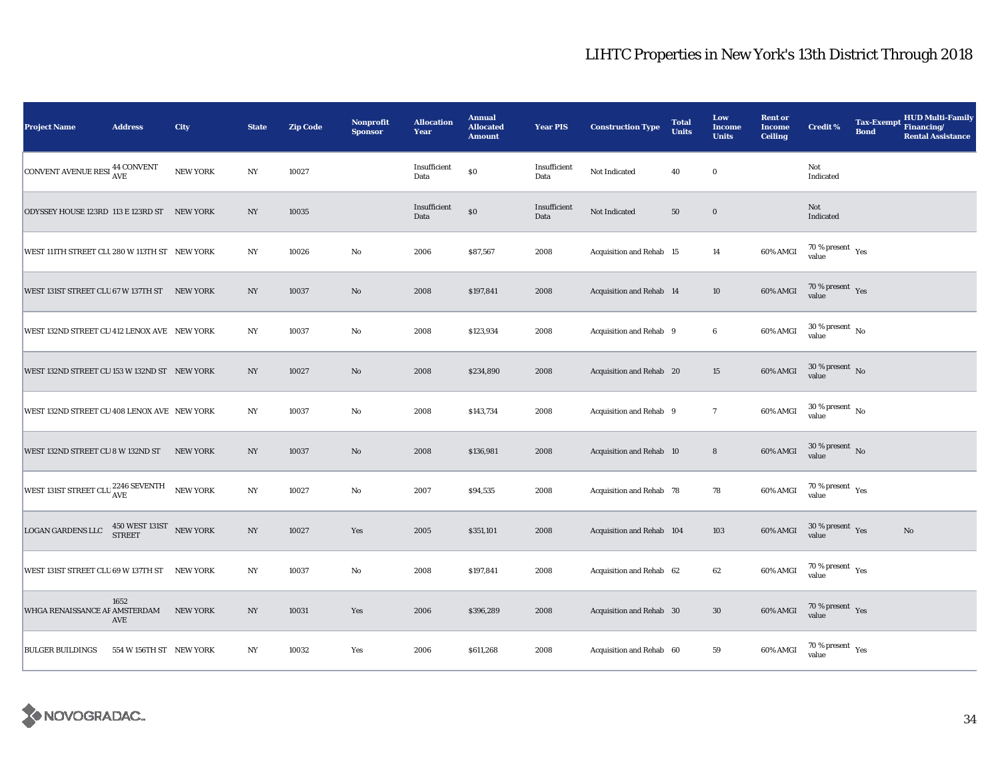| <b>Project Name</b>                           | <b>Address</b>                                        | City            | <b>State</b>     | <b>Zip Code</b> | <b>Nonprofit</b><br><b>Sponsor</b> | <b>Allocation</b><br>Year | <b>Annual</b><br><b>Allocated</b><br><b>Amount</b> | <b>Year PIS</b>      | <b>Construction Type</b>  | <b>Total</b><br><b>Units</b> | Low<br><b>Income</b><br><b>Units</b> | <b>Rent or</b><br><b>Income</b><br><b>Ceiling</b> | <b>Credit %</b>                              | <b>Tax-Exempt</b><br><b>Bond</b> | <b>HUD Multi-Family</b><br>Financing/<br><b>Rental Assistance</b> |
|-----------------------------------------------|-------------------------------------------------------|-----------------|------------------|-----------------|------------------------------------|---------------------------|----------------------------------------------------|----------------------|---------------------------|------------------------------|--------------------------------------|---------------------------------------------------|----------------------------------------------|----------------------------------|-------------------------------------------------------------------|
| CONVENT AVENUE RESI 44 CONVENT                |                                                       | <b>NEW YORK</b> | $_{\mathrm{NY}}$ | 10027           |                                    | Insufficient<br>Data      | \$0                                                | Insufficient<br>Data | Not Indicated             | 40                           | $\bf{0}$                             |                                                   | Not<br>Indicated                             |                                  |                                                                   |
| ODYSSEY HOUSE 123RD 113 E 123RD ST NEW YORK   |                                                       |                 | NY               | 10035           |                                    | Insufficient<br>Data      | $\$0$                                              | Insufficient<br>Data | Not Indicated             | $50\,$                       | $\bf{0}$                             |                                                   | Not<br>Indicated                             |                                  |                                                                   |
| WEST 111TH STREET CLU 280 W 113TH ST NEW YORK |                                                       |                 | NY               | 10026           | $\rm No$                           | 2006                      | \$87,567                                           | 2008                 | Acquisition and Rehab 15  |                              | 14                                   | 60% AMGI                                          | $70$ % present $\rm\thinspace\,Yes$<br>value |                                  |                                                                   |
| WEST 131ST STREET CLU 67 W 137TH ST NEW YORK  |                                                       |                 | NY               | 10037           | $\rm No$                           | 2008                      | \$197,841                                          | 2008                 | Acquisition and Rehab 14  |                              | $10\,$                               | 60% AMGI                                          | $70$ % present $\,$ $\rm Yes$<br>value       |                                  |                                                                   |
| WEST 132ND STREET CL 412 LENOX AVE NEW YORK   |                                                       |                 | NY               | 10037           | $\mathbf {No}$                     | 2008                      | \$123,934                                          | 2008                 | Acquisition and Rehab 9   |                              | $6\phantom{.0}$                      | 60% AMGI                                          | $30$ % present $\,$ No $\,$<br>value         |                                  |                                                                   |
| WEST 132ND STREET CL 153 W 132ND ST NEW YORK  |                                                       |                 | $_{\mathrm{NY}}$ | 10027           | $\rm No$                           | 2008                      | \$234,890                                          | 2008                 | Acquisition and Rehab 20  |                              | $15\,$                               | 60% AMGI                                          | $30\,\%$ present $\,$ No value               |                                  |                                                                   |
| WEST 132ND STREET CL 408 LENOX AVE NEW YORK   |                                                       |                 | NY               | 10037           | No                                 | 2008                      | \$143,734                                          | 2008                 | Acquisition and Rehab 9   |                              | $\tau$                               | 60% AMGI                                          | $30\,\%$ present $\,$ No value               |                                  |                                                                   |
| WEST 132ND STREET CL 8 W 132ND ST             |                                                       | <b>NEW YORK</b> | NY               | 10037           | $\mathbf{N}\mathbf{o}$             | 2008                      | \$136,981                                          | 2008                 | Acquisition and Rehab 10  |                              | $\bf8$                               | 60% AMGI                                          | $30$ % present $\,$ No $\,$<br>value         |                                  |                                                                   |
| WEST 131ST STREET CLU <sup>2246</sup> SEVENTH |                                                       | NEW YORK        | $_{\mathrm{NY}}$ | 10027           | $\mathbf {No}$                     | 2007                      | \$94,535                                           | 2008                 | Acquisition and Rehab 78  |                              | 78                                   | 60% AMGI                                          | $70$ % present $\rm\thinspace\,Yes$<br>value |                                  |                                                                   |
| ${\rm LOGAN}$ GARDENS LLC                     | $450\, \rm{WEST}$ $131 \rm{ST} \quad$ NEW YORK STREET |                 | $_{\mathrm{NY}}$ | 10027           | Yes                                | 2005                      | \$351,101                                          | 2008                 | Acquisition and Rehab 104 |                              | 103                                  | 60% AMGI                                          | $30\,\%$ present $\,$ Yes<br>value           |                                  | No                                                                |
| WEST 131ST STREET CLU 69 W 137TH ST           |                                                       | <b>NEW YORK</b> | NY               | 10037           | $\rm No$                           | 2008                      | \$197,841                                          | 2008                 | Acquisition and Rehab 62  |                              | 62                                   | 60% AMGI                                          | $70$ % present $\rm\thinspace Yes$<br>value  |                                  |                                                                   |
| WHGA RENAISSANCE AF AMSTERDAM                 | 1652<br>AVE                                           | <b>NEW YORK</b> | $_{\mathrm{NY}}$ | 10031           | Yes                                | 2006                      | \$396,289                                          | 2008                 | Acquisition and Rehab 30  |                              | $30\,$                               | 60% AMGI                                          | $70\,\%$ present $\,$ Yes value              |                                  |                                                                   |
| <b>BULGER BUILDINGS</b>                       | 554 W 156TH ST NEW YORK                               |                 | NY               | 10032           | Yes                                | 2006                      | \$611,268                                          | 2008                 | Acquisition and Rehab 60  |                              | ${\bf 59}$                           | 60% AMGI                                          | $70\,\%$ present $\,$ Yes value              |                                  |                                                                   |

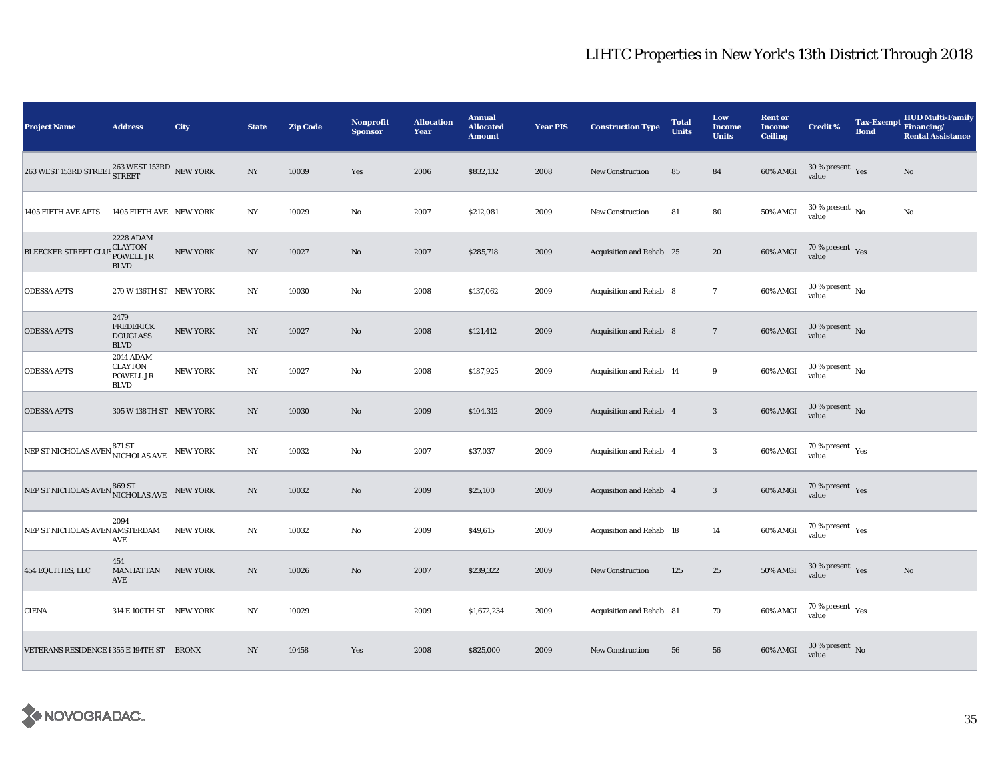| <b>Project Name</b>                                                                  | <b>Address</b>                                                       | City            | <b>State</b>     | <b>Zip Code</b> | Nonprofit<br><b>Sponsor</b> | <b>Allocation</b><br>Year | <b>Annual</b><br><b>Allocated</b><br><b>Amount</b> | <b>Year PIS</b> | <b>Construction Type</b> | <b>Total</b><br><b>Units</b> | Low<br><b>Income</b><br><b>Units</b> | <b>Rent or</b><br><b>Income</b><br><b>Ceiling</b> | <b>Credit %</b>                                      | <b>Tax-Exempt</b><br><b>Bond</b> | <b>HUD Multi-Family</b><br>Financing/<br><b>Rental Assistance</b> |
|--------------------------------------------------------------------------------------|----------------------------------------------------------------------|-----------------|------------------|-----------------|-----------------------------|---------------------------|----------------------------------------------------|-----------------|--------------------------|------------------------------|--------------------------------------|---------------------------------------------------|------------------------------------------------------|----------------------------------|-------------------------------------------------------------------|
| $\boxed{263\textrm{ WEST}$ 153RD STREET $\frac{263\textrm{WEST}$ 153RD $\,$ NEW YORK |                                                                      |                 | $_{\rm NY}$      | 10039           | Yes                         | 2006                      | \$832,132                                          | 2008            | New Construction         | 85                           | 84                                   | 60% AMGI                                          | $30\,\%$ present $\,$ Yes value                      |                                  | $\mathbf{No}$                                                     |
| 1405 FIFTH AVE APTS                                                                  | 1405 FIFTH AVE NEW YORK                                              |                 | $_{\mathrm{NY}}$ | 10029           | No                          | 2007                      | \$212,081                                          | 2009            | <b>New Construction</b>  | 81                           | 80                                   | 50% AMGI                                          | $30\,\%$ present $\,$ No $\,$<br>value               |                                  | No                                                                |
| BLEECKER STREET CLUS CLAYTON                                                         | <b>2228 ADAM</b><br><b>POWELL JR</b><br><b>BLVD</b>                  | <b>NEW YORK</b> | NY               | 10027           | $\rm No$                    | 2007                      | \$285,718                                          | 2009            | Acquisition and Rehab 25 |                              | 20                                   | 60% AMGI                                          | 70 % present $\gamma_{\rm{ES}}$<br>value             |                                  |                                                                   |
| <b>ODESSA APTS</b>                                                                   | 270 W 136TH ST NEW YORK                                              |                 | NY               | 10030           | $\rm No$                    | 2008                      | \$137,062                                          | 2009            | Acquisition and Rehab 8  |                              | $\overline{7}$                       | 60% AMGI                                          | $30$ % present $\,$ No $\,$<br>value                 |                                  |                                                                   |
| <b>ODESSA APTS</b>                                                                   | 2479<br><b>FREDERICK</b><br><b>DOUGLASS</b><br>$\operatorname{BLVD}$ | <b>NEW YORK</b> | $_{\mathrm{NY}}$ | 10027           | $\rm No$                    | 2008                      | \$121,412                                          | 2009            | Acquisition and Rehab 8  |                              | $7\phantom{.0}$                      | 60% AMGI                                          | $30$ % present $\,$ No $\,$<br>value                 |                                  |                                                                   |
| <b>ODESSA APTS</b>                                                                   | <b>2014 ADAM</b><br><b>CLAYTON</b><br>POWELL JR<br><b>BLVD</b>       | <b>NEW YORK</b> | NY               | 10027           | No                          | 2008                      | \$187,925                                          | 2009            | Acquisition and Rehab 14 |                              | 9                                    | 60% AMGI                                          | $30\,\%$ present $\,$ No $\,$<br>value               |                                  |                                                                   |
| <b>ODESSA APTS</b>                                                                   | 305 W 138TH ST NEW YORK                                              |                 | $_{\mathrm{NY}}$ | 10030           | $\mathbf{N}\mathbf{o}$      | 2009                      | \$104,312                                          | 2009            | Acquisition and Rehab 4  |                              | $\mathbf{3}$                         | 60% AMGI                                          | $30\,\%$ present $\,$ No value                       |                                  |                                                                   |
| NEP ST NICHOLAS AVEN <sup>871</sup> ST NICHOLAS AVE                                  |                                                                      | <b>NEW YORK</b> | $_{\mathrm{NY}}$ | 10032           | $\rm No$                    | 2007                      | \$37,037                                           | 2009            | Acquisition and Rehab 4  |                              | $\boldsymbol{3}$                     | 60% AMGI                                          | $70\,\%$ present $\;\;\chi_{\rm e s}$ value          |                                  |                                                                   |
| NEP ST NICHOLAS AVEN ${{\bf 869\,ST}\atop{\bf NICHOLAS\,AVE}}$ NEW YORK              |                                                                      |                 | NY               | 10032           | $\rm No$                    | 2009                      | \$25,100                                           | 2009            | Acquisition and Rehab 4  |                              | $\mathbf{3}$                         | 60% AMGI                                          | 70 % present $\gamma_{\rm e s}$<br>value             |                                  |                                                                   |
| NEP ST NICHOLAS AVEN AMSTERDAM                                                       | 2094<br>AVE                                                          | <b>NEW YORK</b> | NY               | 10032           | $\rm No$                    | 2009                      | \$49,615                                           | 2009            | Acquisition and Rehab 18 |                              | 14                                   | 60% AMGI                                          | 70 % present $\rm\thinspace\gamma_{\rm es}$<br>value |                                  |                                                                   |
| 454 EQUITIES, LLC                                                                    | 454<br><b>MANHATTAN</b><br>AVE                                       | <b>NEW YORK</b> | NY               | 10026           | No                          | 2007                      | \$239,322                                          | 2009            | <b>New Construction</b>  | 125                          | 25                                   | <b>50% AMGI</b>                                   | $30\,\%$ present $\,$ Yes<br>value                   |                                  | $\mathbf{No}$                                                     |
| <b>CIENA</b>                                                                         | 314 E 100TH ST NEW YORK                                              |                 | $_{\mathrm{NY}}$ | 10029           |                             | 2009                      | \$1,672,234                                        | 2009            | Acquisition and Rehab 81 |                              | 70                                   | 60% AMGI                                          | $70$ % present $\rm\thinspace\,Yes$<br>value         |                                  |                                                                   |
| VETERANS RESIDENCE I 355 E 194TH ST BRONX                                            |                                                                      |                 | $_{\mathrm{NY}}$ | 10458           | Yes                         | 2008                      | \$825,000                                          | 2009            | <b>New Construction</b>  | 56                           | 56                                   | 60% AMGI                                          | $30\,\%$ present $\,$ No $\,$<br>value               |                                  |                                                                   |

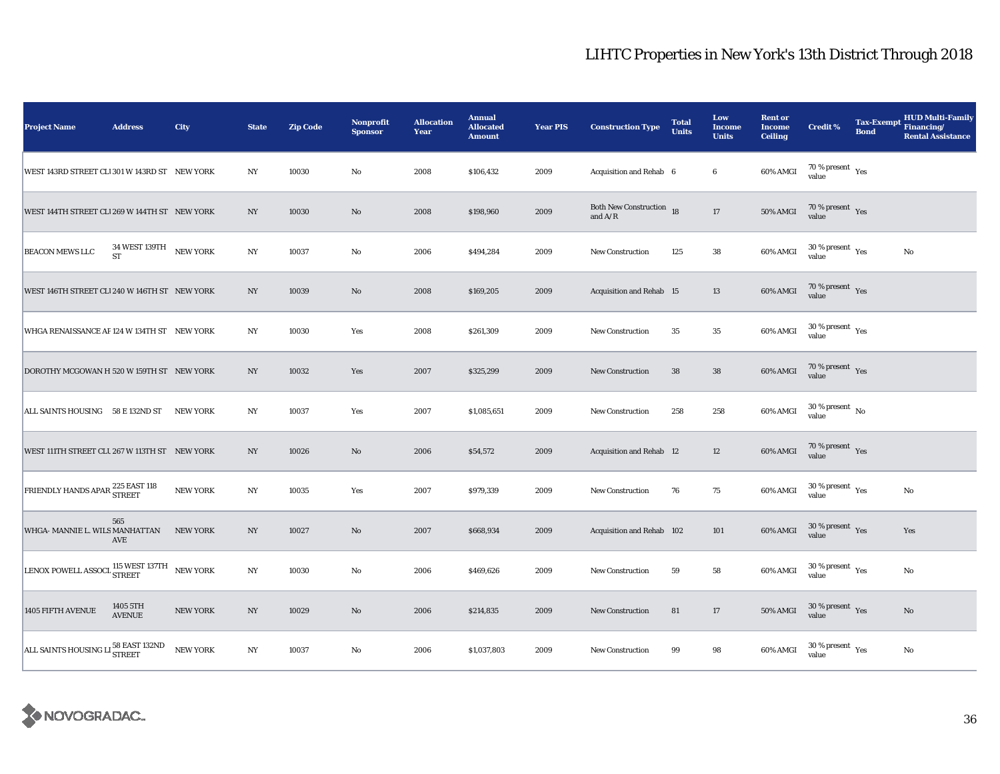| <b>Project Name</b>                                                             | <b>Address</b>                                           | City            | <b>State</b>     | <b>Zip Code</b> | <b>Nonprofit</b><br><b>Sponsor</b> | <b>Allocation</b><br>Year | <b>Annual</b><br><b>Allocated</b><br><b>Amount</b> | <b>Year PIS</b> | <b>Construction Type</b>                     | <b>Total</b><br><b>Units</b> | Low<br><b>Income</b><br><b>Units</b> | <b>Rent or</b><br><b>Income</b><br><b>Ceiling</b> | <b>Credit %</b>                                      | <b>Tax-Exempt</b><br><b>Bond</b> | <b>HUD Multi-Family</b><br>Financing/<br><b>Rental Assistance</b> |
|---------------------------------------------------------------------------------|----------------------------------------------------------|-----------------|------------------|-----------------|------------------------------------|---------------------------|----------------------------------------------------|-----------------|----------------------------------------------|------------------------------|--------------------------------------|---------------------------------------------------|------------------------------------------------------|----------------------------------|-------------------------------------------------------------------|
| WEST 143RD STREET CLI 301 W 143RD ST NEW YORK                                   |                                                          |                 | NY               | 10030           | No                                 | 2008                      | \$106,432                                          | 2009            | Acquisition and Rehab 6                      |                              | $6\phantom{.0}$                      | 60% AMGI                                          | 70 % present $\rm\thinspace_{Yes}$<br>value          |                                  |                                                                   |
| WEST 144TH STREET CL1269 W 144TH ST NEW YORK                                    |                                                          |                 | NY               | 10030           | $\mathbf{N}\mathbf{o}$             | 2008                      | \$198,960                                          | 2009            | <b>Both New Construction</b> 18<br>and $A/R$ |                              | $17\,$                               | 50% AMGI                                          | 70 % present $\,$ $\rm Yes$<br>value                 |                                  |                                                                   |
| <b>BEACON MEWS LLC</b>                                                          | $34$ WEST $139\mathrm{TH}$ $$\,\,$ NEW YORK<br><b>ST</b> |                 | $_{\mathrm{NY}}$ | 10037           | No                                 | 2006                      | \$494,284                                          | 2009            | New Construction                             | 125                          | 38                                   | 60% AMGI                                          | 30 % present $\rm\thinspace\gamma_{\rm es}$<br>value |                                  | $\rm No$                                                          |
| WEST 146TH STREET CL1240 W 146TH ST NEW YORK                                    |                                                          |                 | NY               | 10039           | $\rm No$                           | 2008                      | \$169,205                                          | 2009            | Acquisition and Rehab 15                     |                              | 13                                   | 60% AMGI                                          | $70\,\%$ present $\;\;$ Yes value                    |                                  |                                                                   |
| WHGA RENAISSANCE AF 124 W 134TH ST NEW YORK                                     |                                                          |                 | $_{\mathrm{NY}}$ | 10030           | Yes                                | 2008                      | \$261,309                                          | 2009            | <b>New Construction</b>                      | 35                           | 35                                   | 60% AMGI                                          | $30$ % present $\rm\thinspace\,Yes$<br>value         |                                  |                                                                   |
| DOROTHY MCGOWAN H 520 W 159TH ST NEW YORK                                       |                                                          |                 | NY               | 10032           | Yes                                | 2007                      | \$325,299                                          | 2009            | New Construction                             | 38                           | 38                                   | 60% AMGI                                          | $70\,\%$ present $\;\;$ Yes value                    |                                  |                                                                   |
| ALL SAINTS HOUSING 58 E 132ND ST                                                |                                                          | <b>NEW YORK</b> | $_{\mathrm{NY}}$ | 10037           | Yes                                | 2007                      | \$1,085,651                                        | 2009            | <b>New Construction</b>                      | 258                          | 258                                  | 60% AMGI                                          | $30\,\%$ present $\,$ No value                       |                                  |                                                                   |
| WEST 111TH STREET CLU 267 W 113TH ST NEW YORK                                   |                                                          |                 | NY               | 10026           | $\rm No$                           | 2006                      | \$54,572                                           | 2009            | <b>Acquisition and Rehab 12</b>              |                              | 12                                   | 60% AMGI                                          | $70\,\%$ present $\;\;\chi_{\rm e s}$ value          |                                  |                                                                   |
| FRIENDLY HANDS APAR 225 EAST 118                                                |                                                          | <b>NEW YORK</b> | $_{\mathrm{NY}}$ | 10035           | Yes                                | 2007                      | \$979,339                                          | 2009            | New Construction                             | 76                           | 75                                   | 60% AMGI                                          | $30$ % present $\,$ $\rm Yes$<br>value               |                                  | No                                                                |
| WHGA- MANNIE L. WILS MANHATTAN                                                  | 565<br>AVE                                               | <b>NEW YORK</b> | $_{\mathrm{NY}}$ | 10027           | $\rm No$                           | 2007                      | \$668,934                                          | 2009            | Acquisition and Rehab 102                    |                              | 101                                  | 60% AMGI                                          | $30\,\%$ present $\,$ Yes value                      |                                  | Yes                                                               |
| LENOX POWELL ASSOCI $^{115\,\text{WEST}\,137\text{TH}}_{\text{STREF}}$ NEW YORK |                                                          |                 | $_{\mathrm{NY}}$ | 10030           | No                                 | 2006                      | \$469,626                                          | 2009            | New Construction                             | 59                           | 58                                   | 60% AMGI                                          | $30\,\%$ present $\,$ $\rm Yes$<br>value             |                                  | No                                                                |
| 1405 FIFTH AVENUE                                                               | 1405 5TH<br><b>AVENUE</b>                                | <b>NEW YORK</b> | $_{\mathrm{NY}}$ | 10029           | $\mathbf{N}\mathbf{o}$             | 2006                      | \$214,835                                          | 2009            | <b>New Construction</b>                      | 81                           | $17\,$                               | <b>50% AMGI</b>                                   | $30\,\%$ present $\,$ Yes value                      |                                  | $\mathbf{N}\mathbf{o}$                                            |
| ALL SAINTS HOUSING LI 58 EAST 132ND                                             |                                                          | <b>NEW YORK</b> | $_{\mathrm{NY}}$ | 10037           | No                                 | 2006                      | \$1,037,803                                        | 2009            | <b>New Construction</b>                      | 99                           | $\bf{98}$                            | 60% AMGI                                          | $30\,\%$ present $\,$ Yes value                      |                                  | No                                                                |

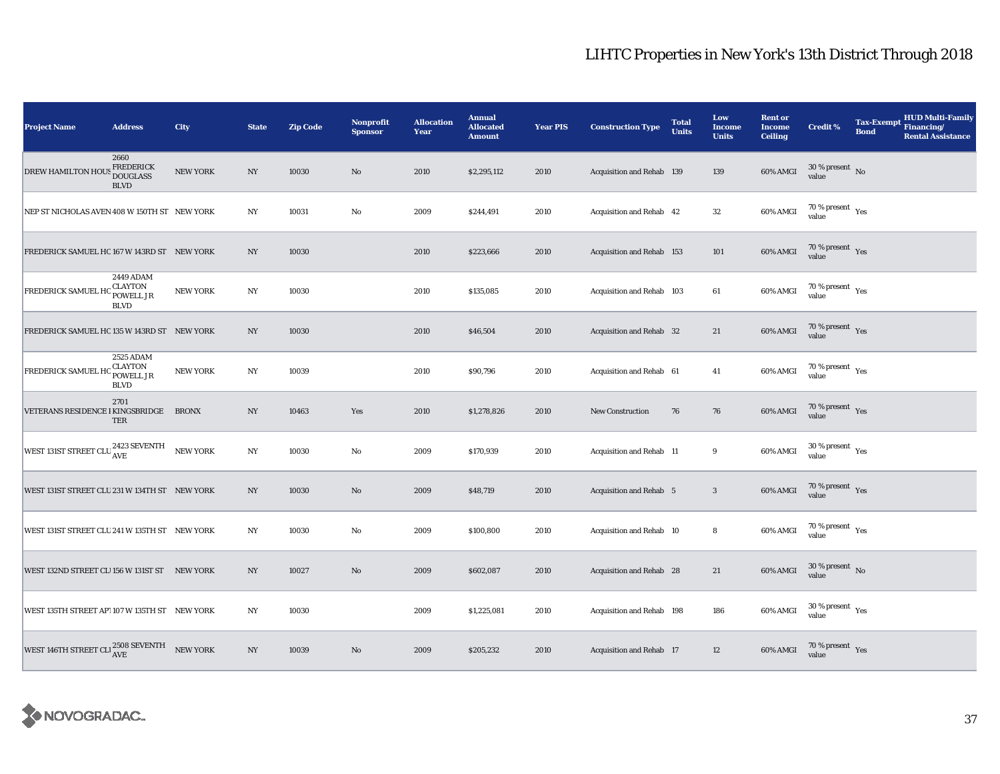| <b>Project Name</b>                                                   | <b>Address</b>                                             | City            | <b>State</b>     | <b>Zip Code</b> | Nonprofit<br><b>Sponsor</b> | <b>Allocation</b><br>Year | <b>Annual</b><br><b>Allocated</b><br><b>Amount</b> | <b>Year PIS</b> | <b>Construction Type</b>  | <b>Total</b><br><b>Units</b> | Low<br><b>Income</b><br><b>Units</b> | <b>Rent or</b><br><b>Income</b><br><b>Ceiling</b> | <b>Credit %</b>                              | <b>HUD Multi-Family</b><br><b>Tax-Exempt</b><br>Financing/<br><b>Bond</b><br><b>Rental Assistance</b> |
|-----------------------------------------------------------------------|------------------------------------------------------------|-----------------|------------------|-----------------|-----------------------------|---------------------------|----------------------------------------------------|-----------------|---------------------------|------------------------------|--------------------------------------|---------------------------------------------------|----------------------------------------------|-------------------------------------------------------------------------------------------------------|
| <b>DREW HAMILTON HOU</b>                                              | 2660<br><b>FREDERICK</b><br><b>DOUGLASS</b><br><b>BLVD</b> | <b>NEW YORK</b> | N <sub>Y</sub>   | 10030           | No                          | 2010                      | \$2,295,112                                        | 2010            | Acquisition and Rehab 139 |                              | 139                                  | 60% AMGI                                          | $30\,\%$ present $\,$ No value               |                                                                                                       |
| NEP ST NICHOLAS AVEN 408 W 150TH ST NEW YORK                          |                                                            |                 | NY               | 10031           | $\rm No$                    | 2009                      | \$244,491                                          | 2010            | Acquisition and Rehab 42  |                              | $32\,$                               | 60% AMGI                                          | $70$ % present $\,$ $\rm Yes$<br>value       |                                                                                                       |
| FREDERICK SAMUEL HO167 W 143RD ST NEW YORK                            |                                                            |                 | NY               | 10030           |                             | 2010                      | \$223,666                                          | 2010            | Acquisition and Rehab 153 |                              | 101                                  | 60% AMGI                                          | 70 % present Yes<br>value                    |                                                                                                       |
| FREDERICK SAMUEL HO                                                   | 2449 ADAM<br>CLAYTON<br><b>POWELL JR</b><br><b>BLVD</b>    | <b>NEW YORK</b> | NY               | 10030           |                             | 2010                      | \$135,085                                          | 2010            | Acquisition and Rehab 103 |                              | 61                                   | 60% AMGI                                          | $70$ % present $\rm\thinspace\,Yes$<br>value |                                                                                                       |
| FREDERICK SAMUEL HO 135 W 143RD ST NEW YORK                           |                                                            |                 | N <sub>Y</sub>   | 10030           |                             | 2010                      | \$46,504                                           | 2010            | Acquisition and Rehab 32  |                              | 21                                   | 60% AMGI                                          | 70 % present $\gamma_{\rm{es}}$<br>value     |                                                                                                       |
| FREDERICK SAMUEL HO                                                   | 2525 ADAM<br><b>CLAYTON</b><br>POWELL JR<br><b>BLVD</b>    | <b>NEW YORK</b> | NY               | 10039           |                             | 2010                      | \$90,796                                           | 2010            | Acquisition and Rehab 61  |                              | 41                                   | 60% AMGI                                          | $70\,\%$ present $\,$ Yes value              |                                                                                                       |
| VETERANS RESIDENCE I KINGSBRIDGE                                      | 2701<br>TER                                                | <b>BRONX</b>    | N <sub>Y</sub>   | 10463           | Yes                         | 2010                      | \$1,278,826                                        | 2010            | <b>New Construction</b>   | 76                           | ${\bf 76}$                           | 60% AMGI                                          | $70\,\%$ present $\,$ Yes value              |                                                                                                       |
| WEST 131ST STREET CLU $^{2423}_{\rm{AVE}}$                            |                                                            | <b>NEW YORK</b> | $_{\mathrm{NY}}$ | 10030           | $\rm No$                    | 2009                      | \$170,939                                          | 2010            | Acquisition and Rehab 11  |                              | 9                                    | 60% AMGI                                          | $30\,\%$ present $\,$ Yes value              |                                                                                                       |
| WEST 131ST STREET CLU 231 W 134TH ST NEW YORK                         |                                                            |                 | N <sub>Y</sub>   | 10030           | $\rm No$                    | 2009                      | \$48,719                                           | 2010            | Acquisition and Rehab 5   |                              | $\overline{\mathbf{3}}$              | 60% AMGI                                          | 70 % present $\gamma_{\rm{es}}$<br>value     |                                                                                                       |
| WEST 131ST STREET CLU 241 W 135TH ST NEW YORK                         |                                                            |                 | NY               | 10030           | $\rm No$                    | 2009                      | \$100,800                                          | 2010            | Acquisition and Rehab 10  |                              | $\bf8$                               | 60% AMGI                                          | $70$ % present $\,$ $\rm Yes$<br>value       |                                                                                                       |
| WEST 132ND STREET CL 156 W 131ST ST NEW YORK                          |                                                            |                 | NY               | 10027           | No                          | 2009                      | \$602,087                                          | 2010            | Acquisition and Rehab 28  |                              | 21                                   | 60% AMGI                                          | $30$ % present $\,$ No $\,$<br>value         |                                                                                                       |
| WEST 135TH STREET AP 107 W 135TH ST NEW YORK                          |                                                            |                 | NY               | 10030           |                             | 2009                      | \$1,225,081                                        | 2010            | Acquisition and Rehab 198 |                              | 186                                  | 60% AMGI                                          | $30\,\%$ present $\,$ $\rm Yes$<br>value     |                                                                                                       |
| WEST 146TH STREET CLI $_{\mbox{AVE}}^{2508 \mbox{ SEVENTH}}$ NEW YORK |                                                            |                 | $_{\mathrm{NY}}$ | 10039           | No                          | 2009                      | \$205,232                                          | 2010            | Acquisition and Rehab 17  |                              | 12                                   | 60% AMGI                                          | $70\,\%$ present $\;\;$ Yes value            |                                                                                                       |

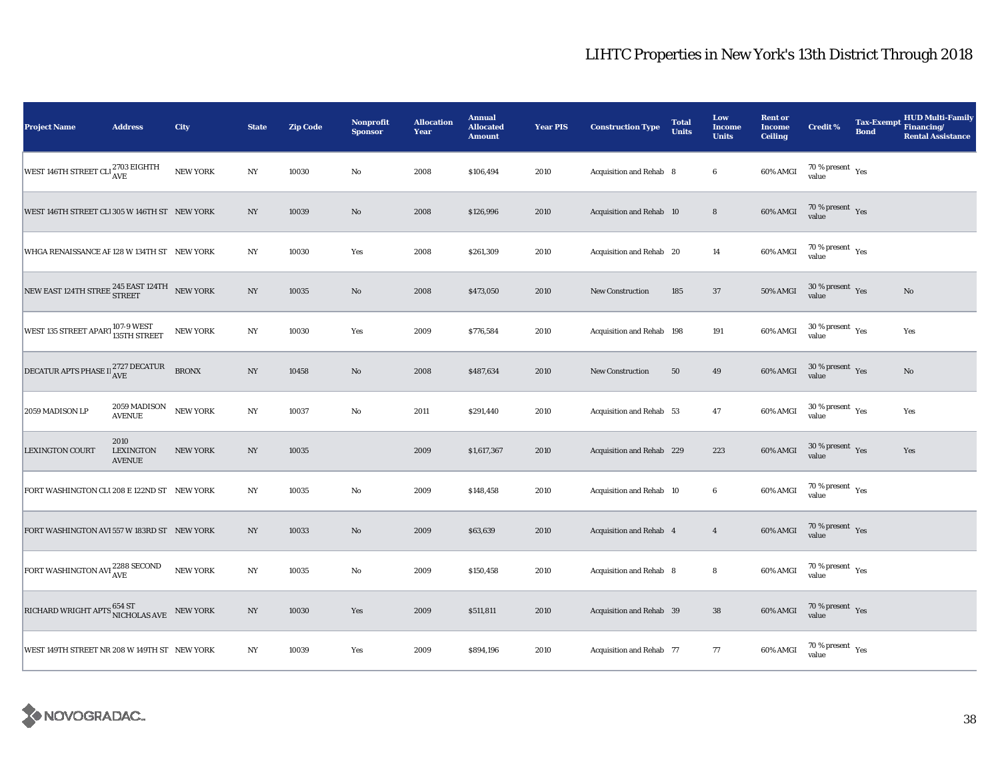| <b>Project Name</b>                                              | <b>Address</b>                            | City            | <b>State</b>     | <b>Zip Code</b> | <b>Nonprofit</b><br><b>Sponsor</b> | <b>Allocation</b><br>Year | <b>Annual</b><br><b>Allocated</b><br><b>Amount</b> | <b>Year PIS</b> | <b>Construction Type</b>       | <b>Total</b><br><b>Units</b> | Low<br><b>Income</b><br><b>Units</b> | <b>Rent or</b><br><b>Income</b><br><b>Ceiling</b> | <b>Credit %</b>                                      | <b>Tax-Exempt</b><br><b>Bond</b> | <b>HUD Multi-Family</b><br>Financing/<br><b>Rental Assistance</b> |
|------------------------------------------------------------------|-------------------------------------------|-----------------|------------------|-----------------|------------------------------------|---------------------------|----------------------------------------------------|-----------------|--------------------------------|------------------------------|--------------------------------------|---------------------------------------------------|------------------------------------------------------|----------------------------------|-------------------------------------------------------------------|
| WEST 146TH STREET CLI 2703 EIGHTH                                |                                           | <b>NEW YORK</b> | N <sub>Y</sub>   | 10030           | $\rm No$                           | 2008                      | \$106,494                                          | 2010            | Acquisition and Rehab 8        |                              | $6\phantom{.0}$                      | 60% AMGI                                          | 70 % present $\rm\thinspace_{Yes}$<br>value          |                                  |                                                                   |
| WEST 146TH STREET CLI 305 W 146TH ST NEW YORK                    |                                           |                 | NY               | 10039           | $\mathbf{No}$                      | 2008                      | \$126,996                                          | 2010            | Acquisition and Rehab 10       |                              | $\bf8$                               | 60% AMGI                                          | $70\,\%$ present $\;\;\chi_{\rm e s}$ value          |                                  |                                                                   |
| WHGA RENAISSANCE AF 128 W 134TH ST NEW YORK                      |                                           |                 | $_{\mathrm{NY}}$ | 10030           | Yes                                | 2008                      | \$261,309                                          | 2010            | Acquisition and Rehab 20       |                              | $14\,$                               | 60% AMGI                                          | $70\,\%$ present $\,$ Yes value                      |                                  |                                                                   |
| NEW EAST 124TH STREE $\frac{245}{\emph{STREE}}$ TREET NEW YORK   |                                           |                 | $_{\mathrm{NY}}$ | 10035           | $\mathbf{N}\mathbf{o}$             | 2008                      | \$473,050                                          | 2010            | New Construction               | 185                          | 37                                   | 50% AMGI                                          | $30\,\%$ present $\,$ Yes value                      |                                  | $\mathbf{N}\mathbf{o}$                                            |
| WEST 135 STREET APART 107-9 WEST                                 |                                           | <b>NEW YORK</b> | NY               | 10030           | Yes                                | 2009                      | \$776,584                                          | 2010            | Acquisition and Rehab 198      |                              | 191                                  | 60% AMGI                                          | $30\,\%$ present $\,$ $\rm Yes$<br>value             |                                  | Yes                                                               |
| DECATUR APTS PHASE $\rm{I}$ $\rm{^{2727}_{AVE}}$ DECATUR         |                                           | <b>BRONX</b>    | NY               | 10458           | $\mathbf{No}$                      | 2008                      | \$487,634                                          | 2010            | New Construction               | 50                           | 49                                   | 60% AMGI                                          | $30\,\%$ present $\,$ Yes<br>value                   |                                  | $\mathbf{N}\mathbf{o}$                                            |
| 2059 MADISON LP                                                  | 2059 MADISON<br><b>AVENUE</b>             | <b>NEW YORK</b> | NY               | 10037           | No                                 | 2011                      | \$291,440                                          | 2010            | Acquisition and Rehab 53       |                              | 47                                   | 60% AMGI                                          | $30\,\%$ present $\,$ $_{\rm Yes}$<br>value          |                                  | Yes                                                               |
| <b>LEXINGTON COURT</b>                                           | 2010<br><b>LEXINGTON</b><br><b>AVENUE</b> | <b>NEW YORK</b> | $_{\mathrm{NY}}$ | 10035           |                                    | 2009                      | \$1,617,367                                        | 2010            | Acquisition and Rehab 229      |                              | 223                                  | 60% AMGI                                          | $30\,\%$ present $\,$ Yes value                      |                                  | Yes                                                               |
| FORT WASHINGTON CLU 208 E 122ND ST NEW YORK                      |                                           |                 | $_{\mathrm{NY}}$ | 10035           | $\mathbf{No}$                      | 2009                      | \$148,458                                          | 2010            | Acquisition and Rehab 10       |                              | 6                                    | 60% AMGI                                          | $70\,\%$ present $\,$ Yes value                      |                                  |                                                                   |
| FORT WASHINGTON AVI 557 W 183RD ST NEW YORK                      |                                           |                 | NY               | 10033           | No                                 | 2009                      | \$63,639                                           | 2010            | <b>Acquisition and Rehab 4</b> |                              | $\overline{4}$                       | 60% AMGI                                          | $70\,\%$ present $\;\;$ Yes value                    |                                  |                                                                   |
| FORT WASHINGTON AVI <sup>2288</sup> SECOND                       |                                           | <b>NEW YORK</b> | $_{\mathrm{NY}}$ | 10035           | No                                 | 2009                      | \$150,458                                          | 2010            | Acquisition and Rehab 8        |                              | $\bf8$                               | 60% AMGI                                          | 70 % present $\rm\thinspace_{Yes}$<br>value          |                                  |                                                                   |
| RICHARD WRIGHT APTS $^{654~\rm ST}_{\rm NICHOLAS\;AVE}$ NEW YORK |                                           |                 | $_{\mathrm{NY}}$ | 10030           | Yes                                | 2009                      | \$511,811                                          | 2010            | Acquisition and Rehab 39       |                              | 38                                   | 60% AMGI                                          | $70\,\%$ present $\,$ Yes value                      |                                  |                                                                   |
| WEST 149TH STREET NR 208 W 149TH ST NEW YORK                     |                                           |                 | NY               | 10039           | Yes                                | 2009                      | \$894,196                                          | 2010            | Acquisition and Rehab 77       |                              | 77                                   | 60% AMGI                                          | 70 % present $\rm\thinspace\gamma_{\rm es}$<br>value |                                  |                                                                   |

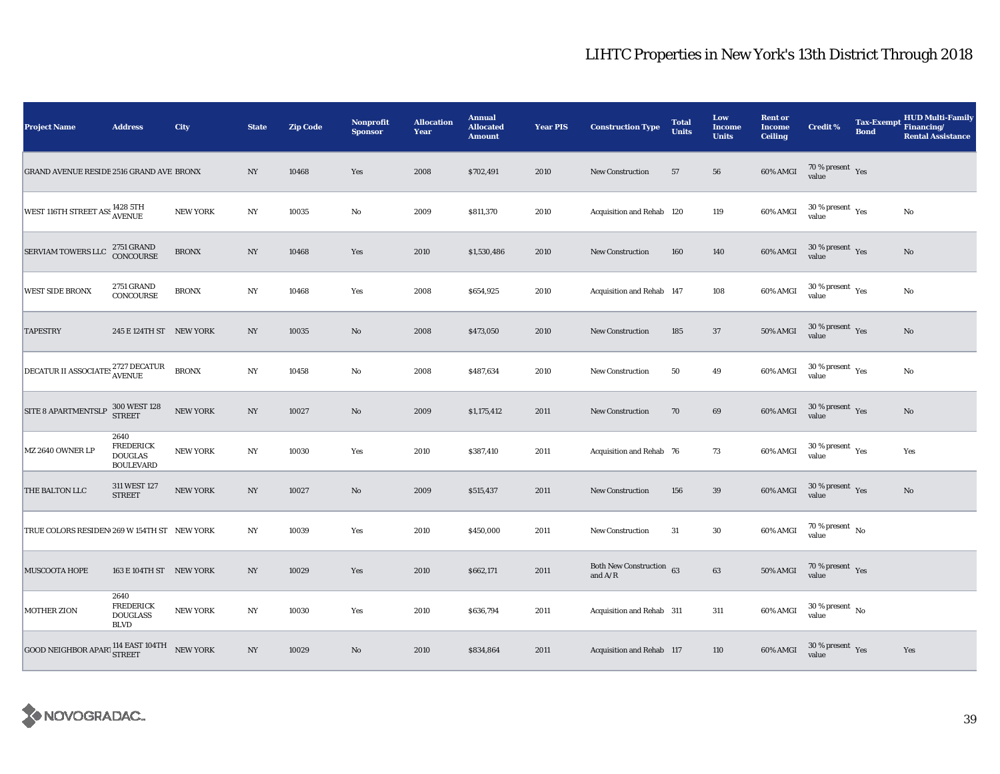| <b>Project Name</b>                                      | <b>Address</b>                                                 | City            | <b>State</b>     | <b>Zip Code</b> | <b>Nonprofit</b><br><b>Sponsor</b> | <b>Allocation</b><br>Year | <b>Annual</b><br><b>Allocated</b><br><b>Amount</b> | <b>Year PIS</b> | <b>Construction Type</b>                                                          | <b>Total</b><br><b>Units</b> | Low<br><b>Income</b><br><b>Units</b> | <b>Rent or</b><br><b>Income</b><br><b>Ceiling</b> | <b>Credit %</b>                              | <b>Tax-Exempt</b><br><b>Bond</b> | <b>HUD Multi-Family</b><br>Financing/<br><b>Rental Assistance</b> |
|----------------------------------------------------------|----------------------------------------------------------------|-----------------|------------------|-----------------|------------------------------------|---------------------------|----------------------------------------------------|-----------------|-----------------------------------------------------------------------------------|------------------------------|--------------------------------------|---------------------------------------------------|----------------------------------------------|----------------------------------|-------------------------------------------------------------------|
| GRAND AVENUE RESIDE 2516 GRAND AVE BRONX                 |                                                                |                 | NY               | 10468           | Yes                                | 2008                      | \$702,491                                          | 2010            | New Construction                                                                  | 57                           | 56                                   | 60% AMGI                                          | 70 % present $\rm\thinspace_{Yes}$<br>value  |                                  |                                                                   |
| WEST 116TH STREET ASS 1428 5TH                           |                                                                | <b>NEW YORK</b> | NY               | 10035           | $\mathbf{No}$                      | 2009                      | \$811,370                                          | 2010            | Acquisition and Rehab 120                                                         |                              | 119                                  | 60% AMGI                                          | $30\,\%$ present $\,$ $_{\rm Yes}$<br>value  |                                  | No                                                                |
| SERVIAM TOWERS LLC                                       | 2751 GRAND<br>CONCOURSE                                        | <b>BRONX</b>    | NY               | 10468           | Yes                                | 2010                      | \$1,530,486                                        | 2010            | <b>New Construction</b>                                                           | 160                          | 140                                  | 60% AMGI                                          | $30\,\%$ present $\,$ Yes value              |                                  | No                                                                |
| <b>WEST SIDE BRONX</b>                                   | 2751 GRAND<br>CONCOURSE                                        | <b>BRONX</b>    | NY               | 10468           | Yes                                | 2008                      | \$654,925                                          | 2010            | Acquisition and Rehab 147                                                         |                              | 108                                  | 60% AMGI                                          | 30 % present $\rm\thinspace_{Yes}$<br>value  |                                  | No                                                                |
| <b>TAPESTRY</b>                                          | 245 E 124TH ST NEW YORK                                        |                 | NY               | 10035           | No                                 | 2008                      | \$473,050                                          | 2010            | <b>New Construction</b>                                                           | 185                          | 37                                   | 50% AMGI                                          | $30$ % present $\,$ $\rm Yes$<br>value       |                                  | No                                                                |
| DECATUR II ASSOCIATES 2727 DECATUR                       |                                                                | <b>BRONX</b>    | $_{\mathrm{NY}}$ | 10458           | $\mathbf{No}$                      | 2008                      | \$487,634                                          | 2010            | New Construction                                                                  | 50                           | 49                                   | 60% AMGI                                          | 30 % present $\rm \gamma_{\rm es}$<br>value  |                                  | No                                                                |
| SITE 8 APARTMENTSLP                                      | 300 WEST 128<br>STREET                                         | <b>NEW YORK</b> | $_{\mathrm{NY}}$ | 10027           | No                                 | 2009                      | \$1,175,412                                        | 2011            | <b>New Construction</b>                                                           | 70                           | 69                                   | 60% AMGI                                          | $30$ % present $\,$ $\rm Yes$<br>value       |                                  | No                                                                |
| MZ 2640 OWNER LP                                         | 2640<br><b>FREDERICK</b><br><b>DOUGLAS</b><br><b>BOULEVARD</b> | <b>NEW YORK</b> | $_{\mathrm{NY}}$ | 10030           | Yes                                | 2010                      | \$387,410                                          | 2011            | Acquisition and Rehab 76                                                          |                              | 73                                   | 60% AMGI                                          | $30$ % present $\rm\thinspace\,Yes$<br>value |                                  | Yes                                                               |
| THE BALTON LLC                                           | 311 WEST 127<br><b>STREET</b>                                  | <b>NEW YORK</b> | $_{\mathrm{NY}}$ | 10027           | $\mathbf{N}\mathbf{o}$             | 2009                      | \$515,437                                          | 2011            | New Construction                                                                  | 156                          | $39\,$                               | 60% AMGI                                          | $30\,\%$ present $\,$ Yes value              |                                  | No                                                                |
| TRUE COLORS RESIDEN 269 W 154TH ST NEW YORK              |                                                                |                 | NY               | 10039           | Yes                                | 2010                      | \$450,000                                          | 2011            | <b>New Construction</b>                                                           | 31                           | $30\,$                               | 60% AMGI                                          | $70\,\%$ present $\,$ No value               |                                  |                                                                   |
| <b>MUSCOOTA HOPE</b>                                     | 163 E 104TH ST NEW YORK                                        |                 | NY               | 10029           | Yes                                | 2010                      | \$662,171                                          | 2011            | Both New Construction 63<br>and $\ensuremath{\mathrm{A}}/\ensuremath{\mathrm{R}}$ |                              | $\bf63$                              | <b>50% AMGI</b>                                   | 70 % present $\gamma_{\rm{ES}}$<br>value     |                                  |                                                                   |
| <b>MOTHER ZION</b>                                       | 2640<br><b>FREDERICK</b><br><b>DOUGLASS</b><br><b>BLVD</b>     | <b>NEW YORK</b> | $_{\mathrm{NY}}$ | 10030           | Yes                                | 2010                      | \$636,794                                          | 2011            | Acquisition and Rehab 311                                                         |                              | 311                                  | 60% AMGI                                          | $30\,\%$ present $\,$ No value               |                                  |                                                                   |
| GOOD NEIGHBOR APART $^{114}_{\rm STREET}$ 104TH NEW YORK |                                                                |                 | NY               | 10029           | No                                 | 2010                      | \$834,864                                          | 2011            | Acquisition and Rehab 117                                                         |                              | 110                                  | 60% AMGI                                          | $30\,\%$ present $\,$ Yes<br>value           |                                  | Yes                                                               |

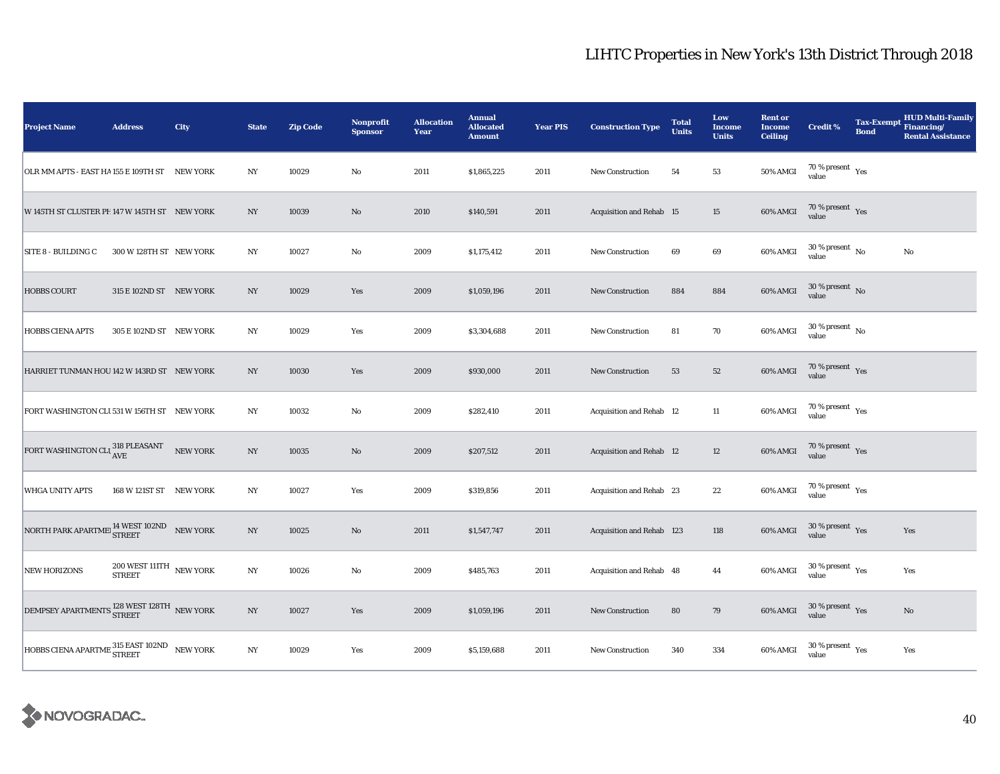| <b>Project Name</b>                                                                                                                                                | <b>Address</b>                                                      | City | <b>State</b>     | <b>Zip Code</b> | <b>Nonprofit</b><br><b>Sponsor</b> | <b>Allocation</b><br>Year | <b>Annual</b><br><b>Allocated</b><br><b>Amount</b> | <b>Year PIS</b> | <b>Construction Type</b>  | <b>Total</b><br><b>Units</b> | Low<br><b>Income</b><br><b>Units</b> | <b>Rent or</b><br><b>Income</b><br><b>Ceiling</b> | <b>Credit %</b>                             | <b>Tax-Exempt</b><br><b>Bond</b> | <b>HUD Multi-Family</b><br>Financing/<br><b>Rental Assistance</b> |
|--------------------------------------------------------------------------------------------------------------------------------------------------------------------|---------------------------------------------------------------------|------|------------------|-----------------|------------------------------------|---------------------------|----------------------------------------------------|-----------------|---------------------------|------------------------------|--------------------------------------|---------------------------------------------------|---------------------------------------------|----------------------------------|-------------------------------------------------------------------|
| OLR MM APTS - EAST HA155 E 109TH ST NEW YORK                                                                                                                       |                                                                     |      | NY               | 10029           | No                                 | 2011                      | \$1,865,225                                        | 2011            | New Construction          | 54                           | 53                                   | 50% AMGI                                          | $70\,\%$ present $\,$ Yes value             |                                  |                                                                   |
| W 145TH ST CLUSTER PH 147 W 145TH ST NEW YORK                                                                                                                      |                                                                     |      | NY               | 10039           | $\mathbf{N}\mathbf{o}$             | 2010                      | \$140,591                                          | 2011            | Acquisition and Rehab 15  |                              | 15                                   | 60% AMGI                                          | $70$ % present $\,$ $\rm Yes$<br>value      |                                  |                                                                   |
| SITE 8 - BUILDING C                                                                                                                                                | 300 W 128TH ST NEW YORK                                             |      | NY               | 10027           | No                                 | 2009                      | \$1,175,412                                        | 2011            | New Construction          | 69                           | 69                                   | 60% AMGI                                          | $30$ % present $\,$ No $\,$<br>value        |                                  | No                                                                |
| <b>HOBBS COURT</b>                                                                                                                                                 | 315 E 102ND ST NEW YORK                                             |      | NY               | 10029           | Yes                                | 2009                      | \$1,059,196                                        | 2011            | New Construction          | 884                          | 884                                  | 60% AMGI                                          | $30$ % present $\,$ No $\,$<br>value        |                                  |                                                                   |
| <b>HOBBS CIENA APTS</b>                                                                                                                                            | 305 E 102ND ST NEW YORK                                             |      | NY               | 10029           | Yes                                | 2009                      | \$3,304,688                                        | 2011            | <b>New Construction</b>   | 81                           | 70                                   | 60% AMGI                                          | $30$ % present $\,$ No $\,$<br>value        |                                  |                                                                   |
| HARRIET TUNMAN HOU 142 W 143RD ST NEW YORK                                                                                                                         |                                                                     |      | $_{\mathrm{NY}}$ | 10030           | Yes                                | 2009                      | \$930,000                                          | 2011            | <b>New Construction</b>   | 53                           | $52\,$                               | 60% AMGI                                          | $70\,\%$ present $\,$ Yes value             |                                  |                                                                   |
| FORT WASHINGTON CLU 531 W 156TH ST NEW YORK                                                                                                                        |                                                                     |      | NY               | 10032           | $\rm No$                           | 2009                      | \$282,410                                          | 2011            | Acquisition and Rehab 12  |                              | 11                                   | 60% AMGI                                          | $70\,\%$ present $\,$ Yes value             |                                  |                                                                   |
| $\begin{tabular}{ll} \bf{FORT WASHINGTON}\ CL\ \end{tabular} \begin{tabular}{ll} \bf{318\ PLEASANT} \end{tabular} \begin{tabular}{ll} \bf{NEW YORK} \end{tabular}$ |                                                                     |      | $_{\mathrm{NY}}$ | 10035           | $\mathbf{N}\mathbf{o}$             | 2009                      | \$207,512                                          | 2011            | Acquisition and Rehab 12  |                              | $12\,$                               | 60% AMGI                                          | $70\,\%$ present $\;\;\chi_{\rm e s}$ value |                                  |                                                                   |
| <b>WHGA UNITY APTS</b>                                                                                                                                             | 168 W 121ST ST NEW YORK                                             |      | NY               | 10027           | Yes                                | 2009                      | \$319,856                                          | 2011            | Acquisition and Rehab 23  |                              | 22                                   | 60% AMGI                                          | $70$ % present $\,$ $\rm Yes$<br>value      |                                  |                                                                   |
| NORTH PARK APARTME $\frac{14 \text{ WEST } 102 \text{ND}}{\text{STREET}}$ NEW YORK                                                                                 |                                                                     |      | $_{\mathrm{NY}}$ | 10025           | $\rm No$                           | 2011                      | \$1,547,747                                        | 2011            | Acquisition and Rehab 123 |                              | 118                                  | 60% AMGI                                          | $30\,\%$ present $\,$ Yes value             |                                  | Yes                                                               |
| <b>NEW HORIZONS</b>                                                                                                                                                | $200$ WEST $111\mathrm{TH}$ $$\,\mathrm{NEW}$ YORK<br><b>STREET</b> |      | $_{\mathrm{NY}}$ | 10026           | $\rm No$                           | 2009                      | \$485,763                                          | 2011            | Acquisition and Rehab 48  |                              | 44                                   | 60% AMGI                                          | $30\,\%$ present $\,$ Yes value             |                                  | Yes                                                               |
| DEMPSEY APARTMENTS $^{128\,{\rm{WEST\,128TH}}} _{\rm{STREF}}$ NEW YORK                                                                                             |                                                                     |      | $_{\mathrm{NY}}$ | 10027           | Yes                                | 2009                      | \$1,059,196                                        | 2011            | <b>New Construction</b>   | 80                           | 79                                   | $60\%$ AMGI                                       | $30\,\%$ present $\,$ Yes value             |                                  | No                                                                |
| HOBBS CIENA APARTME $\frac{315}{\emph{STRET}}$ NEW YORK                                                                                                            |                                                                     |      | $_{\mathrm{NY}}$ | 10029           | Yes                                | 2009                      | \$5,159,688                                        | 2011            | <b>New Construction</b>   | 340                          | 334                                  | 60% AMGI                                          | $30\,\%$ present $\,$ Yes value             |                                  | Yes                                                               |

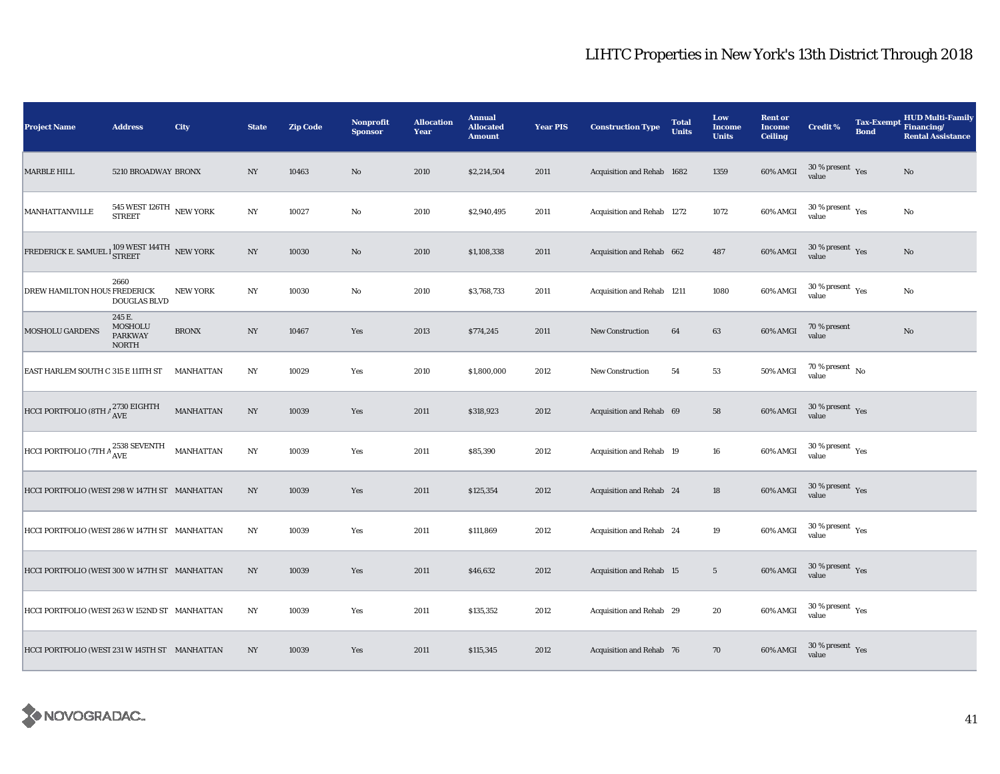| <b>Project Name</b>                                   | <b>Address</b>                                      | City            | <b>State</b>     | <b>Zip Code</b> | Nonprofit<br><b>Sponsor</b> | <b>Allocation</b><br>Year | <b>Annual</b><br><b>Allocated</b><br><b>Amount</b> | <b>Year PIS</b> | <b>Construction Type</b>        | <b>Total</b><br><b>Units</b> | Low<br><b>Income</b><br><b>Units</b> | <b>Rent or</b><br><b>Income</b><br><b>Ceiling</b> | <b>Credit %</b>                                      | <b>Tax-Exempt</b><br><b>Bond</b> | <b>HUD Multi-Family</b><br>Financing/<br><b>Rental Assistance</b> |
|-------------------------------------------------------|-----------------------------------------------------|-----------------|------------------|-----------------|-----------------------------|---------------------------|----------------------------------------------------|-----------------|---------------------------------|------------------------------|--------------------------------------|---------------------------------------------------|------------------------------------------------------|----------------------------------|-------------------------------------------------------------------|
| <b>MARBLE HILL</b>                                    | 5210 BROADWAY BRONX                                 |                 | $_{\mathrm{NY}}$ | 10463           | $\rm No$                    | 2010                      | \$2,214,504                                        | 2011            | Acquisition and Rehab 1682      |                              | 1359                                 | 60% AMGI                                          | $30\,\%$ present $\,$ Yes value                      |                                  | No                                                                |
| MANHATTANVILLE                                        | 545 WEST 126TH NEW YORK<br><b>STREET</b>            |                 | $_{\mathrm{NY}}$ | 10027           | $\rm No$                    | 2010                      | \$2,940,495                                        | 2011            | Acquisition and Rehab 1272      |                              | 1072                                 | 60% AMGI                                          | $30\,\%$ present $\,$ $_{\rm Yes}$<br>value          |                                  | No                                                                |
| FREDERICK E. SAMUEL 199 WEST 144TH NEW YORK           |                                                     |                 | NY               | 10030           | No                          | 2010                      | \$1,108,338                                        | 2011            | Acquisition and Rehab 662       |                              | 487                                  | 60% AMGI                                          | $30$ % present $\,$ $\rm Yes$<br>value               |                                  | No                                                                |
| DREW HAMILTON HOUS FREDERICK                          | 2660<br><b>DOUGLAS BLVD</b>                         | <b>NEW YORK</b> | $_{\mathrm{NY}}$ | 10030           | $\rm No$                    | 2010                      | \$3,768,733                                        | 2011            | Acquisition and Rehab 1211      |                              | 1080                                 | 60% AMGI                                          | $30\,\%$ present $\,$ $\rm Yes$<br>value             |                                  | No                                                                |
| <b>MOSHOLU GARDENS</b>                                | 245 E.<br>MOSHOLU<br><b>PARKWAY</b><br><b>NORTH</b> | <b>BRONX</b>    | $_{\mathrm{NY}}$ | 10467           | Yes                         | 2013                      | \$774,245                                          | 2011            | <b>New Construction</b>         | 64                           | 63                                   | 60% AMGI                                          | 70 % present<br>value                                |                                  | $\mathbf{No}$                                                     |
| EAST HARLEM SOUTH C 315 E 111TH ST                    |                                                     | MANHATTAN       | $_{\mathrm{NY}}$ | 10029           | Yes                         | 2010                      | \$1,800,000                                        | 2012            | <b>New Construction</b>         | 54                           | ${\bf 53}$                           | 50% AMGI                                          | 70 % present $\hbox{~No}$<br>value                   |                                  |                                                                   |
| HCCI PORTFOLIO (8TH $\mu$ $^{2730}_{\rm{AVE}}$ EIGHTH |                                                     | MANHATTAN       | $_{\mathrm{NY}}$ | 10039           | Yes                         | 2011                      | \$318,923                                          | 2012            | Acquisition and Rehab 69        |                              | 58                                   | 60% AMGI                                          | $30\,\%$ present $\,$ Yes value                      |                                  |                                                                   |
| HCCI PORTFOLIO (7TH A 2538 SEVENTH                    |                                                     | MANHATTAN       | $_{\mathrm{NY}}$ | 10039           | Yes                         | 2011                      | \$85,390                                           | 2012            | Acquisition and Rehab 19        |                              | 16                                   | 60% AMGI                                          | $30$ % present $\,$ $\rm Yes$<br>value               |                                  |                                                                   |
| HCCI PORTFOLIO (WEST 298 W 147TH ST MANHATTAN         |                                                     |                 | $_{\mathrm{NY}}$ | 10039           | Yes                         | 2011                      | \$125,354                                          | 2012            | Acquisition and Rehab 24        |                              | 18                                   | 60% AMGI                                          | 30 % present $\gamma_{\rm{es}}$<br>value             |                                  |                                                                   |
| HCCI PORTFOLIO (WEST 286 W 147TH ST MANHATTAN         |                                                     |                 | NY               | 10039           | Yes                         | 2011                      | \$111,869                                          | 2012            | Acquisition and Rehab 24        |                              | 19                                   | 60% AMGI                                          | 30 % present $\rm\thinspace\gamma_{\rm es}$<br>value |                                  |                                                                   |
| HCCI PORTFOLIO (WEST 300 W 147TH ST MANHATTAN         |                                                     |                 | $_{\mathrm{NY}}$ | 10039           | Yes                         | 2011                      | \$46,632                                           | 2012            | <b>Acquisition and Rehab 15</b> |                              | $5\phantom{.0}$                      | 60% AMGI                                          | $30\,\%$ present $\rm\thinspace_{Yes}$<br>value      |                                  |                                                                   |
| HCCI PORTFOLIO (WEST 263 W 152ND ST MANHATTAN         |                                                     |                 | $_{\mathrm{NY}}$ | 10039           | Yes                         | 2011                      | \$135,352                                          | 2012            | Acquisition and Rehab 29        |                              | 20                                   | 60% AMGI                                          | $30$ % present $\rm\thinspace_{Yes}$<br>value        |                                  |                                                                   |
| HCCI PORTFOLIO (WEST 231 W 145TH ST MANHATTAN         |                                                     |                 | $_{\mathrm{NY}}$ | 10039           | Yes                         | 2011                      | \$115,345                                          | 2012            | Acquisition and Rehab 76        |                              | 70                                   | 60% AMGI                                          | $30\,\%$ present $\,$ Yes value                      |                                  |                                                                   |

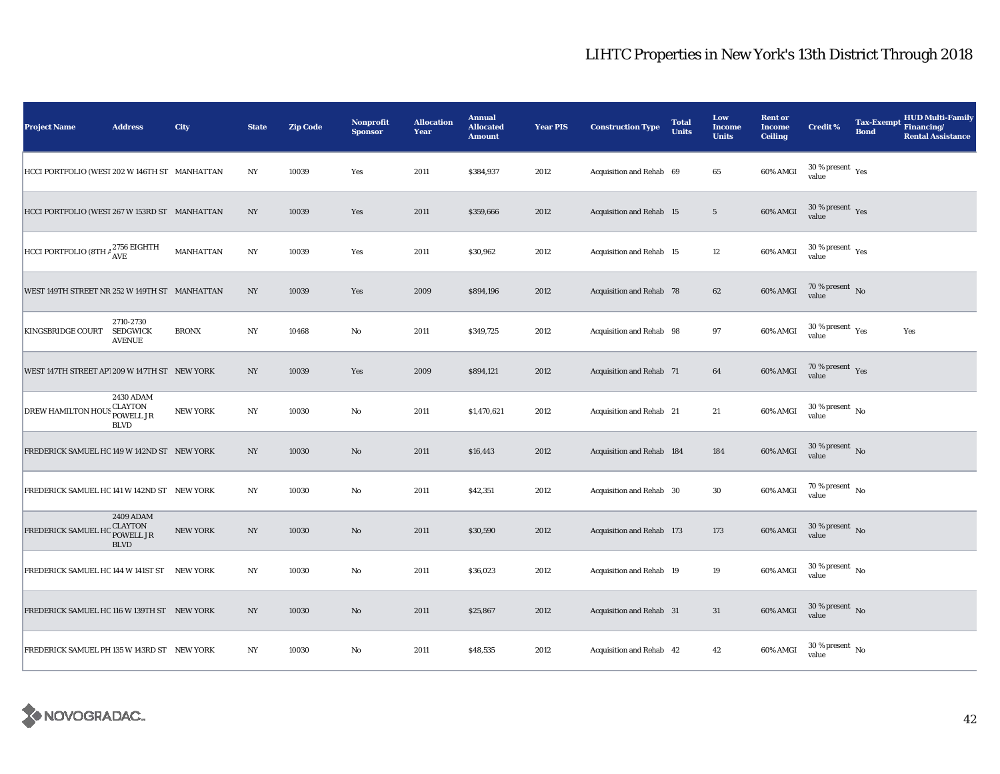| <b>Project Name</b>                           | <b>Address</b>                                | City             | <b>State</b>     | <b>Zip Code</b> | Nonprofit<br><b>Sponsor</b> | <b>Allocation</b><br>Year | <b>Annual</b><br><b>Allocated</b><br><b>Amount</b> | <b>Year PIS</b> | <b>Construction Type</b>  | <b>Total</b><br><b>Units</b> | Low<br><b>Income</b><br><b>Units</b> | <b>Rent or</b><br><b>Income</b><br><b>Ceiling</b> | <b>Credit %</b>                                 | <b>Tax-Exempt</b><br><b>Bond</b> | <b>HUD Multi-Family</b><br>Financing/<br><b>Rental Assistance</b> |
|-----------------------------------------------|-----------------------------------------------|------------------|------------------|-----------------|-----------------------------|---------------------------|----------------------------------------------------|-----------------|---------------------------|------------------------------|--------------------------------------|---------------------------------------------------|-------------------------------------------------|----------------------------------|-------------------------------------------------------------------|
| HCCI PORTFOLIO (WEST 202 W 146TH ST MANHATTAN |                                               |                  | NY               | 10039           | Yes                         | 2011                      | \$384,937                                          | 2012            | Acquisition and Rehab 69  |                              | 65                                   | 60% AMGI                                          | $30\,\%$ present $\,$ Yes value                 |                                  |                                                                   |
| HCCI PORTFOLIO (WEST 267 W 153RD ST MANHATTAN |                                               |                  | N <sub>Y</sub>   | 10039           | Yes                         | 2011                      | \$359,666                                          | 2012            | Acquisition and Rehab 15  |                              | $5\phantom{.0}$                      | 60% AMGI                                          | $30\,\%$ present $\,$ Yes<br>value              |                                  |                                                                   |
| HCCI PORTFOLIO (8TH $\frac{\mu}{\text{AVE}}$  |                                               | <b>MANHATTAN</b> | NY               | 10039           | Yes                         | 2011                      | \$30,962                                           | 2012            | Acquisition and Rehab 15  |                              | $12\,$                               | 60% AMGI                                          | $30$ % present $\rm\thinspace\,Yes$<br>value    |                                  |                                                                   |
| WEST 149TH STREET NR 252 W 149TH ST MANHATTAN |                                               |                  | NY               | 10039           | Yes                         | 2009                      | \$894,196                                          | 2012            | Acquisition and Rehab 78  |                              | 62                                   | 60% AMGI                                          | 70 % present $\,$ No $\,$<br>value              |                                  |                                                                   |
| KINGSBRIDGE COURT                             | 2710-2730<br><b>SEDGWICK</b><br><b>AVENUE</b> | <b>BRONX</b>     | $_{\mathrm{NY}}$ | 10468           | $\rm No$                    | 2011                      | \$349,725                                          | 2012            | Acquisition and Rehab 98  |                              | 97                                   | 60% AMGI                                          | $30\,\%$ present $\rm\thinspace_{Yes}$<br>value |                                  | Yes                                                               |
| WEST 147TH STREET AP1 209 W 147TH ST NEW YORK |                                               |                  | N <sub>Y</sub>   | 10039           | Yes                         | 2009                      | \$894,121                                          | 2012            | Acquisition and Rehab 71  |                              | 64                                   | 60% AMGI                                          | 70 % present $\gamma_{\rm{ES}}$<br>value        |                                  |                                                                   |
| DREW HAMILTON HOUS LEALIVE                    | 2430 ADAM<br><b>CLAYTON</b><br><b>BLVD</b>    | <b>NEW YORK</b>  | $_{\mathrm{NY}}$ | 10030           | $\rm No$                    | 2011                      | \$1,470,621                                        | 2012            | Acquisition and Rehab 21  |                              | $21\,$                               | 60% AMGI                                          | $30$ % present $\,$ No $\,$<br>value            |                                  |                                                                   |
| FREDERICK SAMUEL HO149 W 142ND ST NEW YORK    |                                               |                  | N <sub>Y</sub>   | 10030           | $\rm\thinspace No$          | 2011                      | \$16,443                                           | 2012            | Acquisition and Rehab 184 |                              | 184                                  | 60% AMGI                                          | $30$ % present $\,$ No $\,$<br>value            |                                  |                                                                   |
| FREDERICK SAMUEL HO141 W 142ND ST NEW YORK    |                                               |                  | NY               | 10030           | $\rm No$                    | 2011                      | \$42,351                                           | 2012            | Acquisition and Rehab 30  |                              | $30\,$                               | 60% AMGI                                          | $70$ % present $\,$ No $\,$<br>value            |                                  |                                                                   |
| FREDERICK SAMUEL HO CLAYTON<br>POWELL JR      | 2409 ADAM<br><b>BLVD</b>                      | <b>NEW YORK</b>  | $_{\mathrm{NY}}$ | 10030           | No                          | 2011                      | \$30,590                                           | 2012            | Acquisition and Rehab 173 |                              | 173                                  | 60% AMGI                                          | $30\,\%$ present $\,$ No $\,$<br>value          |                                  |                                                                   |
| FREDERICK SAMUEL HO144 W 141ST ST             |                                               | <b>NEW YORK</b>  | NY               | 10030           | $\rm No$                    | 2011                      | \$36,023                                           | 2012            | Acquisition and Rehab 19  |                              | 19                                   | 60% AMGI                                          | $30$ % present $\,$ No $\,$<br>value            |                                  |                                                                   |
| FREDERICK SAMUEL HC 116 W 139TH ST NEW YORK   |                                               |                  | $_{\mathrm{NY}}$ | 10030           | $\rm No$                    | 2011                      | \$25,867                                           | 2012            | Acquisition and Rehab 31  |                              | 31                                   | 60% AMGI                                          | $30$ % present $\,$ No $\,$<br>value            |                                  |                                                                   |
| FREDERICK SAMUEL PH 135 W 143RD ST NEW YORK   |                                               |                  | NY               | 10030           | No                          | 2011                      | \$48,535                                           | 2012            | Acquisition and Rehab 42  |                              | 42                                   | 60% AMGI                                          | $30$ % present $\,$ No $\,$<br>value            |                                  |                                                                   |

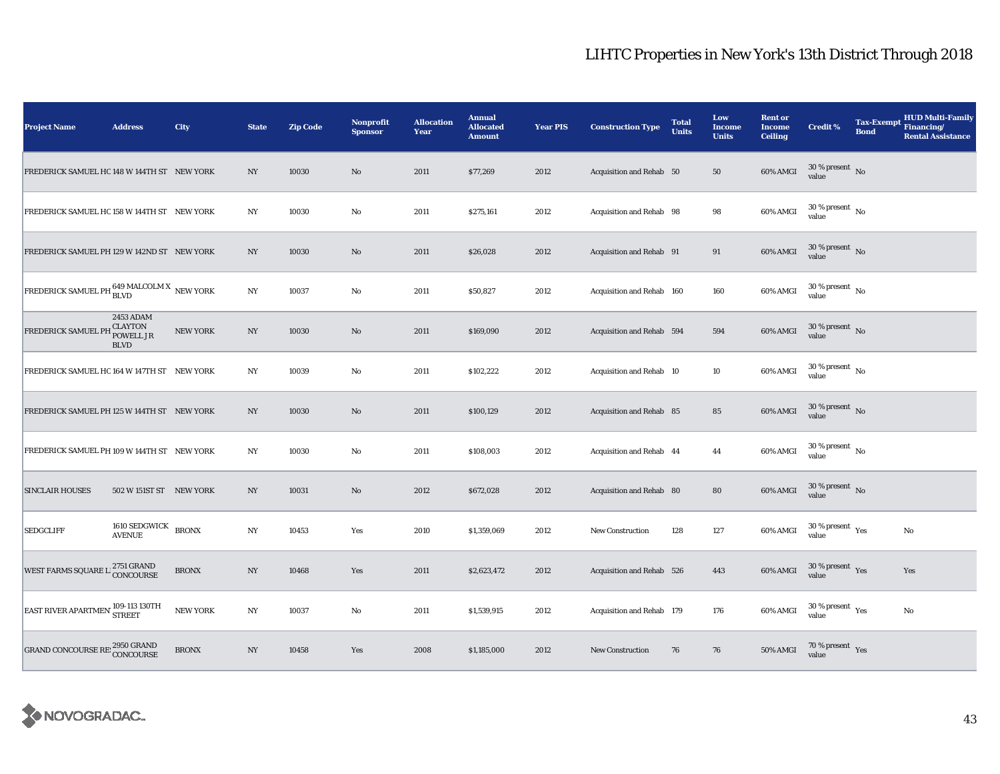| <b>Project Name</b>                         | <b>Address</b>                                          | City            | <b>State</b>     | <b>Zip Code</b> | <b>Nonprofit</b><br><b>Sponsor</b> | <b>Allocation</b><br>Year | <b>Annual</b><br><b>Allocated</b><br><b>Amount</b> | <b>Year PIS</b> | <b>Construction Type</b>  | <b>Total</b><br><b>Units</b> | Low<br><b>Income</b><br><b>Units</b> | <b>Rent or</b><br><b>Income</b><br><b>Ceiling</b> | <b>Credit %</b>                                      | <b>Tax-Exempt</b><br><b>Bond</b> | <b>HUD Multi-Family</b><br>Financing/<br><b>Rental Assistance</b> |
|---------------------------------------------|---------------------------------------------------------|-----------------|------------------|-----------------|------------------------------------|---------------------------|----------------------------------------------------|-----------------|---------------------------|------------------------------|--------------------------------------|---------------------------------------------------|------------------------------------------------------|----------------------------------|-------------------------------------------------------------------|
| FREDERICK SAMUEL HO148 W 144TH ST NEW YORK  |                                                         |                 | $_{\mathrm{NY}}$ | 10030           | $\rm No$                           | 2011                      | \$77,269                                           | 2012            | Acquisition and Rehab 50  |                              | 50                                   | 60% AMGI                                          | $30$ % present $\,$ No $\,$<br>value                 |                                  |                                                                   |
| FREDERICK SAMUEL HO 158 W 144TH ST NEW YORK |                                                         |                 | $_{\mathrm{NY}}$ | 10030           | $\rm No$                           | 2011                      | \$275,161                                          | 2012            | Acquisition and Rehab 98  |                              | 98                                   | 60% AMGI                                          | $30\,\%$ present $\,$ No $\,$<br>value               |                                  |                                                                   |
| FREDERICK SAMUEL PH 129 W 142ND ST NEW YORK |                                                         |                 | NY               | 10030           | No                                 | 2011                      | \$26,028                                           | 2012            | Acquisition and Rehab 91  |                              | 91                                   | 60% AMGI                                          | $30\,\%$ present $\,$ No value                       |                                  |                                                                   |
| FREDERICK SAMUEL PH BLVD BLVD NEW YORK      |                                                         |                 | $_{\mathrm{NY}}$ | 10037           | $\rm No$                           | 2011                      | \$50,827                                           | 2012            | Acquisition and Rehab 160 |                              | 160                                  | 60% AMGI                                          | $30$ % present $\,$ No $\,$<br>value                 |                                  |                                                                   |
| <b>FREDERICK SAMUEL P</b>                   | 2453 ADAM<br><b>CLAYTON</b><br>POWELL JR<br><b>BLVD</b> | <b>NEW YORK</b> | $_{\mathrm{NY}}$ | 10030           | No                                 | 2011                      | \$169,090                                          | 2012            | Acquisition and Rehab 594 |                              | 594                                  | 60% AMGI                                          | $30\,\%$ present $\,$ No $\,$<br>value               |                                  |                                                                   |
| FREDERICK SAMUEL HO 164 W 147TH ST NEW YORK |                                                         |                 | NY               | 10039           | $\rm No$                           | 2011                      | \$102,222                                          | 2012            | Acquisition and Rehab 10  |                              | 10                                   | 60% AMGI                                          | $30\,\%$ present $\,$ No $\,$<br>value               |                                  |                                                                   |
| FREDERICK SAMUEL PH 125 W 144TH ST NEW YORK |                                                         |                 | NY               | 10030           | No                                 | 2011                      | \$100,129                                          | 2012            | Acquisition and Rehab 85  |                              | 85                                   | 60% AMGI                                          | $30\,\%$ present $\,$ No $\,$<br>value               |                                  |                                                                   |
| FREDERICK SAMUEL PH 109 W 144TH ST NEW YORK |                                                         |                 | $_{\mathrm{NY}}$ | 10030           | $\rm No$                           | 2011                      | \$108,003                                          | 2012            | Acquisition and Rehab 44  |                              | 44                                   | 60% AMGI                                          | $30\,\%$ present $\,$ No $\,$<br>value               |                                  |                                                                   |
| <b>SINCLAIR HOUSES</b>                      | 502 W 151ST ST NEW YORK                                 |                 | NY               | 10031           | No                                 | 2012                      | \$672,028                                          | 2012            | Acquisition and Rehab 80  |                              | 80                                   | $60\%$ AMGI                                       | $30\,\%$ present $\,$ No value                       |                                  |                                                                   |
| <b>SEDGCLIFF</b>                            | 1610 SEDGWICK<br><b>AVENUE</b>                          | <b>BRONX</b>    | $_{\mathrm{NY}}$ | 10453           | Yes                                | 2010                      | \$1,359,069                                        | 2012            | <b>New Construction</b>   | 128                          | 127                                  | 60% AMGI                                          | $30$ % present $\,$ $\rm Yes$<br>value               |                                  | No                                                                |
| WEST FARMS SQUARE L                         | 2751 GRAND<br>CONCOURSE                                 | <b>BRONX</b>    | NY               | 10468           | Yes                                | 2011                      | \$2,623,472                                        | 2012            | Acquisition and Rehab 526 |                              | 443                                  | 60% AMGI                                          | $30$ % present $\,$ $\rm Yes$<br>value               |                                  | Yes                                                               |
| EAST RIVER APARTMEN' 109-113 130TH          |                                                         | <b>NEW YORK</b> | NY               | 10037           | $\rm No$                           | 2011                      | \$1,539,915                                        | 2012            | Acquisition and Rehab 179 |                              | 176                                  | 60% AMGI                                          | $30$ % present $\rm\thinspace\,Yes$<br>value         |                                  | No                                                                |
| GRAND CONCOURSE RE 2950 GRAND               |                                                         | <b>BRONX</b>    | $_{\mathrm{NY}}$ | 10458           | Yes                                | 2008                      | \$1,185,000                                        | 2012            | New Construction          | 76                           | 76                                   | 50% AMGI                                          | 70 % present $\rm\thinspace\gamma_{\rm es}$<br>value |                                  |                                                                   |

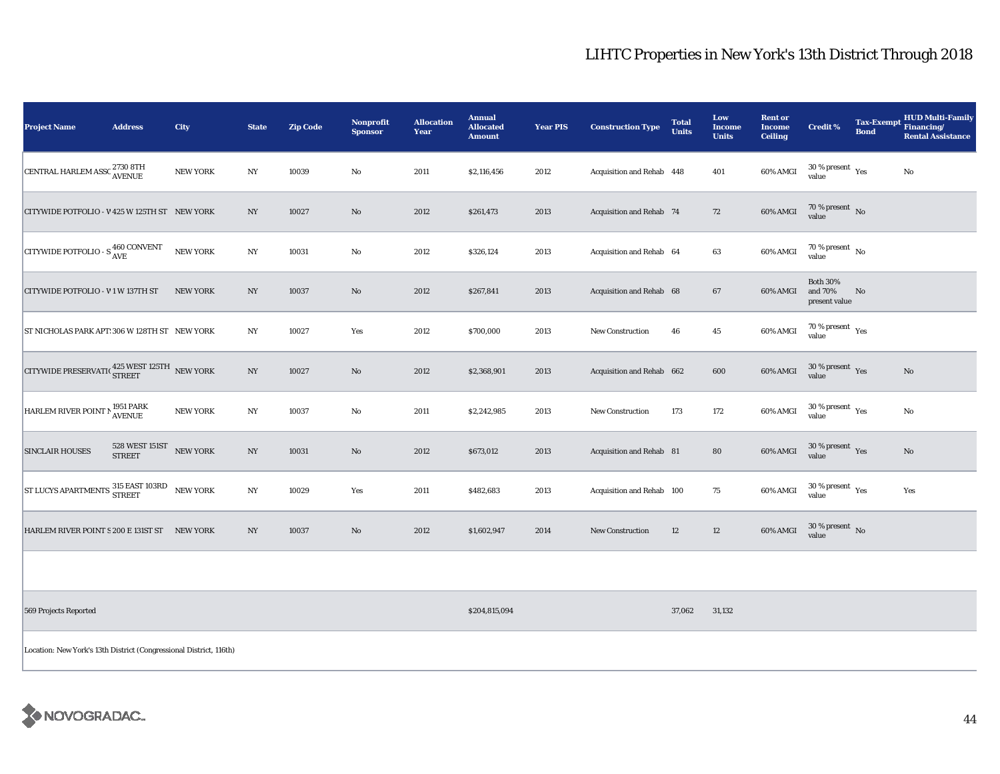| <b>Project Name</b>                                                                  | <b>Address</b>                          | <b>City</b>     | <b>State</b>     | <b>Zip Code</b> | <b>Nonprofit</b><br><b>Sponsor</b> | <b>Allocation</b><br>Year | <b>Annual</b><br><b>Allocated</b><br><b>Amount</b> | <b>Year PIS</b> | <b>Construction Type</b>  | <b>Total</b><br><b>Units</b> | Low<br><b>Income</b><br><b>Units</b> | <b>Rent or</b><br><b>Income</b><br><b>Ceiling</b> | <b>Credit %</b>                             | <b>Tax-Exempt</b><br><b>Bond</b> | <b>HUD Multi-Family</b><br>Financing/<br><b>Rental Assistance</b> |
|--------------------------------------------------------------------------------------|-----------------------------------------|-----------------|------------------|-----------------|------------------------------------|---------------------------|----------------------------------------------------|-----------------|---------------------------|------------------------------|--------------------------------------|---------------------------------------------------|---------------------------------------------|----------------------------------|-------------------------------------------------------------------|
| CENTRAL HARLEM ASSC <sup>2730</sup> 8TH                                              |                                         | <b>NEW YORK</b> | NY               | 10039           | No                                 | 2011                      | \$2,116,456                                        | 2012            | Acquisition and Rehab 448 |                              | 401                                  | 60% AMGI                                          | $30\,\%$ present $\,$ Yes value             |                                  | No                                                                |
| CITYWIDE POTFOLIO - V 425 W 125TH ST NEW YORK                                        |                                         |                 | NY               | 10027           | No                                 | 2012                      | \$261,473                                          | 2013            | Acquisition and Rehab 74  |                              | 72                                   | 60% AMGI                                          | $70\,\%$ present $\,$ No value              |                                  |                                                                   |
| CITYWIDE POTFOLIO - S 460 CONVENT                                                    |                                         | <b>NEW YORK</b> | NY               | 10031           | No                                 | 2012                      | \$326,124                                          | 2013            | Acquisition and Rehab 64  |                              | 63                                   | 60% AMGI                                          | $70\,\%$ present $\,$ No value              |                                  |                                                                   |
| CITYWIDE POTFOLIO - V1 W 137TH ST                                                    |                                         | <b>NEW YORK</b> | NY               | 10037           | No                                 | 2012                      | \$267,841                                          | 2013            | Acquisition and Rehab 68  |                              | 67                                   | 60% AMGI                                          | <b>Both 30%</b><br>and 70%<br>present value | No                               |                                                                   |
| ST NICHOLAS PARK APT: 306 W 128TH ST NEW YORK                                        |                                         |                 | $_{\mathrm{NY}}$ | 10027           | Yes                                | 2012                      | \$700,000                                          | 2013            | <b>New Construction</b>   | 46                           | 45                                   | 60% AMGI                                          | $70\,\%$ present $\,$ Yes value             |                                  |                                                                   |
| CITYWIDE PRESERVATI( $\frac{425 \text{ WEST } 125 \text{TH}}{\text{STREF}}$ NEW YORK |                                         |                 | $_{\mathrm{NY}}$ | 10027           | No                                 | 2012                      | \$2,368,901                                        | 2013            | Acquisition and Rehab 662 |                              | 600                                  | 60% AMGI                                          | $30\,\%$ present $\,$ Yes value             |                                  | No                                                                |
| HARLEM RIVER POINT N 1951 PARK                                                       |                                         | <b>NEW YORK</b> | NY               | 10037           | No                                 | 2011                      | \$2,242,985                                        | 2013            | <b>New Construction</b>   | 173                          | 172                                  | 60% AMGI                                          | $30\,\%$ present $\,$ Yes value             |                                  | No                                                                |
| <b>SINCLAIR HOUSES</b>                                                               | $528$ WEST $151ST$ $\:$ NEW YORK STREET |                 | $_{\mathrm{NY}}$ | 10031           | No                                 | 2012                      | \$673,012                                          | 2013            | Acquisition and Rehab 81  |                              | 80                                   | 60% AMGI                                          | $30\,\%$ present $\,$ Yes value             |                                  | No                                                                |
| ST LUCYS APARTMENTS 315 EAST 103RD NEW YORK                                          |                                         |                 | N <sub>Y</sub>   | 10029           | Yes                                | 2011                      | \$482,683                                          | 2013            | Acquisition and Rehab 100 |                              | 75                                   | 60% AMGI                                          | $30\,\%$ present $\,$ Yes value             |                                  | Yes                                                               |
| HARLEM RIVER POINT S 200 E 131ST ST NEW YORK                                         |                                         |                 | $_{\mathrm{NY}}$ | 10037           | No                                 | 2012                      | \$1,602,947                                        | 2014            | <b>New Construction</b>   | 12                           | 12                                   | 60% AMGI                                          | $30\,\%$ present $\,$ No value              |                                  |                                                                   |

569 Projects Reported \$204,815,094 37,062 31,132

Location: New York's 13th District (Congressional District, 116th)